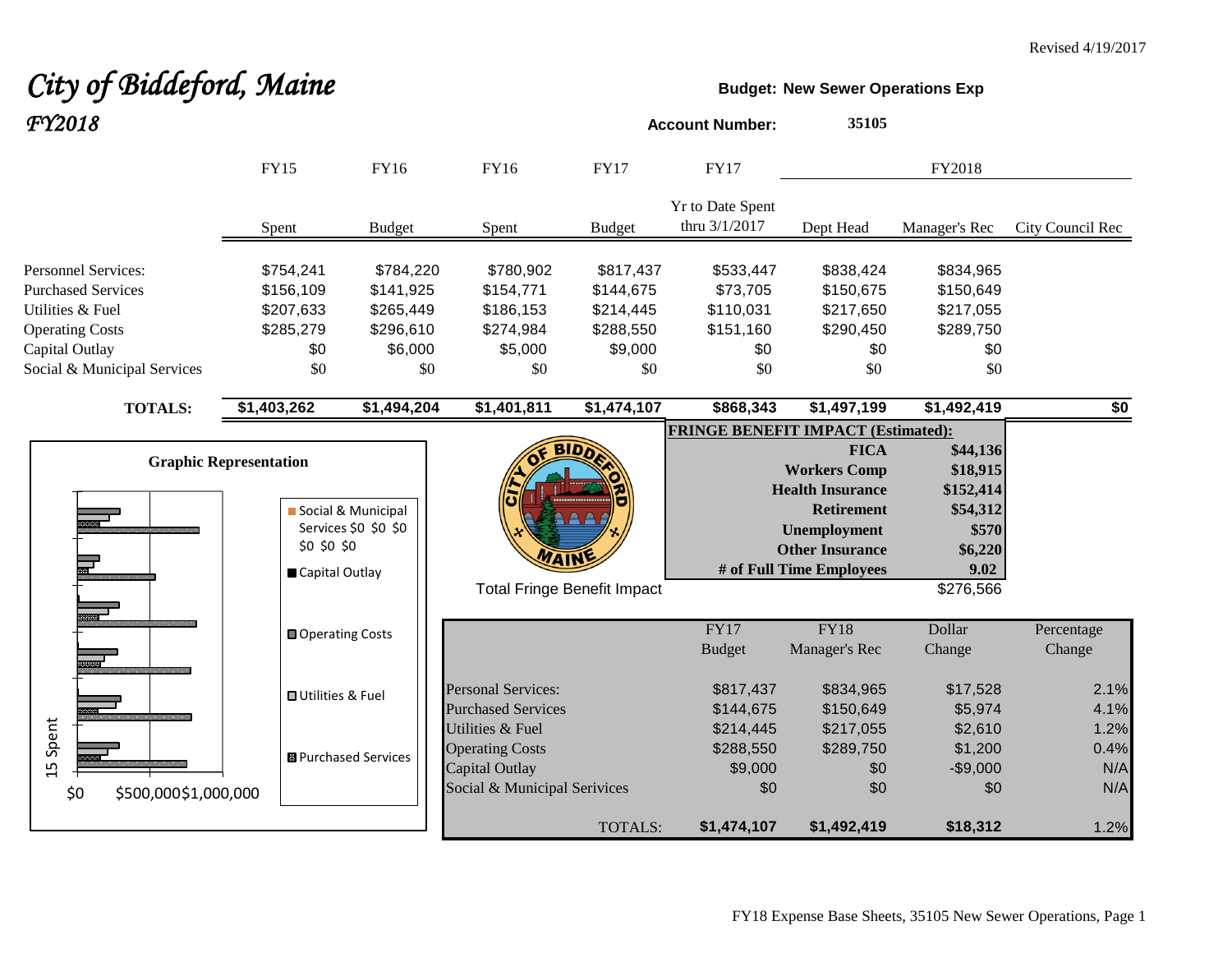# *City of Biddeford, Maine* **Budget:** New Sewer Operations Exp *FY2018* **Account Number: <sup>35105</sup>**

|                             | <b>FY15</b>                   | <b>FY16</b>          | FY16                               | <b>FY17</b>   | <b>FY17</b>                               |                          | FY2018        |                  |
|-----------------------------|-------------------------------|----------------------|------------------------------------|---------------|-------------------------------------------|--------------------------|---------------|------------------|
|                             | Spent                         | <b>Budget</b>        | Spent                              | <b>Budget</b> | Yr to Date Spent<br>thru 3/1/2017         | Dept Head                | Manager's Rec | City Council Rec |
| <b>Personnel Services:</b>  | \$754,241                     | \$784,220            | \$780,902                          | \$817,437     | \$533,447                                 | \$838,424                | \$834,965     |                  |
| <b>Purchased Services</b>   | \$156,109                     | \$141,925            | \$154,771                          | \$144,675     | \$73,705                                  | \$150,675                | \$150,649     |                  |
| Utilities & Fuel            | \$207,633                     | \$265,449            | \$186,153                          | \$214,445     | \$110,031                                 | \$217,650                | \$217,055     |                  |
| <b>Operating Costs</b>      | \$285,279                     | \$296,610            | \$274,984                          | \$288,550     | \$151,160                                 | \$290,450                | \$289,750     |                  |
| Capital Outlay              | \$0                           | \$6,000              | \$5,000                            | \$9,000       | \$0                                       | \$0                      | \$0           |                  |
| Social & Municipal Services | \$0                           | \$0                  | \$0                                | \$0           | \$0                                       | \$0                      | \$0           |                  |
| <b>TOTALS:</b>              | \$1,403,262                   | \$1,494,204          | \$1,401,811                        | \$1,474,107   | \$868,343                                 | \$1,497,199              | \$1,492,419   | \$0              |
|                             |                               |                      |                                    |               | <b>FRINGE BENEFIT IMPACT (Estimated):</b> |                          |               |                  |
|                             |                               |                      | <b>BIDD</b>                        |               |                                           | <b>FICA</b>              | \$44,136      |                  |
|                             | <b>Graphic Representation</b> |                      |                                    |               |                                           | <b>Workers Comp</b>      | \$18,915      |                  |
|                             |                               |                      |                                    |               |                                           | <b>Health Insurance</b>  | \$152,414     |                  |
|                             |                               | Social & Municipal   |                                    |               |                                           | <b>Retirement</b>        | \$54,312      |                  |
|                             |                               | Services \$0 \$0 \$0 |                                    |               |                                           | <b>Unemployment</b>      | \$570         |                  |
|                             | \$0 \$0 \$0                   |                      |                                    |               |                                           | <b>Other Insurance</b>   | \$6,220       |                  |
|                             | Capital Outlay                |                      |                                    |               |                                           | # of Full Time Employees | 9.02          |                  |
|                             |                               |                      | <b>Total Fringe Benefit Impact</b> |               |                                           |                          | \$276,566     |                  |
|                             | <b>□</b> Operating Costs      |                      |                                    |               | FY17                                      | FY18                     | Dollar        | Percentage       |
|                             |                               |                      |                                    |               | <b>Budget</b>                             | Manager's Rec            | Change        | Change           |
|                             | <b>OUtilities &amp; Fuel</b>  |                      | <b>Personal Services:</b>          |               | \$817,437                                 | \$834,965                | \$17,528      | 2.1%             |
|                             |                               |                      | <b>Purchased Services</b>          |               | \$144,675                                 | \$150,649                | \$5,974       | 4.1%             |
| Spent                       |                               |                      | Utilities & Fuel                   |               | \$214,445                                 | \$217,055                | \$2,610       | 1.2%             |
|                             |                               | ■ Purchased Services | <b>Operating Costs</b>             |               | \$288,550                                 | \$289,750                | \$1,200       | 0.4%             |
| 15                          |                               |                      | Capital Outlay                     |               | \$9,000                                   | \$0                      | $-$9,000$     | N/A              |
| \$500,000\$1,000,000<br>\$0 |                               |                      | Social & Municipal Serivices       |               | \$0                                       | \$0                      | \$0           | N/A              |
|                             |                               |                      |                                    | TOTALS:       | \$1,474,107                               | \$1,492,419              | \$18,312      | 1.2%             |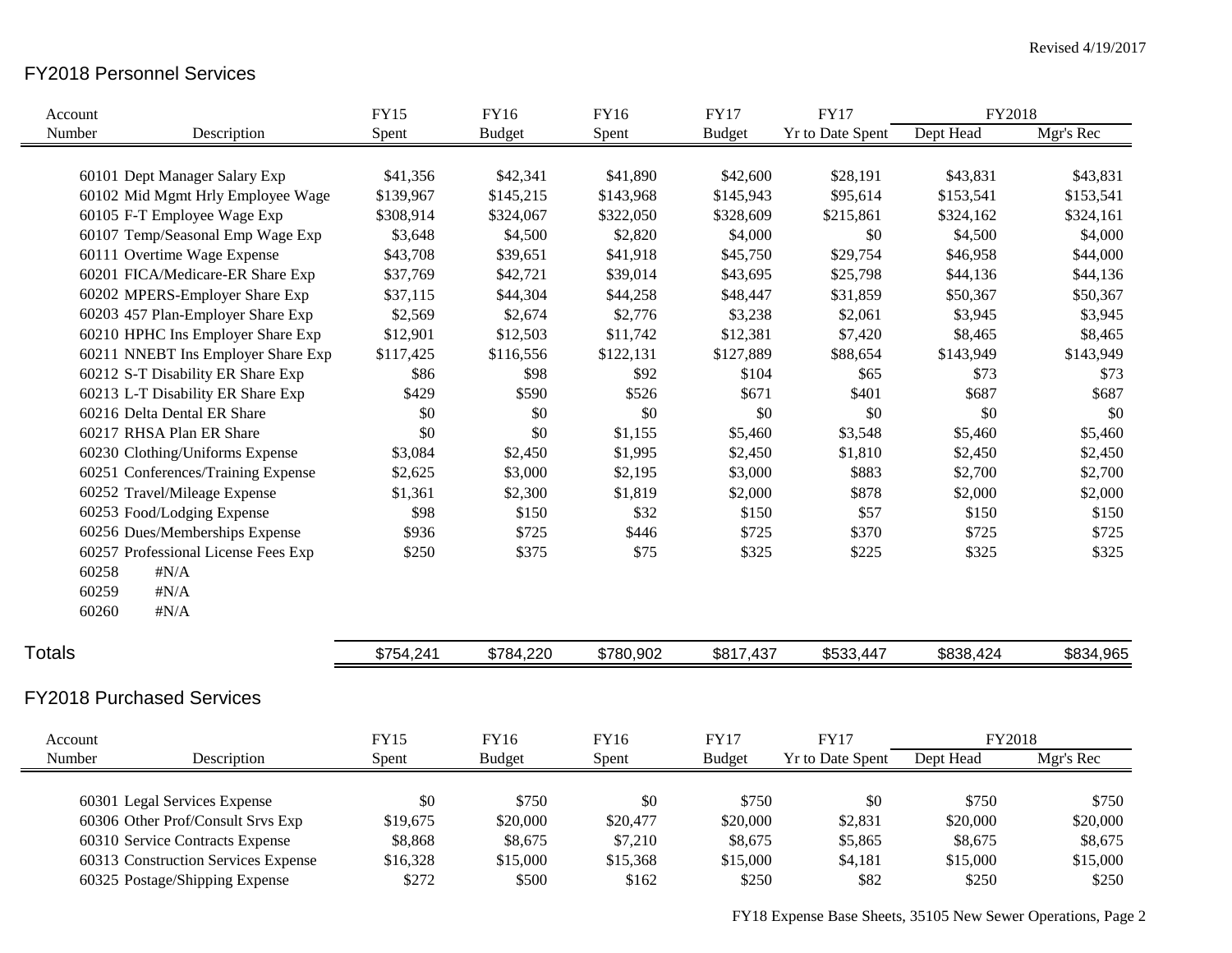# FY2018 Personnel Services

| Account                        |                                     | <b>FY15</b> | FY16          | <b>FY16</b> | <b>FY17</b>   | <b>FY17</b>      | FY2018    |           |
|--------------------------------|-------------------------------------|-------------|---------------|-------------|---------------|------------------|-----------|-----------|
| Number                         | Description                         | Spent       | <b>Budget</b> | Spent       | <b>Budget</b> | Yr to Date Spent | Dept Head | Mgr's Rec |
|                                |                                     |             |               |             |               |                  |           |           |
|                                | 60101 Dept Manager Salary Exp       | \$41,356    | \$42,341      | \$41,890    | \$42,600      | \$28,191         | \$43,831  | \$43,831  |
|                                | 60102 Mid Mgmt Hrly Employee Wage   | \$139,967   | \$145,215     | \$143,968   | \$145,943     | \$95,614         | \$153,541 | \$153,541 |
|                                | 60105 F-T Employee Wage Exp         | \$308,914   | \$324,067     | \$322,050   | \$328,609     | \$215,861        | \$324,162 | \$324,161 |
|                                | 60107 Temp/Seasonal Emp Wage Exp    | \$3,648     | \$4,500       | \$2,820     | \$4,000       | \$0              | \$4,500   | \$4,000   |
|                                | 60111 Overtime Wage Expense         | \$43,708    | \$39,651      | \$41,918    | \$45,750      | \$29,754         | \$46,958  | \$44,000  |
|                                | 60201 FICA/Medicare-ER Share Exp    | \$37,769    | \$42,721      | \$39,014    | \$43,695      | \$25,798         | \$44,136  | \$44,136  |
|                                | 60202 MPERS-Employer Share Exp      | \$37,115    | \$44,304      | \$44,258    | \$48,447      | \$31,859         | \$50,367  | \$50,367  |
|                                | 60203 457 Plan-Employer Share Exp   | \$2,569     | \$2,674       | \$2,776     | \$3,238       | \$2,061          | \$3,945   | \$3,945   |
|                                | 60210 HPHC Ins Employer Share Exp   | \$12,901    | \$12,503      | \$11,742    | \$12,381      | \$7,420          | \$8,465   | \$8,465   |
|                                | 60211 NNEBT Ins Employer Share Exp  | \$117,425   | \$116,556     | \$122,131   | \$127,889     | \$88,654         | \$143,949 | \$143,949 |
|                                | 60212 S-T Disability ER Share Exp   | \$86        | \$98          | \$92        | \$104         | \$65             | \$73      | \$73      |
|                                | 60213 L-T Disability ER Share Exp   | \$429       | \$590         | \$526       | \$671         | \$401            | \$687     | \$687     |
|                                | 60216 Delta Dental ER Share         | \$0         | \$0           | \$0         | \$0           | \$0              | \$0       | \$0       |
|                                | 60217 RHSA Plan ER Share            | \$0         | \$0           | \$1,155     | \$5,460       | \$3,548          | \$5,460   | \$5,460   |
|                                | 60230 Clothing/Uniforms Expense     | \$3,084     | \$2,450       | \$1,995     | \$2,450       | \$1,810          | \$2,450   | \$2,450   |
|                                | 60251 Conferences/Training Expense  | \$2,625     | \$3,000       | \$2,195     | \$3,000       | \$883            | \$2,700   | \$2,700   |
|                                | 60252 Travel/Mileage Expense        | \$1,361     | \$2,300       | \$1,819     | \$2,000       | \$878            | \$2,000   | \$2,000   |
|                                | 60253 Food/Lodging Expense          | \$98        | \$150         | \$32        | \$150         | \$57             | \$150     | \$150     |
|                                | 60256 Dues/Memberships Expense      | \$936       | \$725         | \$446       | \$725         | \$370            | \$725     | \$725     |
|                                | 60257 Professional License Fees Exp | \$250       | \$375         | \$75        | \$325         | \$225            | \$325     | \$325     |
| 60258                          | $\#N/A$                             |             |               |             |               |                  |           |           |
| 60259                          | $\sharp N/A$                        |             |               |             |               |                  |           |           |
| 60260                          | $\#N/A$                             |             |               |             |               |                  |           |           |
| <b>Totals</b>                  |                                     | \$754,241   | \$784,220     | \$780,902   | \$817,437     | \$533,447        | \$838,424 | \$834,965 |
|                                |                                     |             |               |             |               |                  |           |           |
|                                | <b>FY2018 Purchased Services</b>    |             |               |             |               |                  |           |           |
| Account                        |                                     | <b>FY15</b> | FY16          | <b>FY16</b> | <b>FY17</b>   | <b>FY17</b>      | FY2018    |           |
| Number                         | Description                         | Spent       | <b>Budget</b> | Spent       | <b>Budget</b> | Yr to Date Spent | Dept Head | Mgr's Rec |
|                                |                                     |             |               |             |               |                  |           |           |
|                                | 60301 Legal Services Expense        | \$0         | \$750         | \$0         | \$750         | \$0              | \$750     | \$750     |
|                                | 60306 Other Prof/Consult Srvs Exp   | \$19,675    | \$20,000      | \$20,477    | \$20,000      | \$2,831          | \$20,000  | \$20,000  |
|                                | 60310 Service Contracts Expense     | \$8,868     | \$8,675       | \$7,210     | \$8,675       | \$5,865          | \$8,675   | \$8,675   |
|                                | 60313 Construction Services Expense | \$16,328    | \$15,000      | \$15,368    | \$15,000      | \$4,181          | \$15,000  | \$15,000  |
| 60325 Postage/Shipping Expense |                                     | \$272       | \$500         | \$162       | \$250         | \$82             | \$250     | \$250     |

FY18 Expense Base Sheets, 35105 New Sewer Operations, Page 2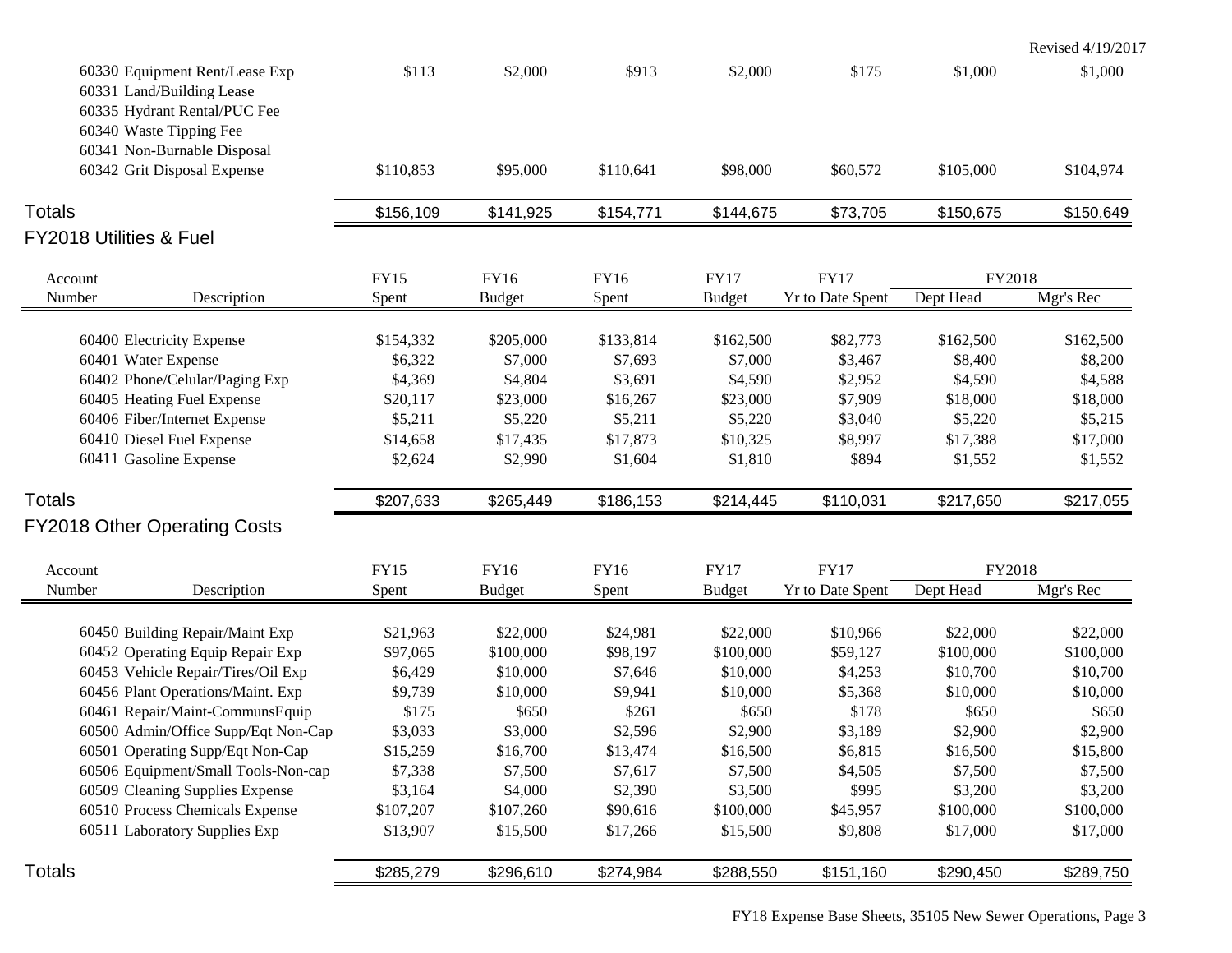|                                    |                                                                                                                        |                      |               |                      |               |                     |           | Revised 4/19/2017    |
|------------------------------------|------------------------------------------------------------------------------------------------------------------------|----------------------|---------------|----------------------|---------------|---------------------|-----------|----------------------|
|                                    | 60330 Equipment Rent/Lease Exp<br>60331 Land/Building Lease<br>60335 Hydrant Rental/PUC Fee<br>60340 Waste Tipping Fee | \$113                | \$2,000       | \$913                | \$2,000       | \$175               | \$1,000   | \$1,000              |
|                                    | 60341 Non-Burnable Disposal<br>60342 Grit Disposal Expense                                                             | \$110,853            | \$95,000      | \$110,641            | \$98,000      | \$60,572            | \$105,000 | \$104,974            |
|                                    |                                                                                                                        |                      |               |                      |               |                     |           |                      |
| <b>Totals</b>                      |                                                                                                                        | \$156,109            | \$141,925     | \$154,771            | \$144,675     | \$73,705            | \$150,675 | \$150,649            |
| <b>FY2018 Utilities &amp; Fuel</b> |                                                                                                                        |                      |               |                      |               |                     |           |                      |
| Account                            |                                                                                                                        | <b>FY15</b>          | FY16          | FY16                 | <b>FY17</b>   | <b>FY17</b>         | FY2018    |                      |
| Number                             | Description                                                                                                            | Spent                | <b>Budget</b> | Spent                | <b>Budget</b> | Yr to Date Spent    | Dept Head | Mgr's Rec            |
|                                    |                                                                                                                        |                      | \$205,000     |                      | \$162,500     |                     | \$162,500 |                      |
|                                    | 60400 Electricity Expense<br>60401 Water Expense                                                                       | \$154,332<br>\$6,322 | \$7,000       | \$133,814<br>\$7,693 | \$7,000       | \$82,773<br>\$3,467 | \$8,400   | \$162,500<br>\$8,200 |
|                                    | 60402 Phone/Celular/Paging Exp                                                                                         | \$4,369              | \$4,804       | \$3,691              | \$4,590       | \$2,952             | \$4,590   | \$4,588              |
|                                    | 60405 Heating Fuel Expense                                                                                             | \$20,117             | \$23,000      |                      | \$23,000      | \$7,909             | \$18,000  | \$18,000             |
|                                    | 60406 Fiber/Internet Expense                                                                                           | \$5,211              | \$5,220       | \$16,267             | \$5,220       | \$3,040             | \$5,220   | \$5,215              |
|                                    | 60410 Diesel Fuel Expense                                                                                              | \$14,658             |               | \$5,211<br>\$17,873  | \$10,325      | \$8,997             | \$17,388  | \$17,000             |
|                                    | 60411 Gasoline Expense                                                                                                 |                      | \$17,435      |                      |               | \$894               |           |                      |
|                                    |                                                                                                                        | \$2,624              | \$2,990       | \$1,604              | \$1,810       |                     | \$1,552   | \$1,552              |
| <b>Totals</b>                      |                                                                                                                        | \$207,633            | \$265,449     | \$186,153            | \$214,445     | \$110,031           | \$217,650 | \$217,055            |
|                                    | <b>FY2018 Other Operating Costs</b>                                                                                    |                      |               |                      |               |                     |           |                      |
| Account                            |                                                                                                                        | FY15                 | FY16          | <b>FY16</b>          | <b>FY17</b>   | <b>FY17</b>         | FY2018    |                      |
| Number                             | Description                                                                                                            | Spent                | <b>Budget</b> | Spent                | <b>Budget</b> | Yr to Date Spent    | Dept Head | Mgr's Rec            |
|                                    |                                                                                                                        | \$21,963             | \$22,000      | \$24,981             | \$22,000      | \$10,966            | \$22,000  | \$22,000             |
|                                    | 60450 Building Repair/Maint Exp<br>60452 Operating Equip Repair Exp                                                    | \$97,065             | \$100,000     | \$98,197             | \$100,000     | \$59,127            | \$100,000 | \$100,000            |
|                                    | 60453 Vehicle Repair/Tires/Oil Exp                                                                                     | \$6,429              | \$10,000      | \$7,646              | \$10,000      | \$4,253             | \$10,700  | \$10,700             |
|                                    | 60456 Plant Operations/Maint. Exp                                                                                      | \$9,739              | \$10,000      | \$9,941              | \$10,000      | \$5,368             | \$10,000  | \$10,000             |
|                                    | 60461 Repair/Maint-CommunsEquip                                                                                        | \$175                | \$650         | \$261                | \$650         | \$178               | \$650     | \$650                |
|                                    | 60500 Admin/Office Supp/Eqt Non-Cap                                                                                    | \$3,033              | \$3,000       | \$2,596              | \$2,900       | \$3,189             | \$2,900   | \$2,900              |
|                                    | 60501 Operating Supp/Eqt Non-Cap                                                                                       | \$15,259             | \$16,700      | \$13,474             | \$16,500      | \$6,815             | \$16,500  | \$15,800             |
|                                    | 60506 Equipment/Small Tools-Non-cap                                                                                    | \$7,338              | \$7,500       | \$7,617              | \$7,500       | \$4,505             | \$7,500   | \$7,500              |
|                                    | 60509 Cleaning Supplies Expense                                                                                        | \$3,164              | \$4,000       | \$2,390              | \$3,500       | \$995               | \$3,200   | \$3,200              |
|                                    | 60510 Process Chemicals Expense                                                                                        | \$107,207            | \$107,260     | \$90,616             | \$100,000     | \$45,957            | \$100,000 | \$100,000            |
|                                    | 60511 Laboratory Supplies Exp                                                                                          | \$13,907             | \$15,500      | \$17,266             | \$15,500      | \$9,808             | \$17,000  | \$17,000             |
|                                    |                                                                                                                        |                      |               |                      |               |                     |           |                      |
| <b>Totals</b>                      |                                                                                                                        | \$285,279            | \$296,610     | \$274,984            | \$288,550     | \$151,160           | \$290,450 | \$289,750            |

FY18 Expense Base Sheets, 35105 New Sewer Operations, Page 3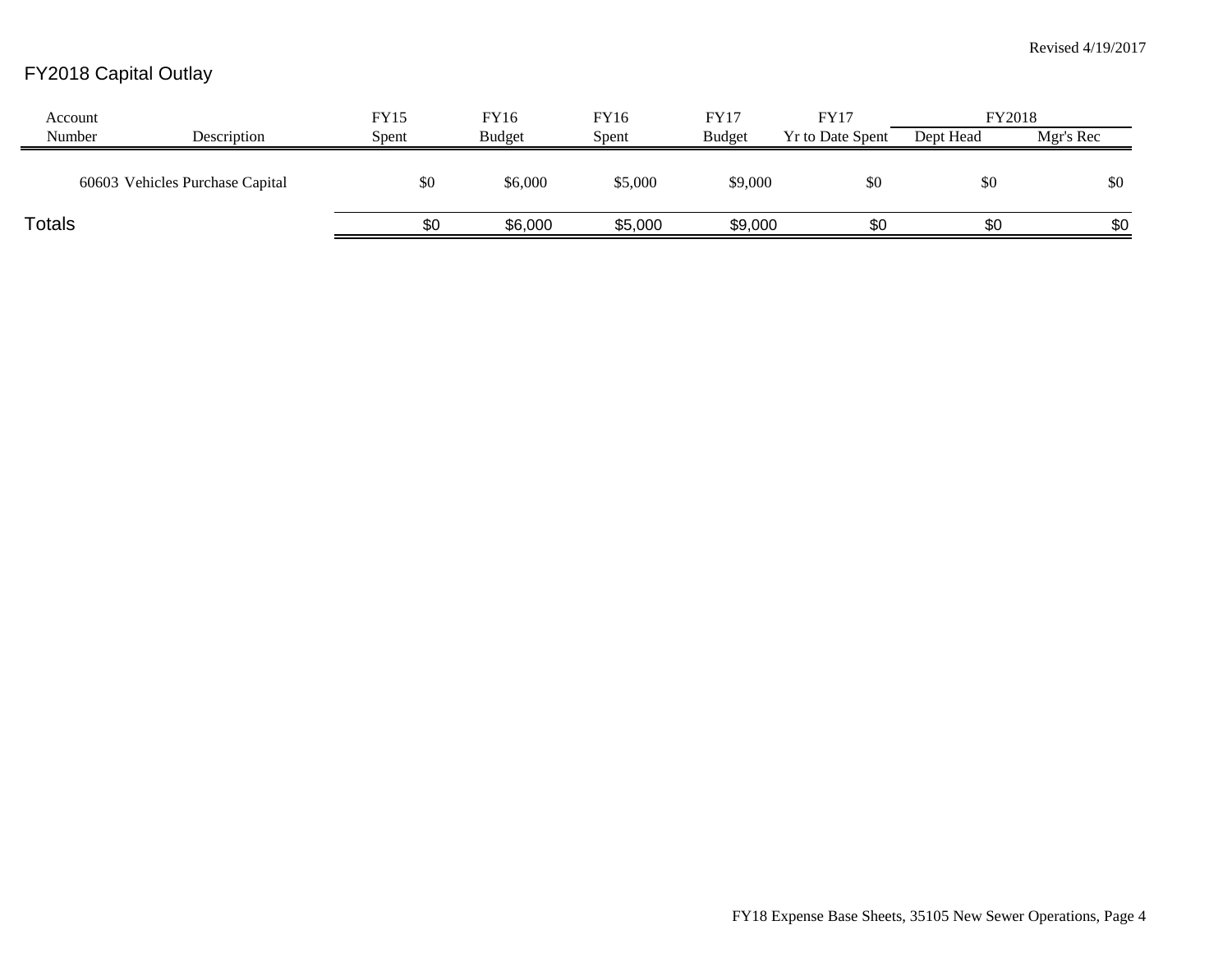# FY2018 Capital Outlay

| Account       |                                 | <b>FY15</b> | <b>FY16</b>   | FY16    | FY17          | FY17                    | FY2018    |           |
|---------------|---------------------------------|-------------|---------------|---------|---------------|-------------------------|-----------|-----------|
| Number        | Description                     | Spent       | <b>Budget</b> | Spent   | <b>Budget</b> | <b>Yr to Date Spent</b> | Dept Head | Mgr's Rec |
|               | 60603 Vehicles Purchase Capital | \$0         | \$6,000       | \$5,000 | \$9,000       | \$0                     | \$0       | \$0       |
| <b>Totals</b> |                                 | \$0         | \$6,000       | \$5,000 | \$9,000       | \$0                     | \$0       | \$0       |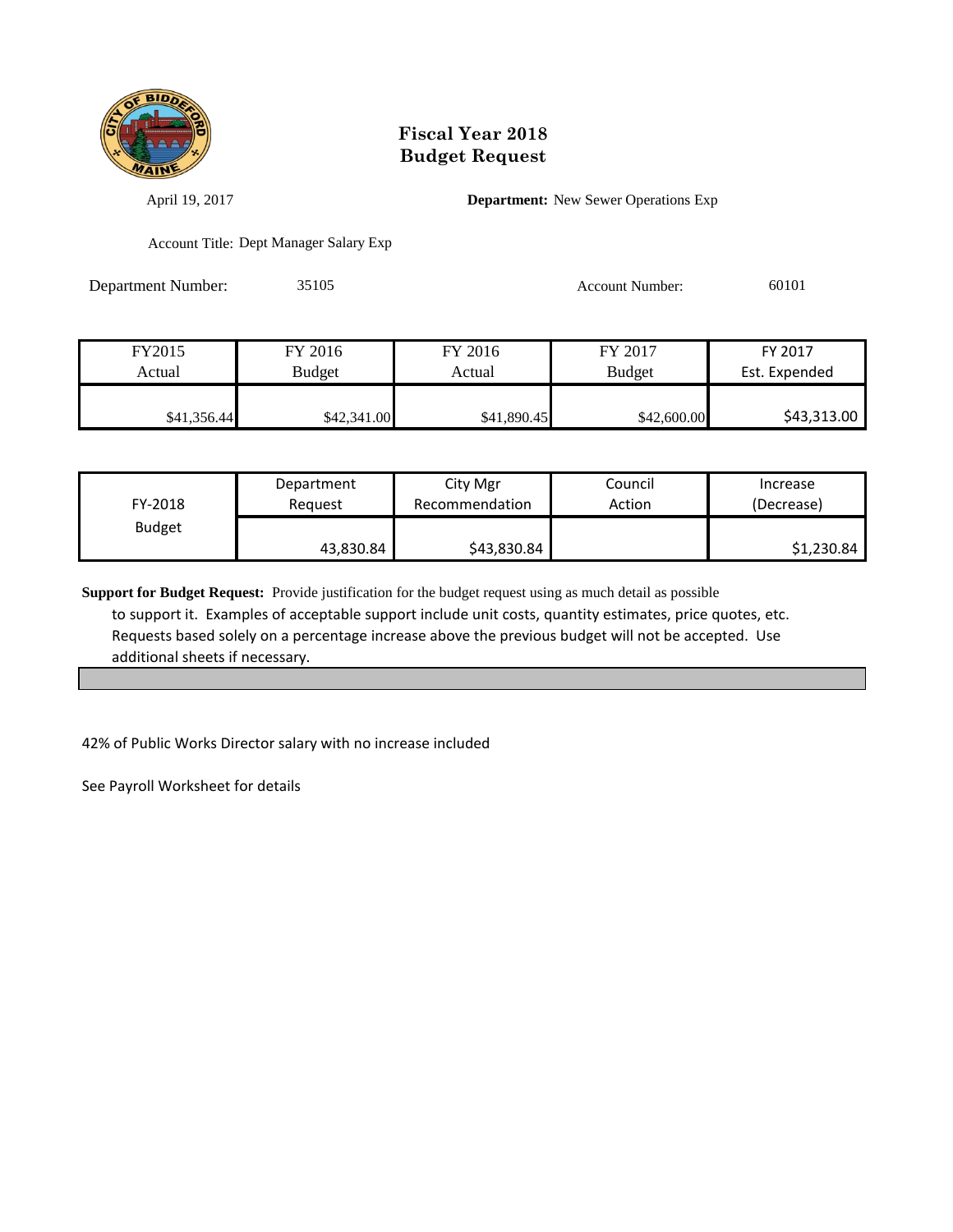

April 19, 2017 **Department:** New Sewer Operations Exp

Account Title: Dept Manager Salary Exp

Department Number: 35105 Account Number: 60101

| FY2015      | FY 2016       | FY 2016     | FY 2017       | FY 2017       |
|-------------|---------------|-------------|---------------|---------------|
| Actual      | <b>Budget</b> | Actual      | <b>Budget</b> | Est. Expended |
|             |               |             |               |               |
| \$41,356.44 | \$42,341.00   | \$41,890.45 | \$42,600.00   | \$43,313.00   |

| FY-2018       | Department | City Mgr       | Council | Increase   |
|---------------|------------|----------------|---------|------------|
|               | Reauest    | Recommendation | Action  | (Decrease) |
| <b>Budget</b> | 43,830.84  | \$43,830.84    |         | \$1,230.84 |

**Support for Budget Request:** Provide justification for the budget request using as much detail as possible to support it. Examples of acceptable support include unit costs, quantity estimates, price quotes, etc. Requests based solely on a percentage increase above the previous budget will not be accepted. Use additional sheets if necessary.

42% of Public Works Director salary with no increase included

See Payroll Worksheet for details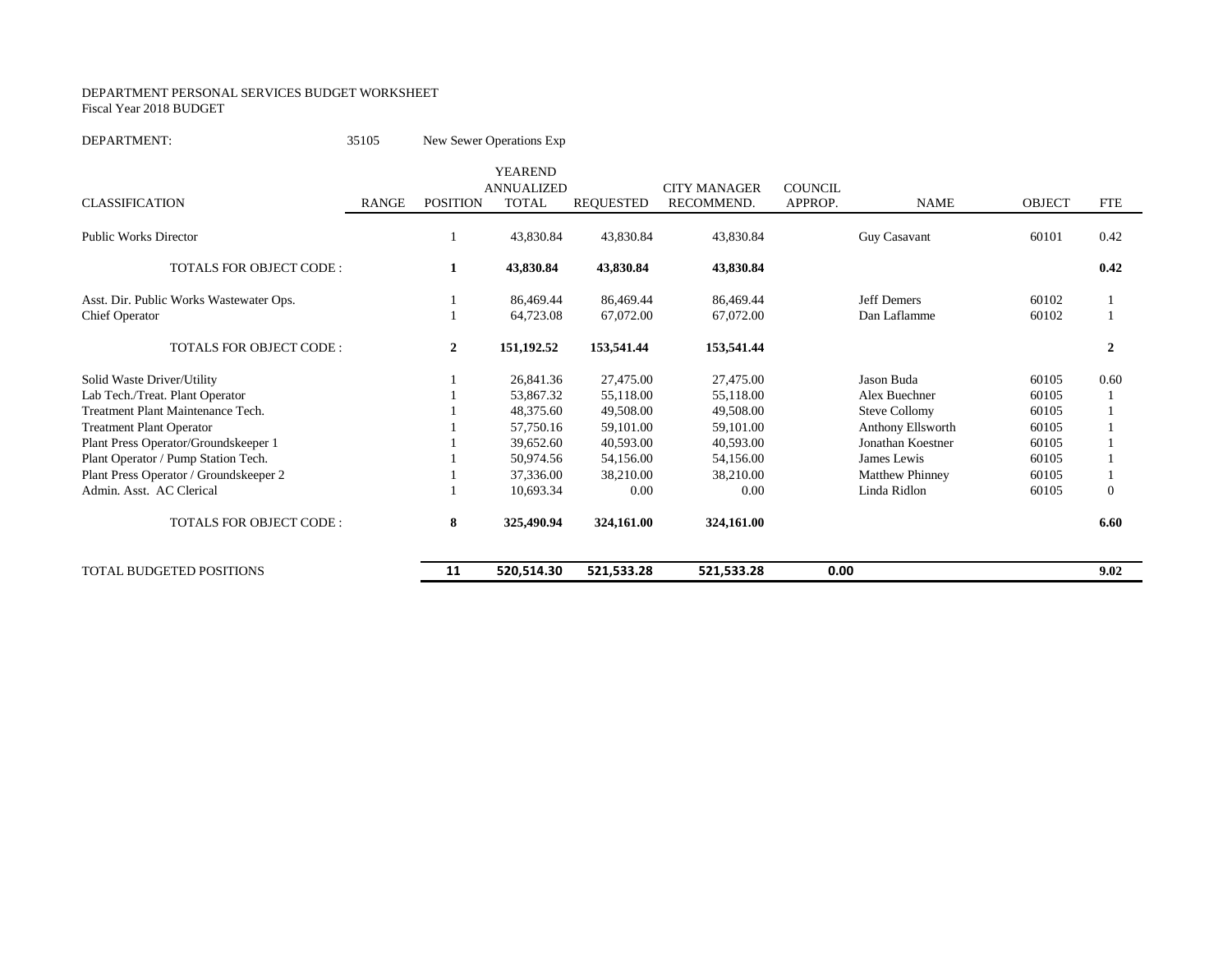#### DEPARTMENT PERSONAL SERVICES BUDGET WORKSHEET Fiscal Year 2018 BUDGET

#### DEPARTMENT: 35105 New Sewer Operations Exp

|                                         |              |                 | <b>YEAREND</b><br><b>ANNUALIZED</b> |                  | <b>CITY MANAGER</b> | <b>COUNCIL</b> |                        |               |              |
|-----------------------------------------|--------------|-----------------|-------------------------------------|------------------|---------------------|----------------|------------------------|---------------|--------------|
| <b>CLASSIFICATION</b>                   | <b>RANGE</b> | <b>POSITION</b> | <b>TOTAL</b>                        | <b>REQUESTED</b> | RECOMMEND.          | APPROP.        | <b>NAME</b>            | <b>OBJECT</b> | FTE          |
|                                         |              |                 |                                     |                  |                     |                |                        |               |              |
| <b>Public Works Director</b>            |              |                 | 43,830.84                           | 43,830.84        | 43,830.84           |                | Guy Casavant           | 60101         | 0.42         |
| <b>TOTALS FOR OBJECT CODE:</b>          |              | 1               | 43,830.84                           | 43,830.84        | 43,830.84           |                |                        |               | 0.42         |
| Asst. Dir. Public Works Wastewater Ops. |              |                 | 86,469.44                           | 86,469.44        | 86,469.44           |                | <b>Jeff Demers</b>     | 60102         |              |
| <b>Chief Operator</b>                   |              |                 | 64,723.08                           | 67,072.00        | 67,072.00           |                | Dan Laflamme           | 60102         | 1            |
| TOTALS FOR OBJECT CODE:                 |              | $\mathbf{2}$    | 151,192.52                          | 153,541.44       | 153,541.44          |                |                        |               | $\mathbf{2}$ |
| Solid Waste Driver/Utility              |              |                 | 26,841.36                           | 27,475.00        | 27,475.00           |                | Jason Buda             | 60105         | 0.60         |
| Lab Tech./Treat. Plant Operator         |              |                 | 53,867.32                           | 55,118.00        | 55,118.00           |                | Alex Buechner          | 60105         |              |
| Treatment Plant Maintenance Tech.       |              |                 | 48,375.60                           | 49,508.00        | 49,508.00           |                | <b>Steve Collomy</b>   | 60105         |              |
| <b>Treatment Plant Operator</b>         |              |                 | 57,750.16                           | 59,101.00        | 59.101.00           |                | Anthony Ellsworth      | 60105         |              |
| Plant Press Operator/Groundskeeper 1    |              |                 | 39,652.60                           | 40,593.00        | 40.593.00           |                | Jonathan Koestner      | 60105         |              |
| Plant Operator / Pump Station Tech.     |              |                 | 50,974.56                           | 54,156.00        | 54,156.00           |                | James Lewis            | 60105         |              |
| Plant Press Operator / Groundskeeper 2  |              |                 | 37,336.00                           | 38,210.00        | 38,210.00           |                | <b>Matthew Phinney</b> | 60105         |              |
| Admin. Asst. AC Clerical                |              |                 | 10,693.34                           | 0.00             | 0.00                |                | Linda Ridlon           | 60105         | $\mathbf{0}$ |
| <b>TOTALS FOR OBJECT CODE:</b>          |              | 8               | 325,490.94                          | 324,161.00       | 324,161.00          |                |                        |               | 6.60         |
| <b>TOTAL BUDGETED POSITIONS</b>         |              | 11              | 520,514.30                          | 521,533.28       | 521,533.28          | 0.00           |                        |               | 9.02         |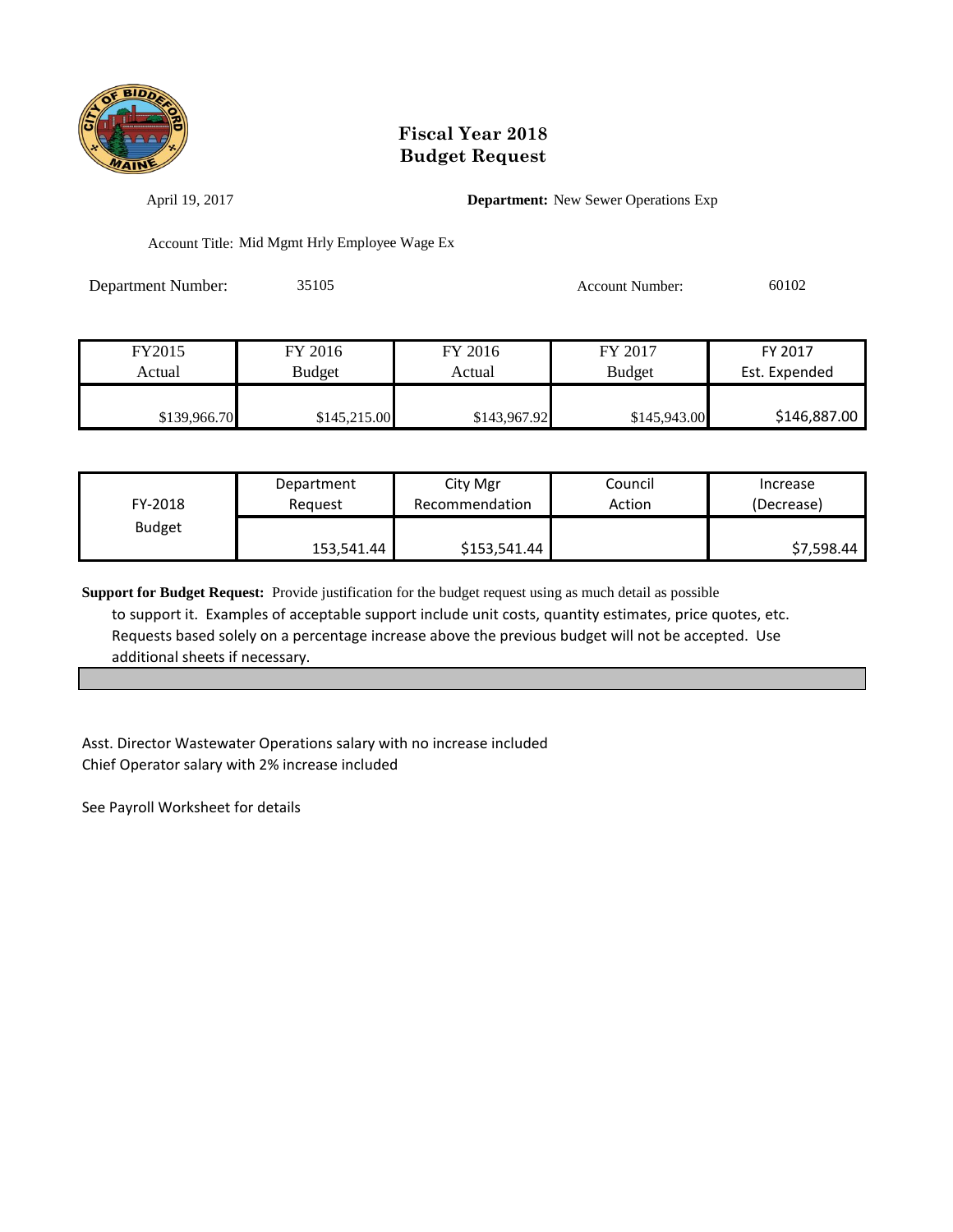

April 19, 2017 **Department:** New Sewer Operations Exp

Account Title: Mid Mgmt Hrly Employee Wage Ex

Department Number: 35105 Account Number: 60102

| FY2015       | FY 2016      | FY 2016      | FY 2017       | FY 2017       |
|--------------|--------------|--------------|---------------|---------------|
| Actual       | Budget       | Actual       | <b>Budget</b> | Est. Expended |
|              |              |              |               |               |
| \$139,966.70 | \$145.215.00 | \$143,967.92 | \$145,943.00  | \$146,887.00  |

| FY-2018       | Department | City Mgr       | Council | Increase   |
|---------------|------------|----------------|---------|------------|
|               | Reauest    | Recommendation | Action  | (Decrease) |
| <b>Budget</b> | 153,541.44 | \$153,541.44   |         | \$7,598.44 |

**Support for Budget Request:** Provide justification for the budget request using as much detail as possible to support it. Examples of acceptable support include unit costs, quantity estimates, price quotes, etc. Requests based solely on a percentage increase above the previous budget will not be accepted. Use additional sheets if necessary.

Asst. Director Wastewater Operations salary with no increase included Chief Operator salary with 2% increase included

See Payroll Worksheet for details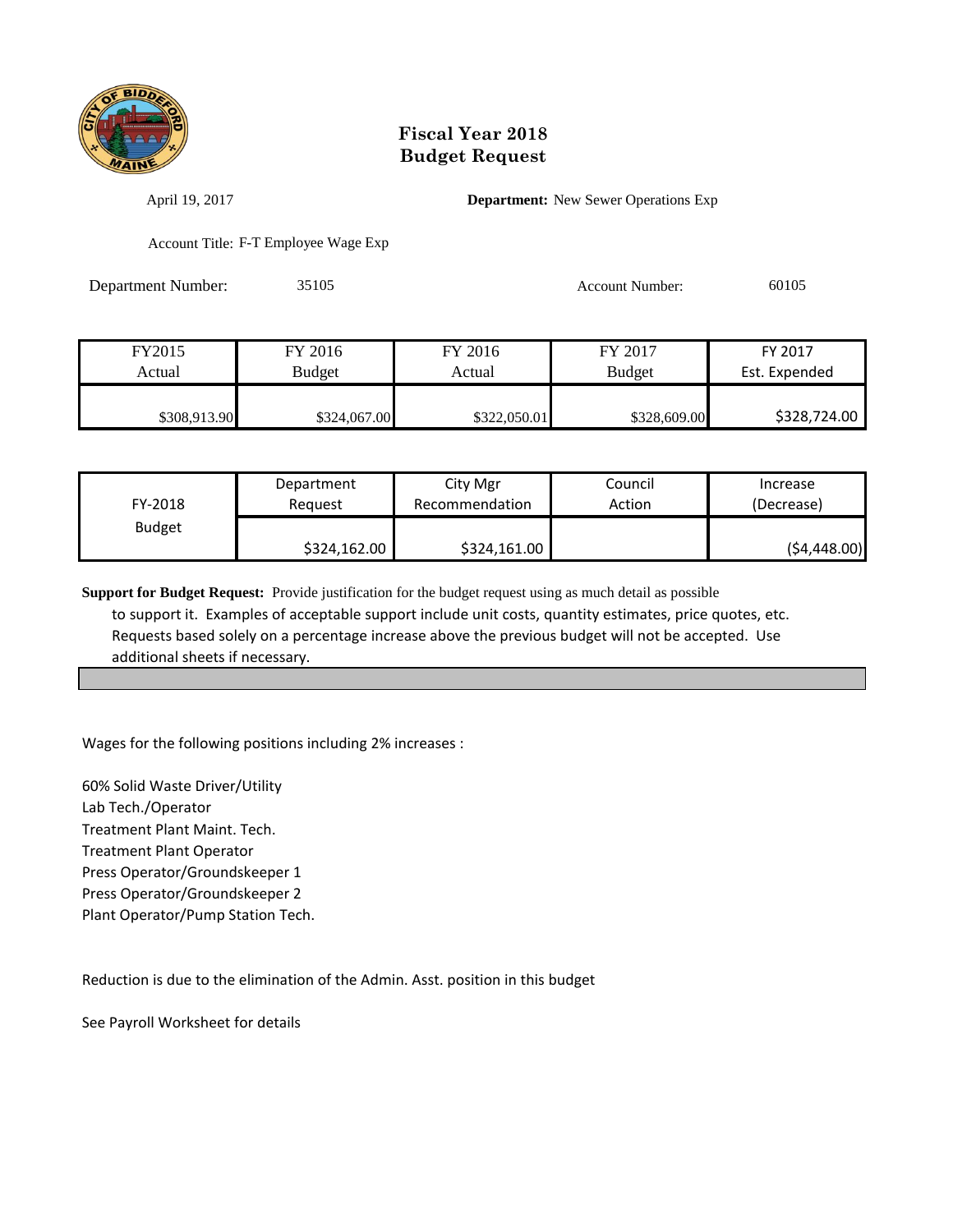

April 19, 2017 **Department:** New Sewer Operations Exp

Account Title: F-T Employee Wage Exp

Department Number: 35105 Account Number: 60105

| FY2015       | FY 2016      | FY 2016      | FY 2017       | FY 2017       |
|--------------|--------------|--------------|---------------|---------------|
| Actual       | Budget       | Actual       | <b>Budget</b> | Est. Expended |
|              |              |              |               |               |
| \$308,913.90 | \$324,067.00 | \$322,050.01 | \$328,609.00  | \$328,724.00  |

| FY-2018       | Department   | City Mgr       | Council | Increase     |
|---------------|--------------|----------------|---------|--------------|
|               | Reauest      | Recommendation | Action  | (Decrease)   |
| <b>Budget</b> | \$324,162.00 | \$324,161.00   |         | (54, 448.00) |

**Support for Budget Request:** Provide justification for the budget request using as much detail as possible to support it. Examples of acceptable support include unit costs, quantity estimates, price quotes, etc. Requests based solely on a percentage increase above the previous budget will not be accepted. Use additional sheets if necessary.

Wages for the following positions including 2% increases :

60% Solid Waste Driver/Utility Lab Tech./Operator Treatment Plant Maint. Tech. Treatment Plant Operator Press Operator/Groundskeeper 1 Press Operator/Groundskeeper 2 Plant Operator/Pump Station Tech.

Reduction is due to the elimination of the Admin. Asst. position in this budget

See Payroll Worksheet for details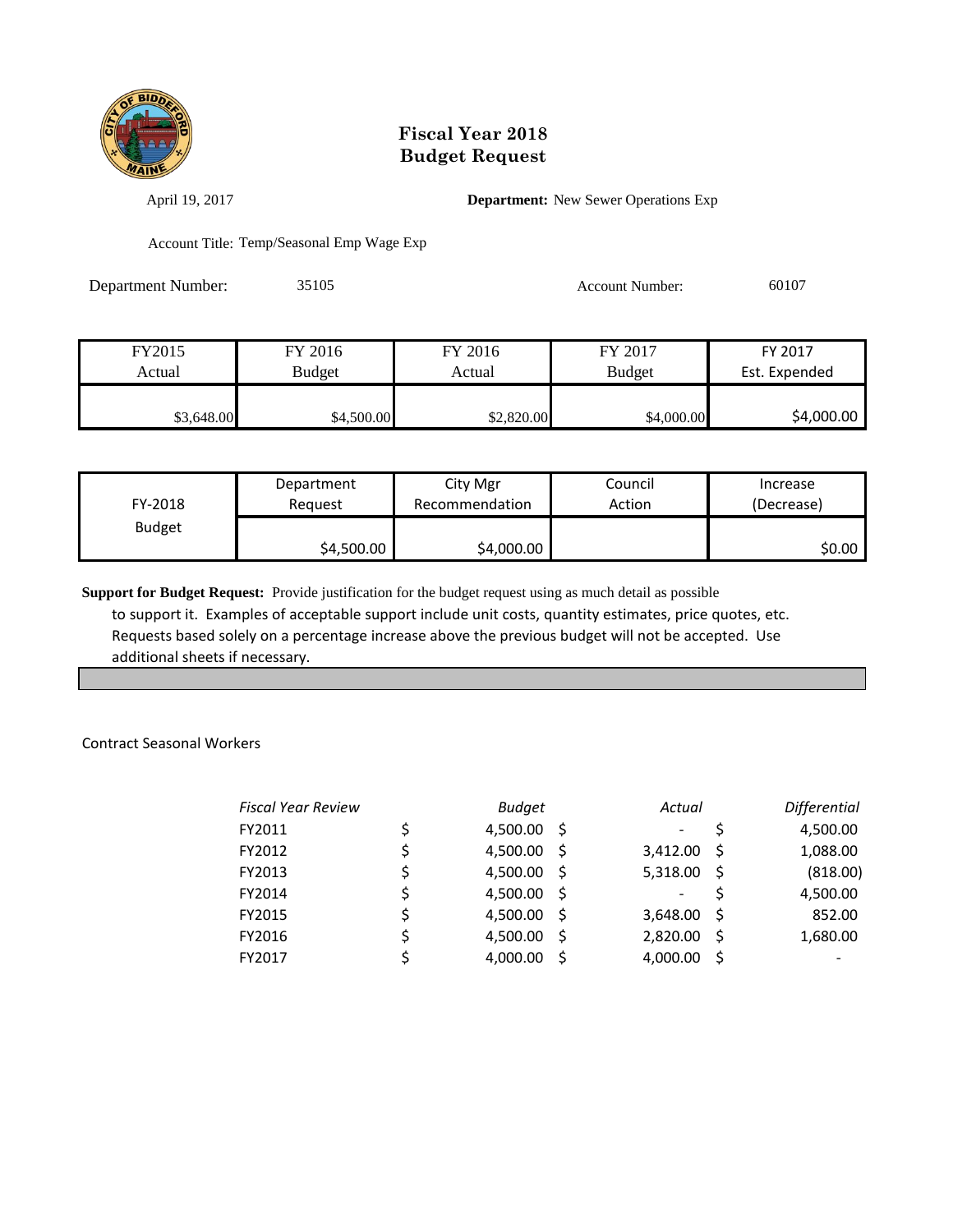

April 19, 2017 **Department:** New Sewer Operations Exp

Account Title: Temp/Seasonal Emp Wage Exp

Department Number: 35105 Account Number: 60107

| FY2015     | FY 2016       | FY 2016    | FY 2017       | FY 2017       |
|------------|---------------|------------|---------------|---------------|
| Actual     | <b>Budget</b> | Actual     | <b>Budget</b> | Est. Expended |
|            |               |            |               |               |
| \$3,648.00 | \$4,500.00    | \$2,820.00 | \$4,000.00    | \$4,000.00    |

| FY-2018       | Department | City Mgr       | Council | Increase   |
|---------------|------------|----------------|---------|------------|
|               | Reauest    | Recommendation | Action  | (Decrease) |
| <b>Budget</b> | \$4,500.00 | \$4,000.00     |         | \$0.00     |

**Support for Budget Request:** Provide justification for the budget request using as much detail as possible to support it. Examples of acceptable support include unit costs, quantity estimates, price quotes, etc. Requests based solely on a percentage increase above the previous budget will not be accepted. Use additional sheets if necessary.

Contract Seasonal Workers

| <b>Fiscal Year Review</b> | <b>Budget</b>  |     | Actual          |    | <b>Differential</b> |
|---------------------------|----------------|-----|-----------------|----|---------------------|
| FY2011                    | \$<br>4,500.00 | - S | $\qquad \qquad$ |    | 4,500.00            |
| FY2012                    | \$<br>4,500.00 | -S  | 3,412.00        | -S | 1,088.00            |
| FY2013                    | \$<br>4,500.00 | - S | 5,318.00        | .S | (818.00)            |
| FY2014                    | \$<br>4,500.00 | -S  | -               |    | 4,500.00            |
| FY2015                    | \$<br>4,500.00 | -S  | 3,648.00        | -S | 852.00              |
| FY2016                    | \$<br>4,500.00 | S   | 2,820.00        | Ŝ  | 1,680.00            |
| FY2017                    | 4.000.00       |     | 4.000.00        | \$ |                     |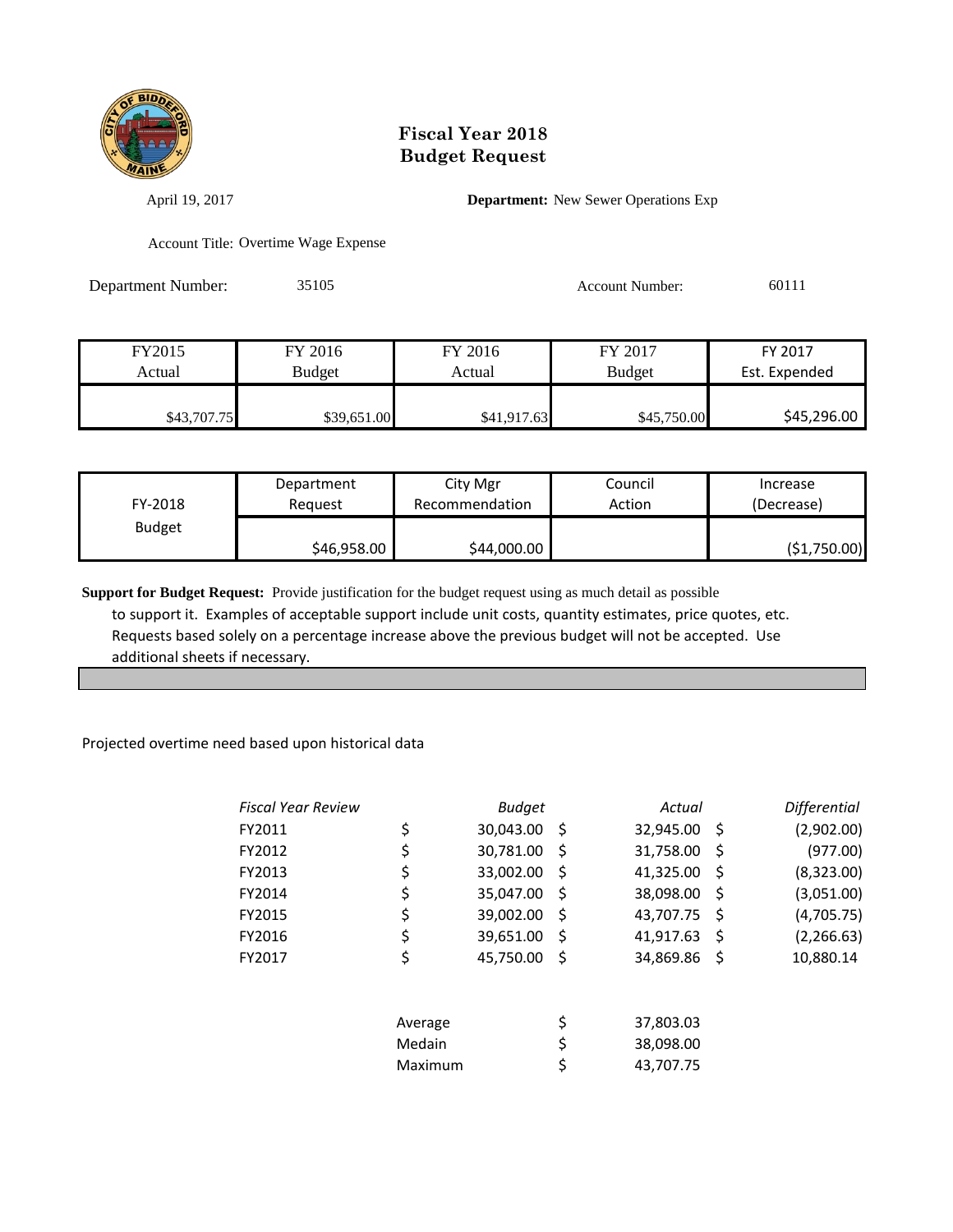

April 19, 2017 **Department:** New Sewer Operations Exp

Account Title: Overtime Wage Expense

Department Number: 35105 Account Number: 60111

| FY2015      | FY 2016     | FY 2016     | FY 2017       | FY 2017       |
|-------------|-------------|-------------|---------------|---------------|
| Actual      | Budget      | Actual      | <b>Budget</b> | Est. Expended |
|             |             |             |               |               |
| \$43,707.75 | \$39,651.00 | \$41,917.63 | \$45,750.00   | \$45,296.00   |

| FY-2018       | Department  | City Mgr       | Council | Increase    |
|---------------|-------------|----------------|---------|-------------|
|               | Reauest     | Recommendation | Action  | (Decrease)  |
| <b>Budget</b> | \$46,958.00 | \$44,000.00    |         | (51,750.00) |

**Support for Budget Request:** Provide justification for the budget request using as much detail as possible to support it. Examples of acceptable support include unit costs, quantity estimates, price quotes, etc. Requests based solely on a percentage increase above the previous budget will not be accepted. Use additional sheets if necessary.

#### Projected overtime need based upon historical data

| Fiscal Year Review |         | <b>Budget</b> |    | Actual       |      | <b>Differential</b> |
|--------------------|---------|---------------|----|--------------|------|---------------------|
| FY2011             | \$      | 30,043.00 \$  |    | 32,945.00 \$ |      | (2,902.00)          |
| FY2012             | \$      | 30,781.00     | S  | 31,758.00    | S    | (977.00)            |
| FY2013             | \$      | 33,002.00     | S  | 41,325.00    | Ŝ    | (8,323.00)          |
| FY2014             | \$      | 35,047.00     | Ŝ  | 38,098.00    | S    | (3,051.00)          |
| FY2015             | \$      | 39,002.00     | \$ | 43,707.75    | - S  | (4,705.75)          |
| FY2016             | \$      | 39,651.00     | -S | 41,917.63    | - S  | (2, 266.63)         |
| FY2017             | \$      | 45,750.00     | S  | 34,869.86    | - \$ | 10,880.14           |
|                    | Average |               | \$ | 37,803.03    |      |                     |
|                    | Medain  |               | \$ | 38,098.00    |      |                     |
|                    | Maximum |               | \$ | 43,707.75    |      |                     |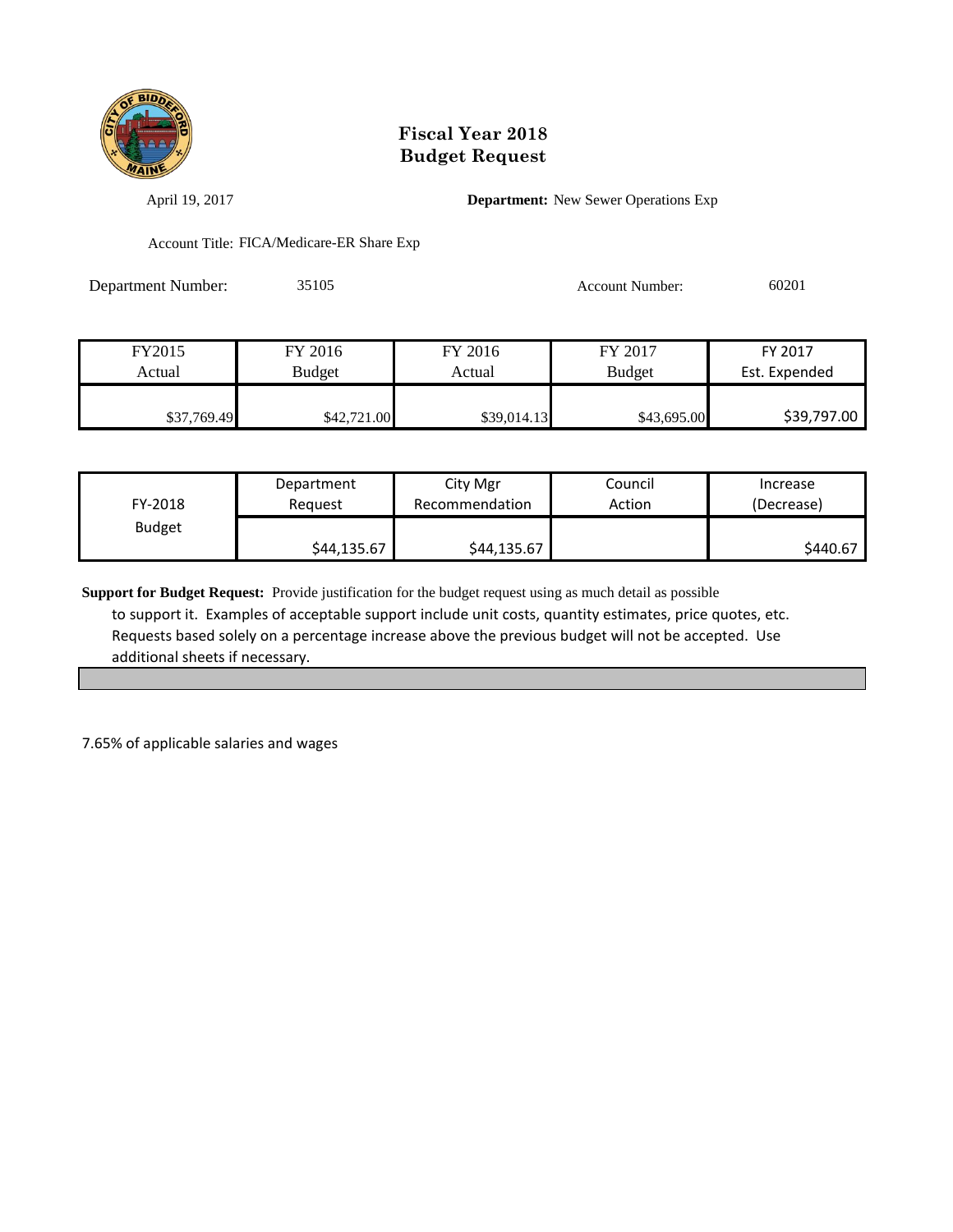

April 19, 2017 **Department:** New Sewer Operations Exp

Account Title: FICA/Medicare-ER Share Exp

Department Number: 35105 Account Number: 60201

| FY2015      | FY 2016     | FY 2016     | FY 2017       | FY 2017       |
|-------------|-------------|-------------|---------------|---------------|
| Actual      | Budget      | Actual      | <b>Budget</b> | Est. Expended |
|             |             |             |               |               |
| \$37,769.49 | \$42,721.00 | \$39,014.13 | \$43,695.00   | \$39,797.00   |

| FY-2018       | Department  | City Mgr       | Council | Increase   |
|---------------|-------------|----------------|---------|------------|
|               | Reauest     | Recommendation | Action  | (Decrease) |
| <b>Budget</b> | \$44,135.67 | \$44,135.67    |         | \$440.67   |

**Support for Budget Request:** Provide justification for the budget request using as much detail as possible to support it. Examples of acceptable support include unit costs, quantity estimates, price quotes, etc. Requests based solely on a percentage increase above the previous budget will not be accepted. Use additional sheets if necessary.

7.65% of applicable salaries and wages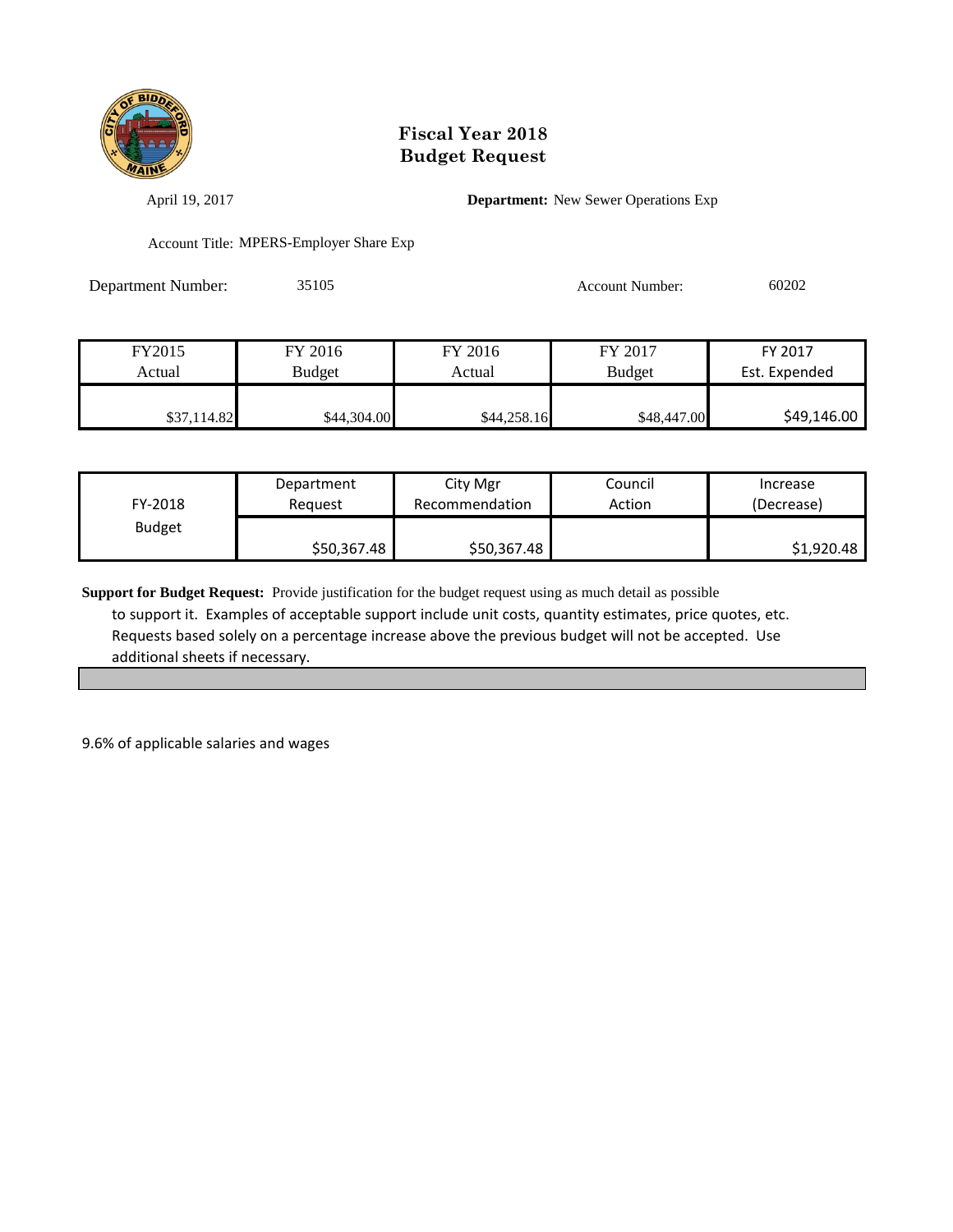

April 19, 2017 **Department:** New Sewer Operations Exp

Account Title: MPERS-Employer Share Exp

| Department Number: | 35105 | <b>Account Number:</b> | 60202 |
|--------------------|-------|------------------------|-------|
|                    |       |                        |       |

| FY2015      | FY 2016     | FY 2016     | FY 2017       | FY 2017       |
|-------------|-------------|-------------|---------------|---------------|
| Actual      | Budget      | Actual      | <b>Budget</b> | Est. Expended |
|             |             |             |               |               |
| \$37,114.82 | \$44,304.00 | \$44,258.16 | \$48,447.00   | \$49,146.00   |

| FY-2018       | Department  | City Mgr       | Council | Increase   |
|---------------|-------------|----------------|---------|------------|
|               | Reguest     | Recommendation | Action  | (Decrease) |
| <b>Budget</b> | \$50,367.48 | \$50,367.48    |         | \$1,920.48 |

**Support for Budget Request:** Provide justification for the budget request using as much detail as possible to support it. Examples of acceptable support include unit costs, quantity estimates, price quotes, etc. Requests based solely on a percentage increase above the previous budget will not be accepted. Use additional sheets if necessary.

9.6% of applicable salaries and wages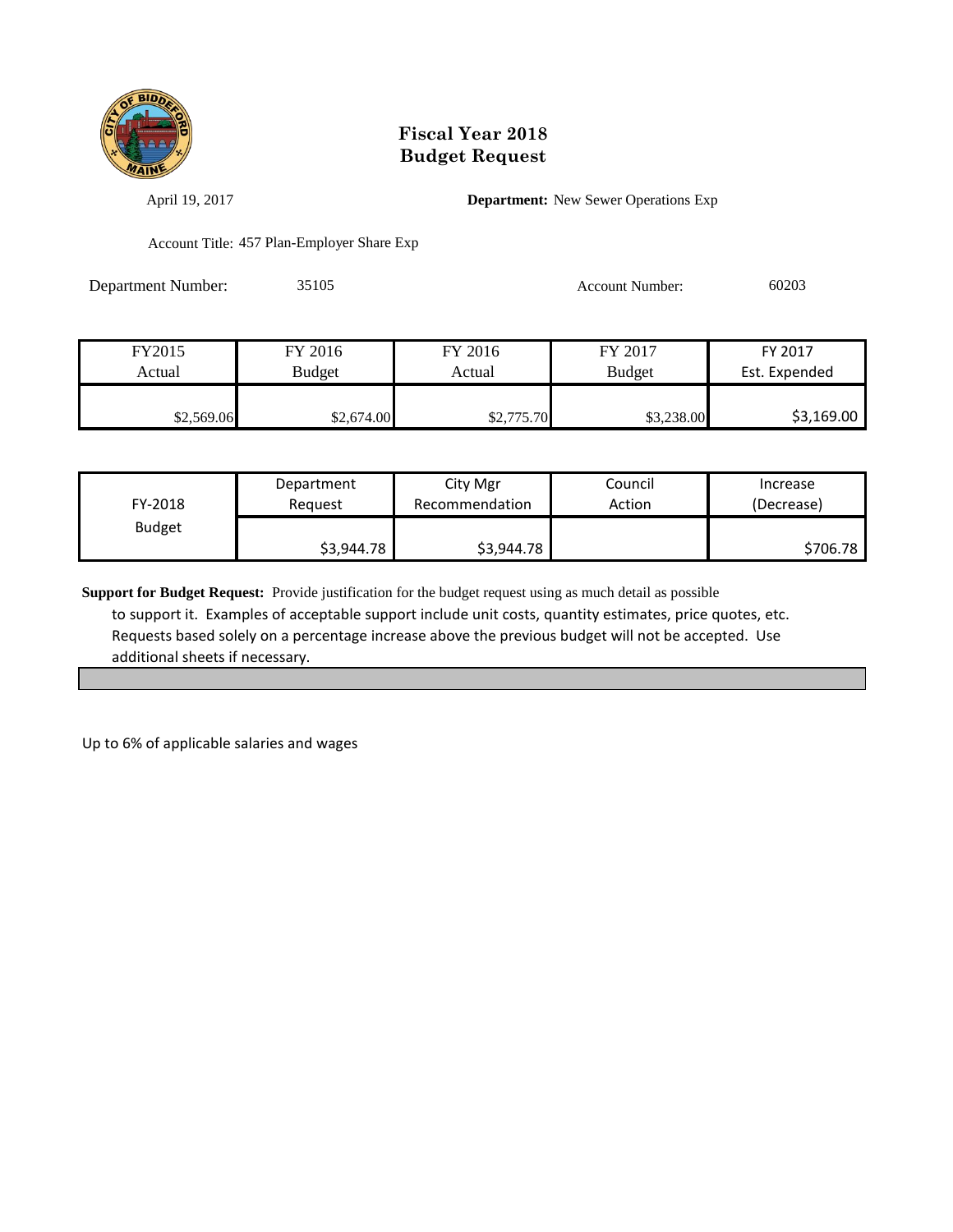

April 19, 2017 **Department:** New Sewer Operations Exp

Account Title: 457 Plan-Employer Share Exp

| Department Number: | 35105 | Account Number: | 60203 |
|--------------------|-------|-----------------|-------|
|                    |       |                 |       |

| FY2015     | FY 2016       | FY 2016    | FY 2017       | FY 2017       |
|------------|---------------|------------|---------------|---------------|
| Actual     | <b>Budget</b> | Actual     | <b>Budget</b> | Est. Expended |
|            |               |            |               |               |
| \$2,569.06 | \$2,674.00    | \$2,775.70 | \$3,238.00    | \$3,169.00    |

| FY-2018       | Department | City Mgr       | Council | Increase   |
|---------------|------------|----------------|---------|------------|
|               | Reguest    | Recommendation | Action  | (Decrease) |
| <b>Budget</b> | \$3,944.78 | \$3,944.78     |         | \$706.78   |

**Support for Budget Request:** Provide justification for the budget request using as much detail as possible to support it. Examples of acceptable support include unit costs, quantity estimates, price quotes, etc. Requests based solely on a percentage increase above the previous budget will not be accepted. Use additional sheets if necessary.

Up to 6% of applicable salaries and wages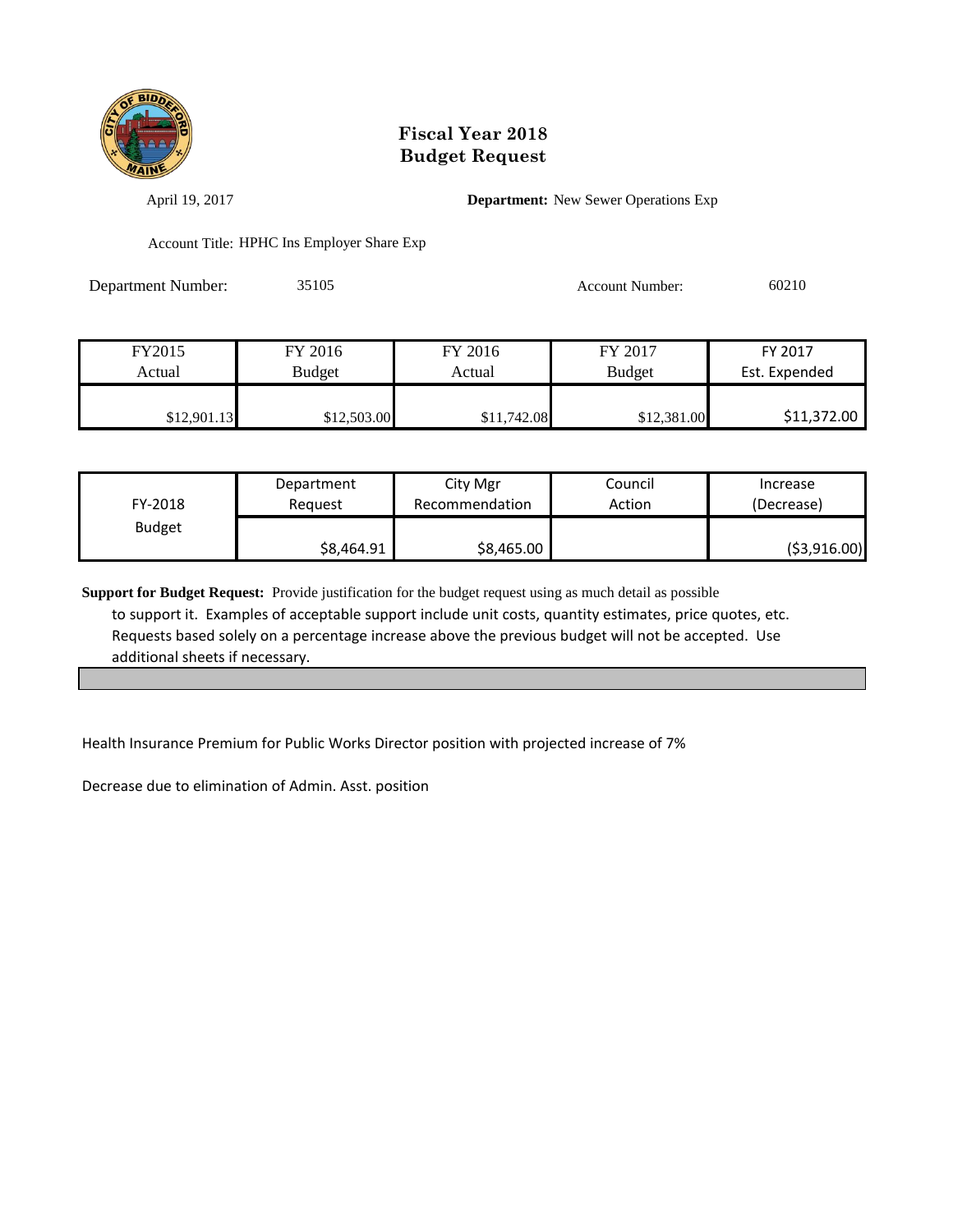

April 19, 2017 **Department:** New Sewer Operations Exp

Account Title: HPHC Ins Employer Share Exp

| Department Number: | 35105 | Account Number: | 60210 |
|--------------------|-------|-----------------|-------|
|                    |       |                 |       |

| FY2015      | FY 2016       | FY 2016     | FY 2017     | FY 2017       |
|-------------|---------------|-------------|-------------|---------------|
| Actual      | <b>Budget</b> | Actual      | Budget      | Est. Expended |
|             |               |             |             |               |
| \$12,901.13 | \$12,503.00   | \$11,742.08 | \$12,381.00 | \$11,372.00   |

| FY-2018       | Department | City Mgr       | Council | Increase      |
|---------------|------------|----------------|---------|---------------|
|               | Reauest    | Recommendation | Action  | (Decrease)    |
| <b>Budget</b> | \$8,464.91 | \$8,465.00     |         | ( \$3,916.00) |

**Support for Budget Request:** Provide justification for the budget request using as much detail as possible to support it. Examples of acceptable support include unit costs, quantity estimates, price quotes, etc. Requests based solely on a percentage increase above the previous budget will not be accepted. Use additional sheets if necessary.

Health Insurance Premium for Public Works Director position with projected increase of 7%

Decrease due to elimination of Admin. Asst. position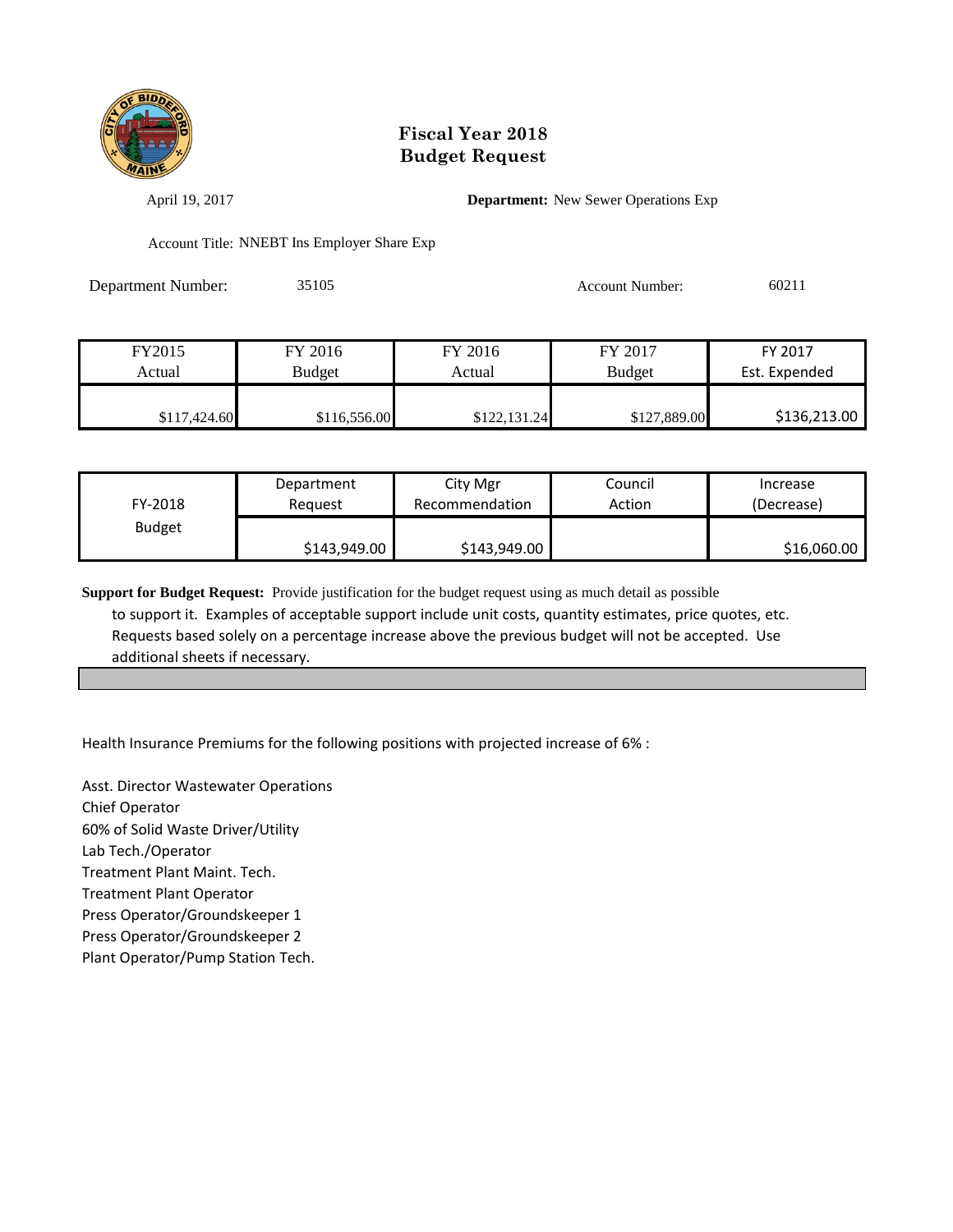

April 19, 2017 **Department:** New Sewer Operations Exp

Account Title: NNEBT Ins Employer Share Exp

Department Number: 35105 Account Number: 60211

| FY2015       | FY 2016       | FY 2016      | FY 2017       | FY 2017       |
|--------------|---------------|--------------|---------------|---------------|
| Actual       | <b>Budget</b> | Actual       | <b>Budget</b> | Est. Expended |
|              |               |              |               |               |
| \$117,424.60 | \$116,556.00  | \$122.131.24 | \$127,889.00  | \$136,213.00  |

| FY-2018       | Department   | City Mgr       | Council | Increase    |
|---------------|--------------|----------------|---------|-------------|
|               | Reauest      | Recommendation | Action  | (Decrease)  |
| <b>Budget</b> | \$143,949.00 | \$143,949.00   |         | \$16,060.00 |

**Support for Budget Request:** Provide justification for the budget request using as much detail as possible to support it. Examples of acceptable support include unit costs, quantity estimates, price quotes, etc. Requests based solely on a percentage increase above the previous budget will not be accepted. Use additional sheets if necessary.

Health Insurance Premiums for the following positions with projected increase of 6% :

Asst. Director Wastewater Operations Chief Operator 60% of Solid Waste Driver/Utility Lab Tech./Operator Treatment Plant Maint. Tech. Treatment Plant Operator Press Operator/Groundskeeper 1 Press Operator/Groundskeeper 2 Plant Operator/Pump Station Tech.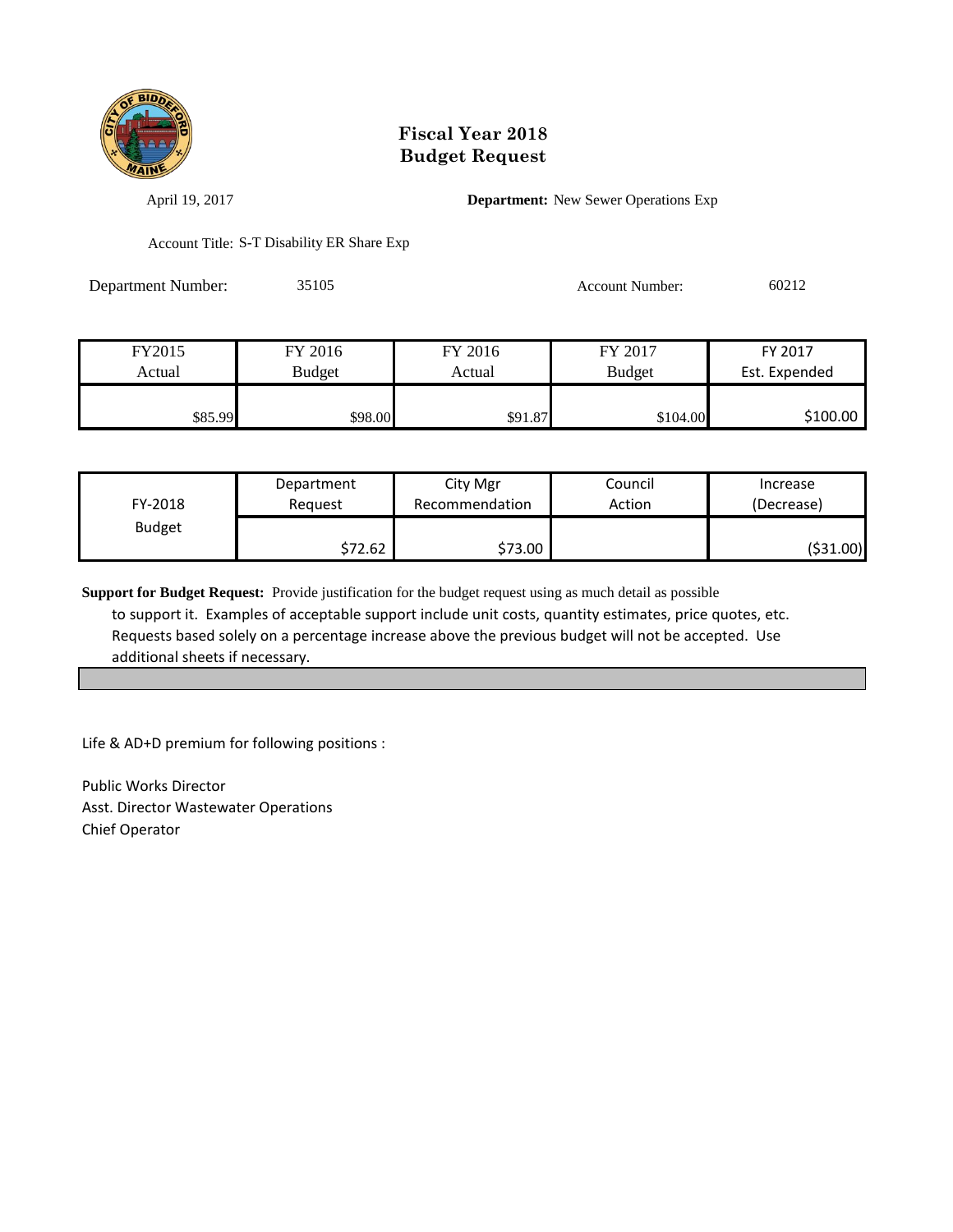

April 19, 2017 **Department:** New Sewer Operations Exp

Account Title: S-T Disability ER Share Exp

Department Number: 35105 Account Number: 60212

| FY2015  | FY 2016 | FY 2016 | FY 2017       | FY 2017       |
|---------|---------|---------|---------------|---------------|
| Actual  | Budget  | Actual  | <b>Budget</b> | Est. Expended |
|         |         |         |               |               |
| \$85.99 | \$98.00 | \$91.87 | \$104.00      | \$100.00      |

| FY-2018       | Department | City Mgr       | Council | Increase   |
|---------------|------------|----------------|---------|------------|
|               | Reauest    | Recommendation | Action  | (Decrease) |
| <b>Budget</b> | \$72.62    | \$73.00        |         | (\$31.00)  |

**Support for Budget Request:** Provide justification for the budget request using as much detail as possible to support it. Examples of acceptable support include unit costs, quantity estimates, price quotes, etc. Requests based solely on a percentage increase above the previous budget will not be accepted. Use additional sheets if necessary.

Life & AD+D premium for following positions :

Public Works Director Asst. Director Wastewater Operations Chief Operator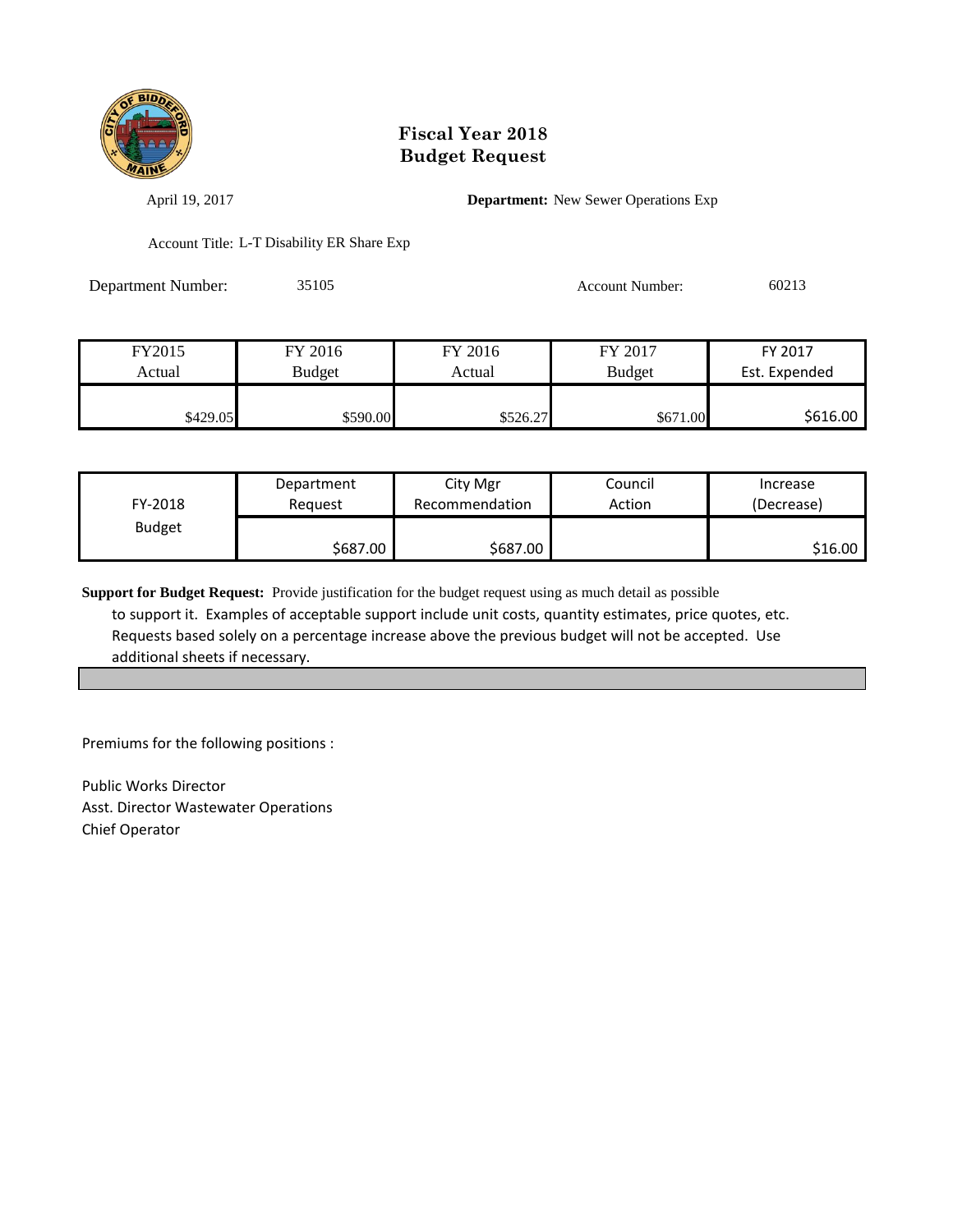

April 19, 2017 **Department:** New Sewer Operations Exp

Account Title: L-T Disability ER Share Exp

Department Number: 35105 Account Number: 60213

| FY2015   | FY 2016       | FY 2016  | FY 2017       | FY 2017       |
|----------|---------------|----------|---------------|---------------|
| Actual   | <b>Budget</b> | Actual   | <b>Budget</b> | Est. Expended |
|          |               |          |               |               |
| \$429.05 | \$590.00      | \$526.27 | \$671.00      | \$616.00      |

| FY-2018       | Department | City Mgr       | Council | Increase   |
|---------------|------------|----------------|---------|------------|
|               | Reauest    | Recommendation | Action  | (Decrease) |
| <b>Budget</b> | \$687.00∣  | \$687.00       |         | \$16.00    |

**Support for Budget Request:** Provide justification for the budget request using as much detail as possible to support it. Examples of acceptable support include unit costs, quantity estimates, price quotes, etc. Requests based solely on a percentage increase above the previous budget will not be accepted. Use additional sheets if necessary.

Premiums for the following positions :

Public Works Director Asst. Director Wastewater Operations Chief Operator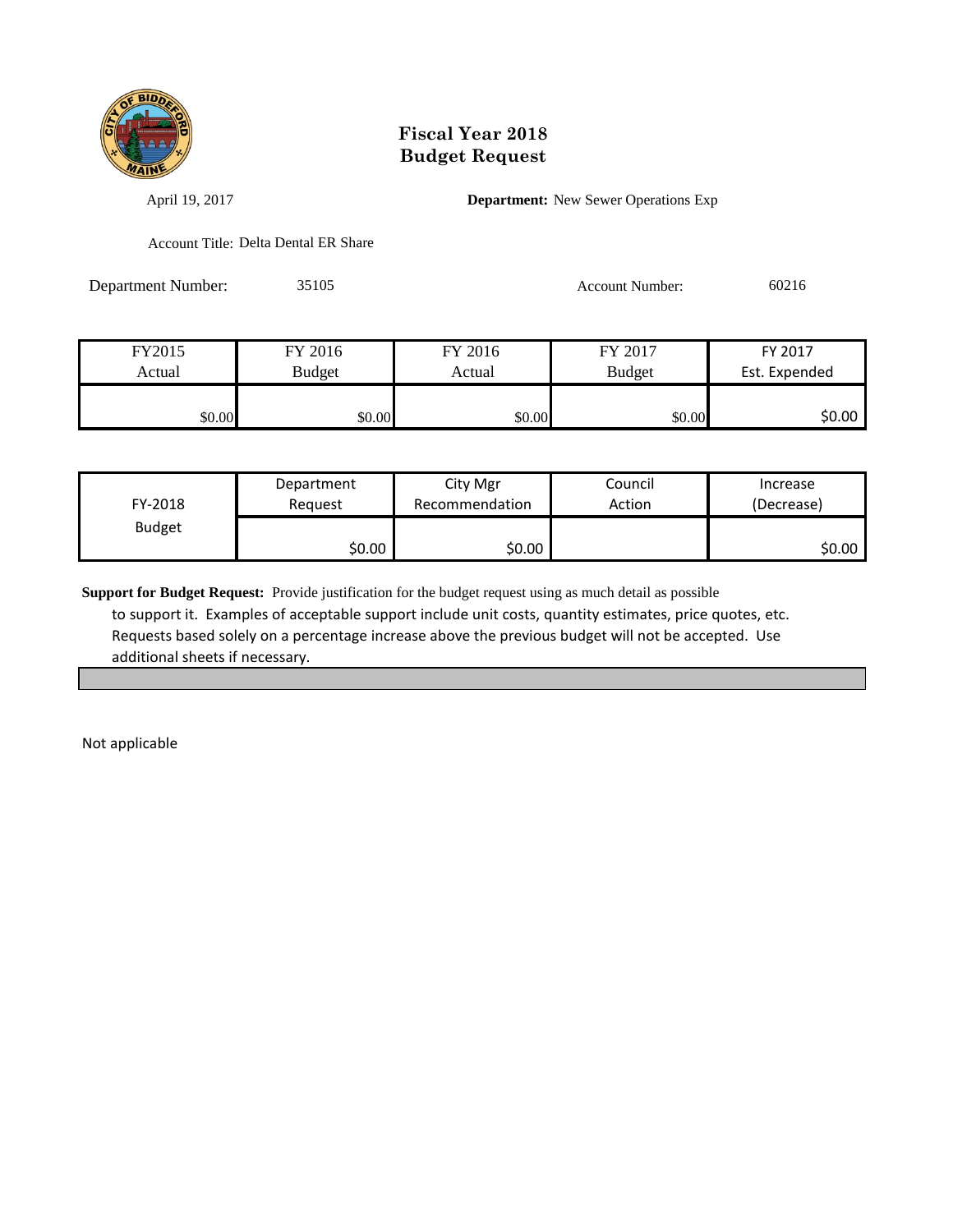

April 19, 2017 **Department:** New Sewer Operations Exp

Account Title: Delta Dental ER Share

Department Number: 35105 Account Number: 60216

| FY2015 | FY 2016 | FY 2016 | FY 2017       | FY 2017       |
|--------|---------|---------|---------------|---------------|
| Actual | Budget  | Actual  | <b>Budget</b> | Est. Expended |
|        |         |         |               |               |
| \$0.00 | \$0.00  | \$0.00  | \$0.00        | \$0.00        |

| FY-2018       | Department | City Mgr       | Council | Increase   |
|---------------|------------|----------------|---------|------------|
|               | Reauest    | Recommendation | Action  | (Decrease) |
| <b>Budget</b> | \$0.00     | \$0.00         |         | \$0.00     |

**Support for Budget Request:** Provide justification for the budget request using as much detail as possible to support it. Examples of acceptable support include unit costs, quantity estimates, price quotes, etc. Requests based solely on a percentage increase above the previous budget will not be accepted. Use additional sheets if necessary.

Not applicable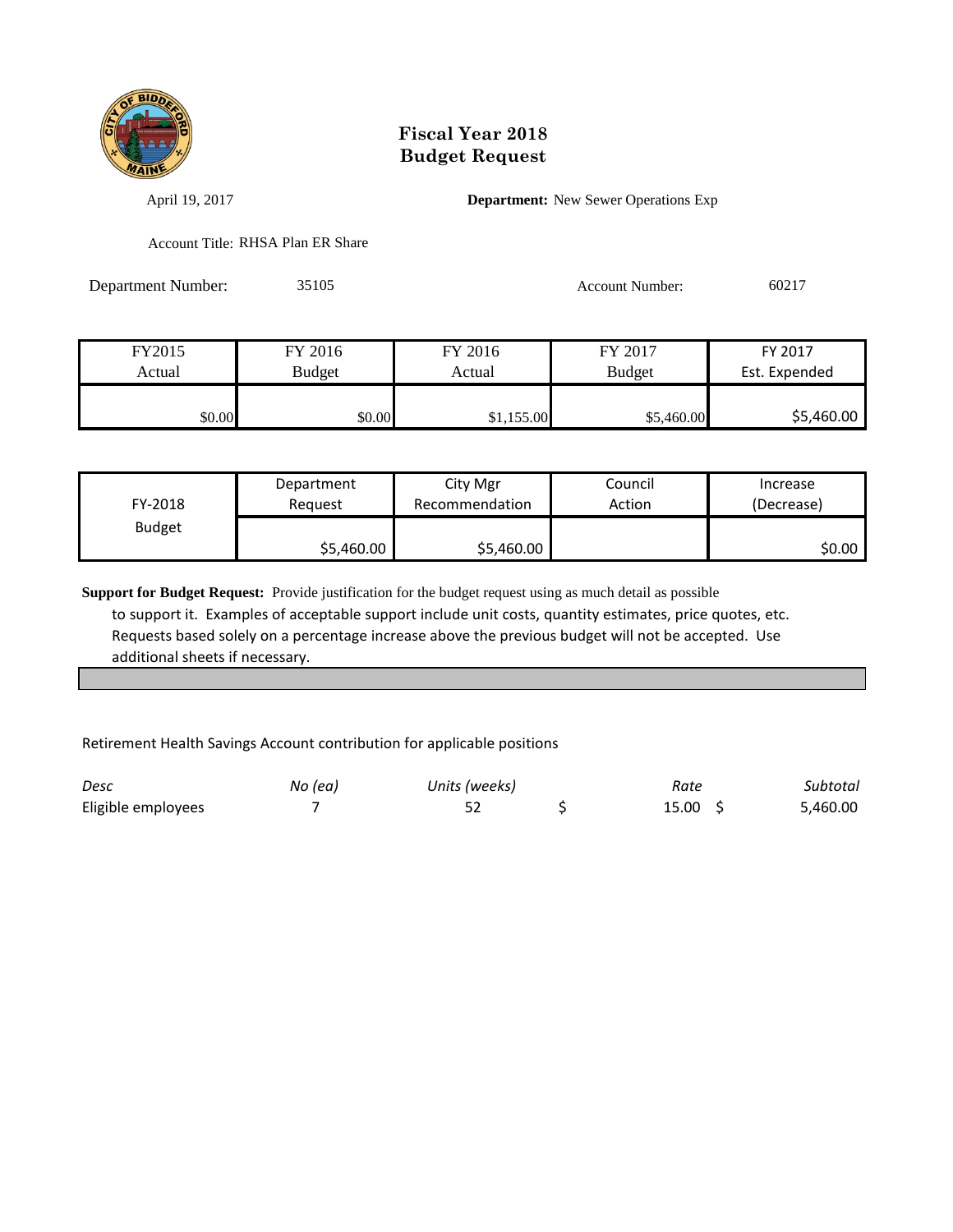

April 19, 2017 **Department:** New Sewer Operations Exp

Account Title: RHSA Plan ER Share

Department Number: 35105 Account Number: 60217

| FY2015 | FY 2016 | FY 2016    | FY 2017       | FY 2017       |
|--------|---------|------------|---------------|---------------|
| Actual | Budget  | Actual     | <b>Budget</b> | Est. Expended |
|        |         |            |               |               |
| \$0.00 | \$0.00  | \$1,155.00 | \$5,460.00    | \$5,460.00    |

| FY-2018       | Department | City Mgr       | Council | Increase   |
|---------------|------------|----------------|---------|------------|
|               | Reauest    | Recommendation | Action  | (Decrease) |
| <b>Budget</b> | \$5,460.00 | \$5,460.00     |         | \$0.00     |

**Support for Budget Request:** Provide justification for the budget request using as much detail as possible to support it. Examples of acceptable support include unit costs, quantity estimates, price quotes, etc. Requests based solely on a percentage increase above the previous budget will not be accepted. Use additional sheets if necessary.

Retirement Health Savings Account contribution for applicable positions

| Desc               | No (ea) | Units (weeks) | Rate  | Subtotal |
|--------------------|---------|---------------|-------|----------|
| Eligible employees |         |               | 15.00 | 5.460.00 |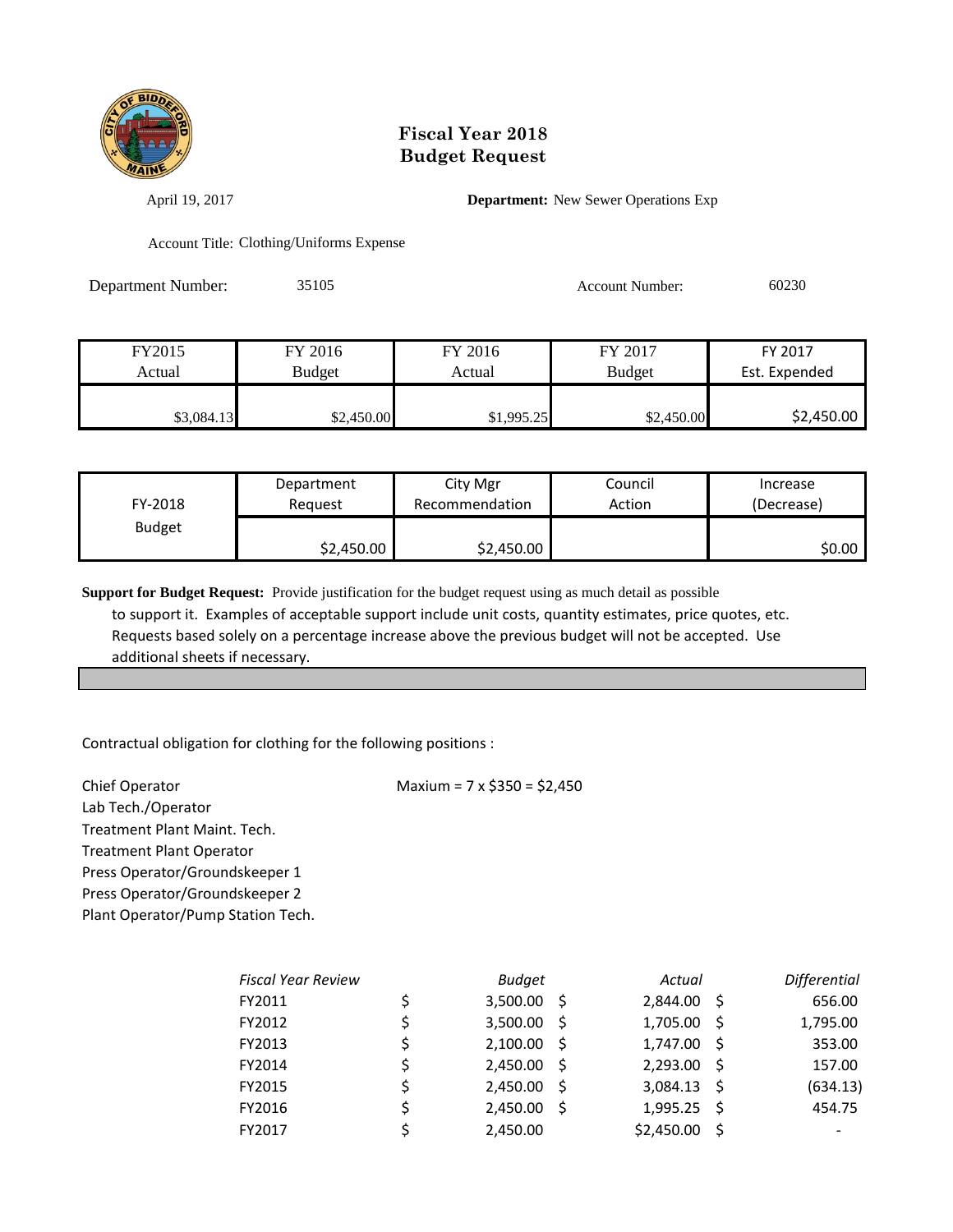

April 19, 2017 **Department:** New Sewer Operations Exp

Account Title: Clothing/Uniforms Expense

Department Number: 35105 Account Number: 60230

| FY2015     | FY 2016    | FY 2016    | FY 2017       | FY 2017       |
|------------|------------|------------|---------------|---------------|
| Actual     | Budget     | Actual     | <b>Budget</b> | Est. Expended |
|            |            |            |               |               |
| \$3,084.13 | \$2,450.00 | \$1,995.25 | \$2,450.00    | \$2,450.00    |

| FY-2018       | Department | City Mgr       | Council | Increase   |
|---------------|------------|----------------|---------|------------|
|               | Reauest    | Recommendation | Action  | (Decrease) |
| <b>Budget</b> | \$2,450.00 | \$2,450.00     |         | \$0.00     |

**Support for Budget Request:** Provide justification for the budget request using as much detail as possible to support it. Examples of acceptable support include unit costs, quantity estimates, price quotes, etc. Requests based solely on a percentage increase above the previous budget will not be accepted. Use additional sheets if necessary.

Contractual obligation for clothing for the following positions :

Chief Operator Maxium =  $7 \times $350 = $2,450$ Lab Tech./Operator Treatment Plant Maint. Tech. Treatment Plant Operator Press Operator/Groundskeeper 1 Press Operator/Groundskeeper 2 Plant Operator/Pump Station Tech.

| <b>Fiscal Year Review</b> |   | <b>Budget</b> |     | Actual        |    | <b>Differential</b> |
|---------------------------|---|---------------|-----|---------------|----|---------------------|
| FY2011                    | S | 3,500.00      | - S | 2,844.00      | -S | 656.00              |
| FY2012                    |   | 3,500.00      | -S  | 1,705.00      | -S | 1,795.00            |
| FY2013                    |   | 2,100.00      | S.  | 1,747.00 \$   |    | 353.00              |
| FY2014                    | Ş | 2,450.00      | -S  | 2,293.00      | -S | 157.00              |
| FY2015                    |   | 2,450.00      | -Ś  | $3,084.13$ \$ |    | (634.13)            |
| FY2016                    |   | 2,450.00      | -S  | 1,995.25      | -S | 454.75              |
| FY2017                    |   | 2,450.00      |     | \$2,450.00    | -S |                     |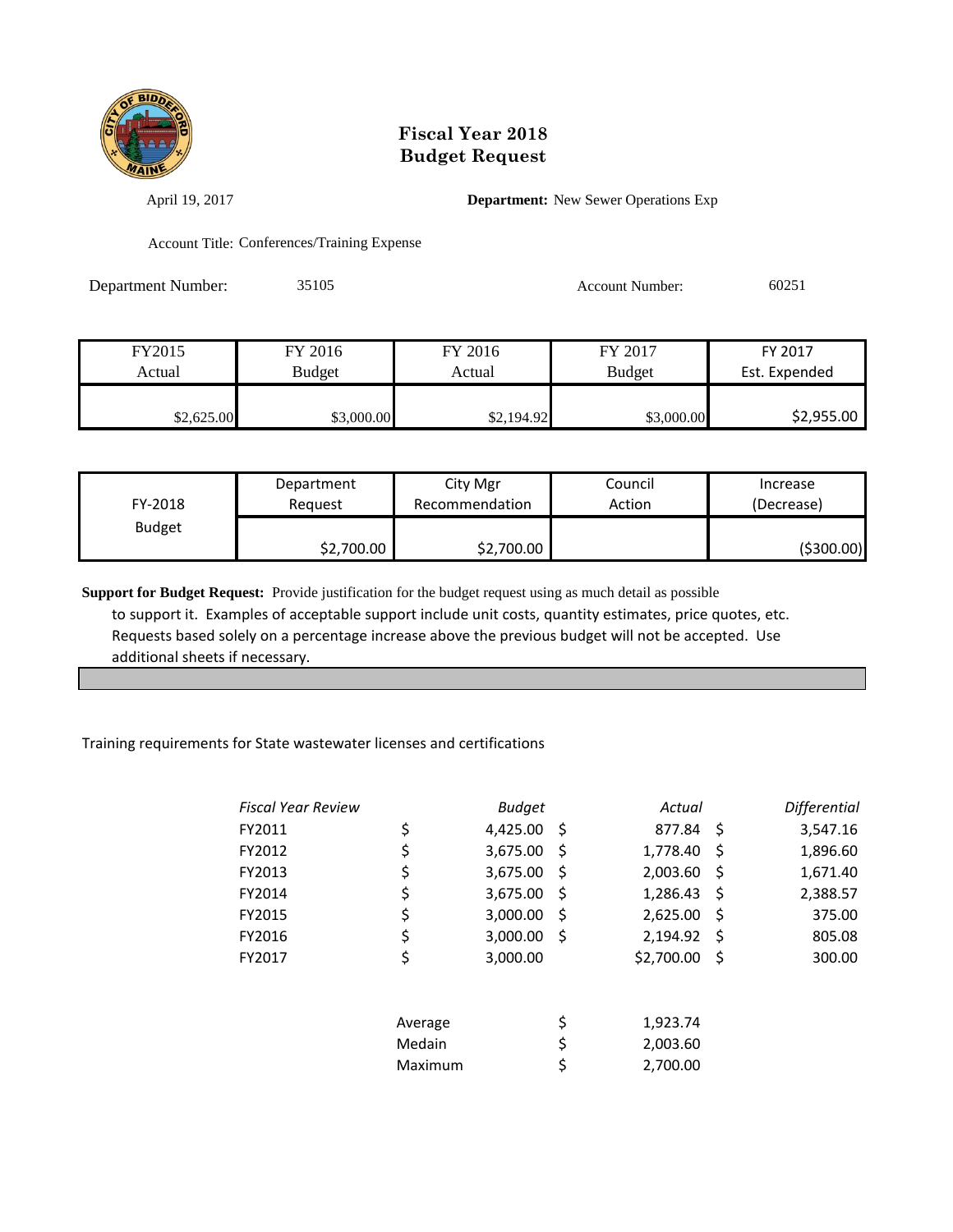

April 19, 2017 **Department:** New Sewer Operations Exp

Account Title: Conferences/Training Expense

Department Number: 35105 Account Number: 60251

| FY2015     | FY 2016       | FY 2016    | FY 2017       | FY 2017       |
|------------|---------------|------------|---------------|---------------|
| Actual     | <b>Budget</b> | Actual     | <b>Budget</b> | Est. Expended |
|            |               |            |               |               |
| \$2,625.00 | \$3,000.00    | \$2,194.92 | \$3,000.00    | \$2,955.00    |

| FY-2018       | Department | City Mgr       | Council | Increase   |
|---------------|------------|----------------|---------|------------|
|               | Reauest    | Recommendation | Action  | (Decrease) |
| <b>Budget</b> | \$2,700.00 | \$2,700.00     |         | (\$300.00) |

**Support for Budget Request:** Provide justification for the budget request using as much detail as possible to support it. Examples of acceptable support include unit costs, quantity estimates, price quotes, etc. Requests based solely on a percentage increase above the previous budget will not be accepted. Use additional sheets if necessary.

#### Training requirements for State wastewater licenses and certifications

| <b>Fiscal Year Review</b> |         | <b>Budget</b> |      | Actual     |     | <b>Differential</b> |
|---------------------------|---------|---------------|------|------------|-----|---------------------|
| FY2011                    | \$      | 4,425.00      | - \$ | 877.84     | -\$ | 3,547.16            |
| FY2012                    | \$      | 3,675.00      | S    | 1,778.40   | S.  | 1,896.60            |
| FY2013                    | \$      | 3,675.00      | S    | 2,003.60   | \$  | 1,671.40            |
| FY2014                    | \$      | 3,675.00      | \$   | 1,286.43   | S.  | 2,388.57            |
| FY2015                    | \$      | 3,000.00      | S    | 2,625.00   | \$  | 375.00              |
| FY2016                    | \$      | 3,000.00      | .S   | 2,194.92   | \$. | 805.08              |
| FY2017                    | \$      | 3,000.00      |      | \$2,700.00 | -S  | 300.00              |
|                           |         |               |      |            |     |                     |
|                           | Average |               | \$   | 1,923.74   |     |                     |
|                           | Medain  |               | \$   | 2,003.60   |     |                     |
|                           | Maximum |               |      | 2,700.00   |     |                     |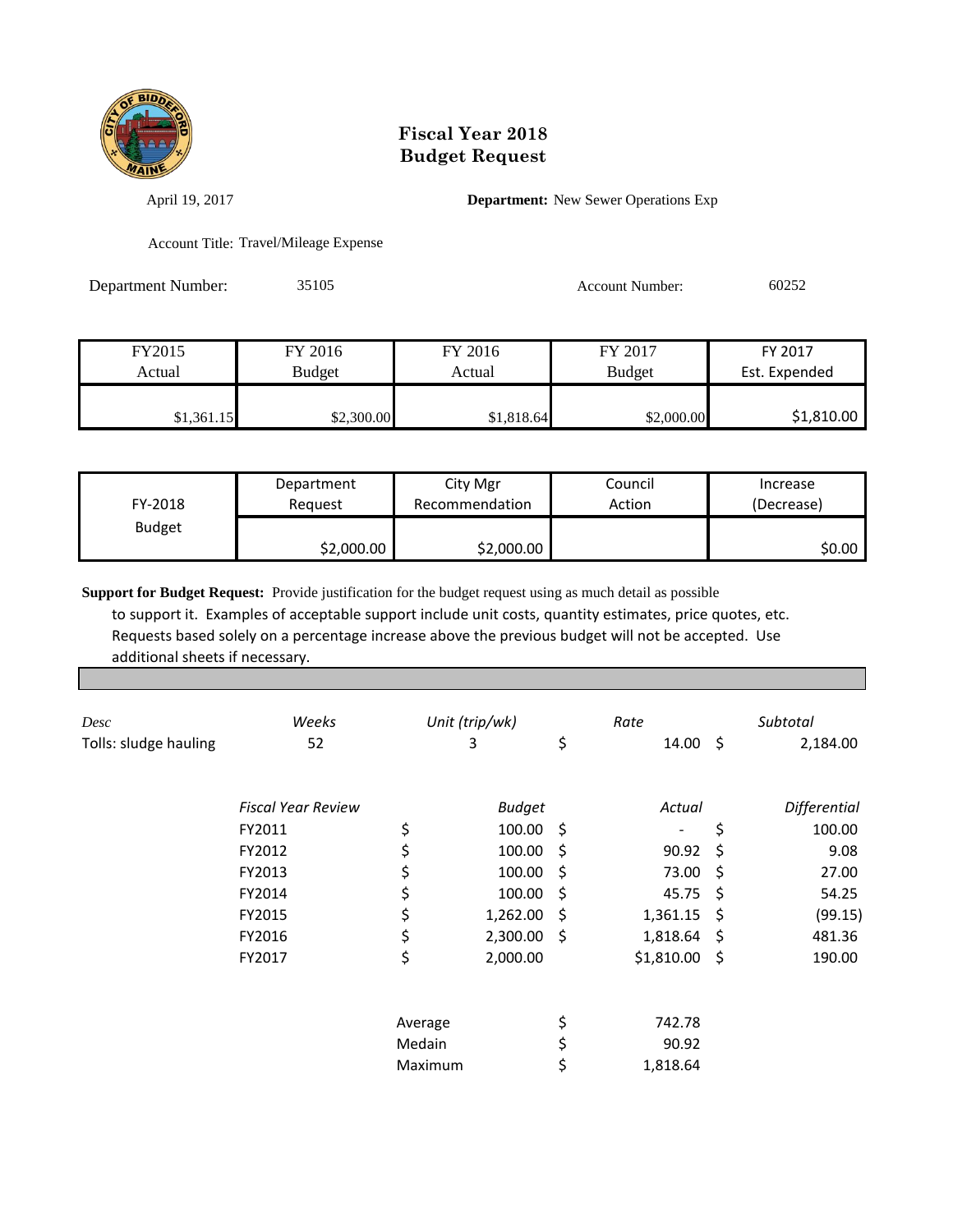

April 19, 2017 **Department:** New Sewer Operations Exp

Account Title: Travel/Mileage Expense

Department Number: 35105 Account Number: 60252

| FY2015     | FY 2016       | FY 2016    | FY 2017       | FY 2017       |
|------------|---------------|------------|---------------|---------------|
| Actual     | <b>Budget</b> | Actual     | <b>Budget</b> | Est. Expended |
|            |               |            |               |               |
| \$1,361.15 | \$2,300.00    | \$1,818.64 | \$2,000.00    | \$1,810.00    |

| FY-2018       | Department | City Mgr       | Council | Increase   |
|---------------|------------|----------------|---------|------------|
|               | Reauest    | Recommendation | Action  | (Decrease) |
| <b>Budget</b> | \$2,000.00 | \$2,000.00     |         | \$0.00     |

**Support for Budget Request:** Provide justification for the budget request using as much detail as possible to support it. Examples of acceptable support include unit costs, quantity estimates, price quotes, etc. Requests based solely on a percentage increase above the previous budget will not be accepted. Use additional sheets if necessary.

| Desc<br>Tolls: sludge hauling | Weeks<br>52               |         | Unit (trip/wk)<br>3 | \$   | Rate<br>$14.00 \div$ |      | Subtotal<br>2,184.00 |  |
|-------------------------------|---------------------------|---------|---------------------|------|----------------------|------|----------------------|--|
|                               | <b>Fiscal Year Review</b> |         | <b>Budget</b>       |      | Actual               |      | Differential         |  |
|                               | FY2011                    | \$      | $100.00$ \$         |      |                      | \$   | 100.00               |  |
|                               | FY2012                    | \$      | 100.00              | - \$ | 90.92                | \$   | 9.08                 |  |
|                               | FY2013                    | \$      | 100.00              | -\$  | 73.00                | - \$ | 27.00                |  |
|                               | FY2014                    | \$      | 100.00              | \$   | 45.75                | - Ś  | 54.25                |  |
|                               | FY2015                    | \$      | 1,262.00            | - \$ | 1,361.15             | - \$ | (99.15)              |  |
|                               | FY2016                    | \$      | 2,300.00            | - \$ | $1,818.64$ \$        |      | 481.36               |  |
|                               | FY2017                    | \$      | 2,000.00            |      | \$1,810.00           | - \$ | 190.00               |  |
|                               |                           | Average |                     | \$   | 742.78               |      |                      |  |
|                               |                           | Medain  |                     | \$   | 90.92                |      |                      |  |
|                               |                           | Maximum |                     | \$   | 1,818.64             |      |                      |  |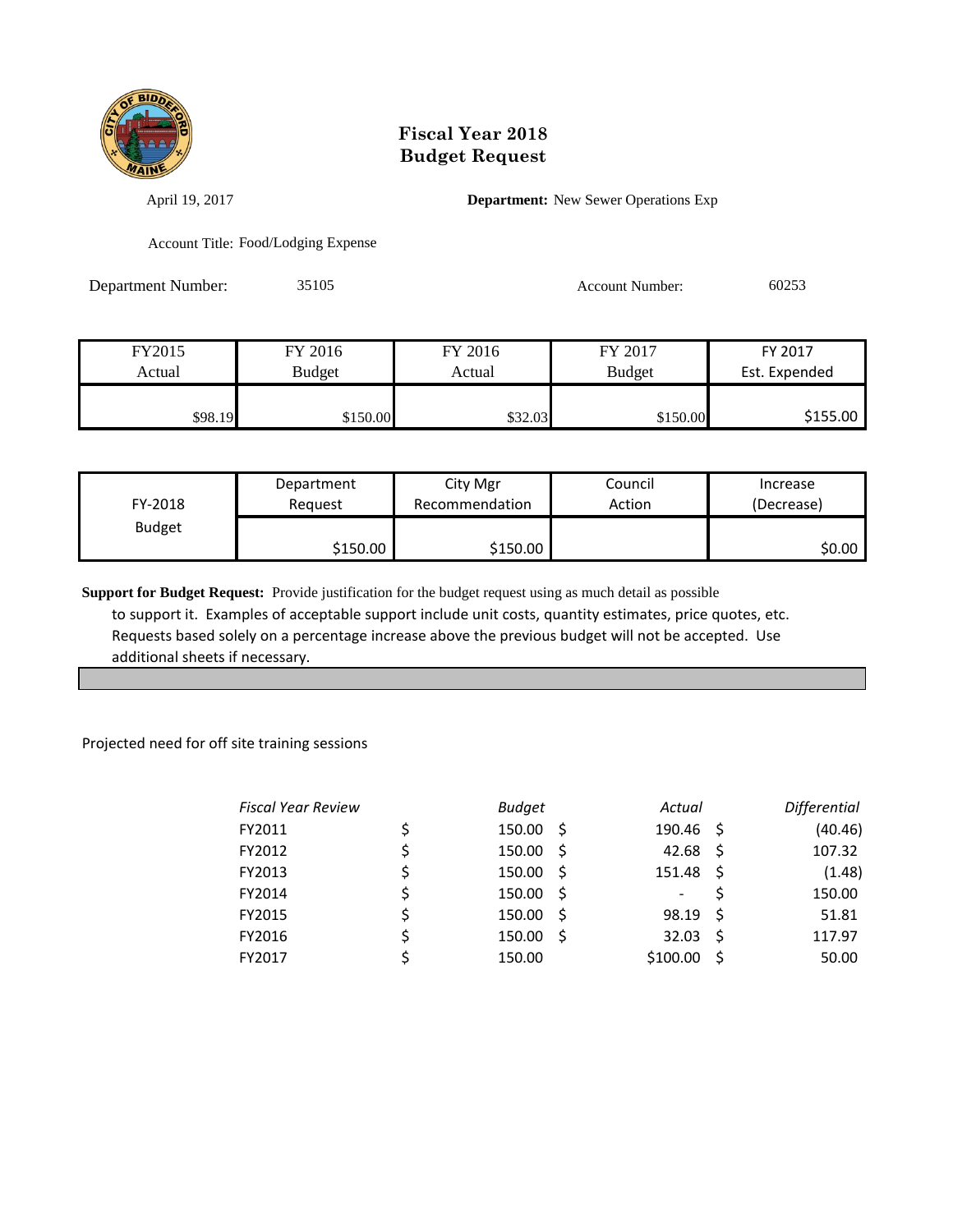

April 19, 2017 **Department:** New Sewer Operations Exp

Account Title: Food/Lodging Expense

Department Number: 35105 Account Number: 60253

| FY2015  | FY 2016  | FY 2016 | FY 2017       | FY 2017       |
|---------|----------|---------|---------------|---------------|
| Actual  | Budget   | Actual  | <b>Budget</b> | Est. Expended |
|         |          |         |               |               |
| \$98.19 | \$150.00 | \$32.03 | \$150.00      | \$155.00      |

| FY-2018       | Department |          | Council | Increase   |
|---------------|------------|----------|---------|------------|
|               | Reauest    |          | Action  | (Decrease) |
| <b>Budget</b> | \$150.00∣  | \$150.00 |         | \$0.00     |

**Support for Budget Request:** Provide justification for the budget request using as much detail as possible to support it. Examples of acceptable support include unit costs, quantity estimates, price quotes, etc. Requests based solely on a percentage increase above the previous budget will not be accepted. Use additional sheets if necessary.

Projected need for off site training sessions

| <b>Fiscal Year Review</b> |    | <b>Budget</b> |    | Actual           |     | <b>Differential</b> |
|---------------------------|----|---------------|----|------------------|-----|---------------------|
| FY2011                    | Ş  | 150.00        | -S | $190.46 \quad S$ |     | (40.46)             |
| FY2012                    |    | 150.00        | -S | 42.68            | -S  | 107.32              |
| FY2013                    |    | 150.00        | -S | 151.48           | - S | (1.48)              |
| FY2014                    |    | 150.00        | -S |                  |     | 150.00              |
| FY2015                    |    | 150.00        | -S | $98.19 \quad $$  |     | 51.81               |
| FY2016                    | \$ | 150.00        | -S | 32.03            | -S  | 117.97              |
| FY2017                    |    | 150.00        |    | \$100.00         |     | 50.00               |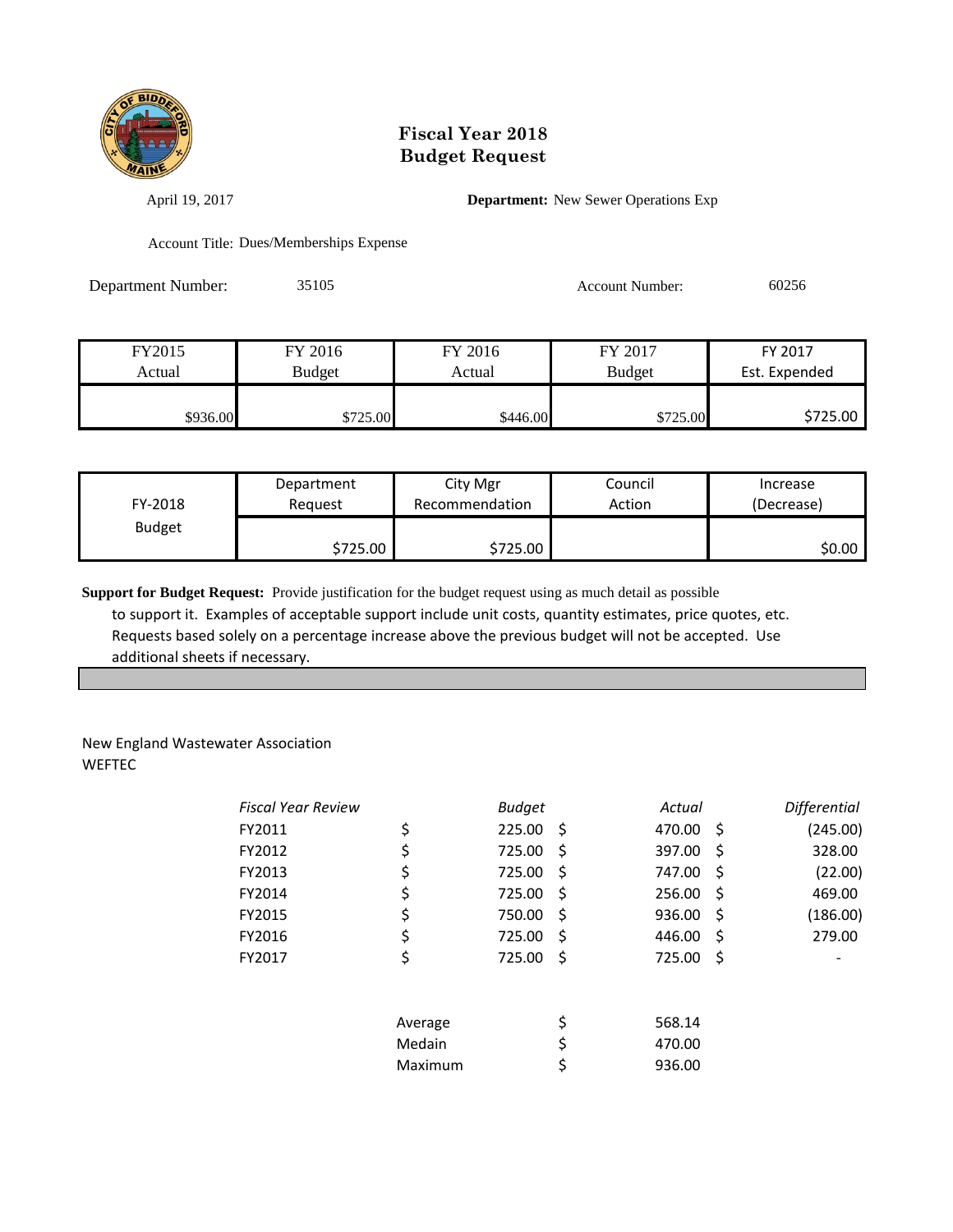

April 19, 2017 **Department:** New Sewer Operations Exp

Account Title: Dues/Memberships Expense

Department Number: 35105 Account Number: 60256

| FY2015   | FY 2016  | FY 2016  | FY 2017       | FY 2017       |
|----------|----------|----------|---------------|---------------|
| Actual   | Budget   | Actual   | <b>Budget</b> | Est. Expended |
|          |          |          |               |               |
| \$936.00 | \$725.00 | \$446.00 | \$725.00      | \$725.00      |

| FY-2018       | Department |          | Council | Increase   |
|---------------|------------|----------|---------|------------|
|               | Reauest    |          | Action  | (Decrease) |
| <b>Budget</b> | \$725.00∣  | \$725.00 |         | \$0.00     |

**Support for Budget Request:** Provide justification for the budget request using as much detail as possible to support it. Examples of acceptable support include unit costs, quantity estimates, price quotes, etc. Requests based solely on a percentage increase above the previous budget will not be accepted. Use additional sheets if necessary.

New England Wastewater Association WEFTEC

| Fiscal Year Review |               | <b>Budget</b> |     | Actual |    | <b>Differential</b> |
|--------------------|---------------|---------------|-----|--------|----|---------------------|
|                    |               |               |     |        |    |                     |
| FY2011             | \$            | 225.00        | -\$ | 470.00 | \$ | (245.00)            |
| FY2012             |               | 725.00        | \$. | 397.00 | S  | 328.00              |
| FY2013             | \$            | 725.00        | \$, | 747.00 | Ş  | (22.00)             |
| FY2014             | \$            | 725.00        | -Ş  | 256.00 | S  | 469.00              |
| FY2015             | \$            | 750.00        | \$, | 936.00 | S  | (186.00)            |
| FY2016             | \$            | 725.00        | \$  | 446.00 | \$ | 279.00              |
| FY2017             | \$            | 725.00        | -S  | 725.00 | Ş  |                     |
|                    |               |               |     |        |    |                     |
|                    | Average       |               | \$  | 568.14 |    |                     |
|                    | <b>Medain</b> |               | \$  | 470.00 |    |                     |
|                    | Maximum       |               | \$  | 936.00 |    |                     |
|                    |               |               |     |        |    |                     |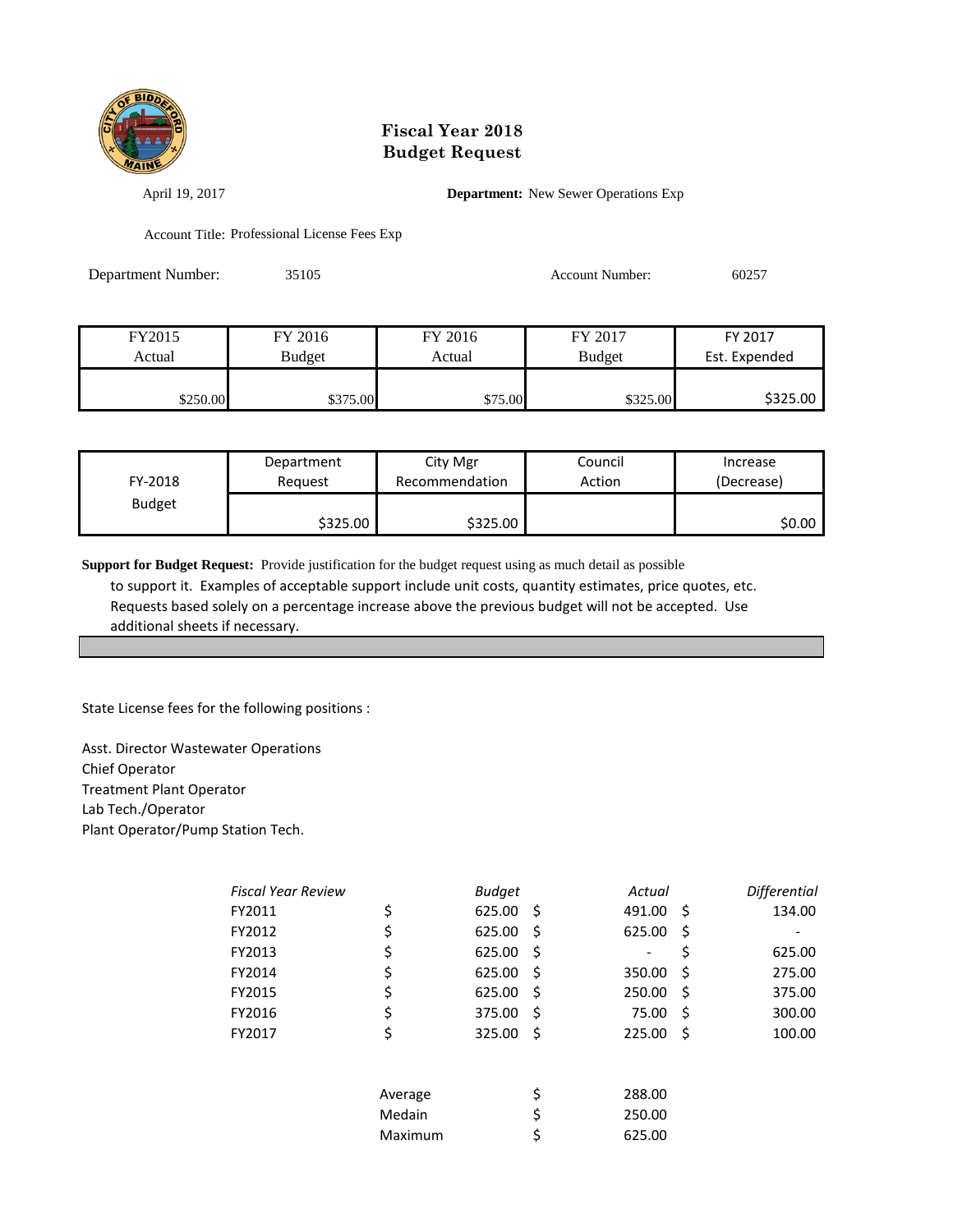

April 19, 2017 **Department:** New Sewer Operations Exp

Account Title: Professional License Fees Exp

| Department Number: | 35105         |         | <b>Account Number:</b> | 60257         |  |
|--------------------|---------------|---------|------------------------|---------------|--|
|                    |               |         |                        |               |  |
| FY2015             | FY 2016       | FY 2016 | FY 2017                | FY 2017       |  |
| Actual             | <b>Budget</b> | Actual  | <b>Budget</b>          | Est. Expended |  |
| \$250.00           | \$375.00      | \$75.00 | \$325.00               | \$325.00      |  |

| FY-2018       | Department | City Mgr       | Council | Increase   |
|---------------|------------|----------------|---------|------------|
|               | Reauest    | Recommendation | Action  | (Decrease) |
| <b>Budget</b> | \$325.00   | \$325.00       |         | \$0.00     |

**Support for Budget Request:** Provide justification for the budget request using as much detail as possible

 to support it. Examples of acceptable support include unit costs, quantity estimates, price quotes, etc. Requests based solely on a percentage increase above the previous budget will not be accepted. Use additional sheets if necessary.

State License fees for the following positions :

Asst. Director Wastewater Operations Chief Operator Treatment Plant Operator Lab Tech./Operator Plant Operator/Pump Station Tech.

| Fiscal Year Review |         | <b>Budget</b> |     | Actual |    | Differential |
|--------------------|---------|---------------|-----|--------|----|--------------|
| FY2011             | \$      | 625.00        | \$  | 491.00 | \$ | 134.00       |
| FY2012             |         | 625.00        | \$  | 625.00 | \$ |              |
| FY2013             | \$      | 625.00        | S   |        | S  | 625.00       |
| FY2014             | \$      | 625.00        | \$. | 350.00 | S  | 275.00       |
| FY2015             | \$      | 625.00        | \$  | 250.00 | S  | 375.00       |
| FY2016             | \$      | 375.00        | \$  | 75.00  | \$ | 300.00       |
| FY2017             | \$      | 325.00        | \$  | 225.00 | \$ | 100.00       |
|                    | Average |               | \$  | 288.00 |    |              |
|                    | Medain  |               | \$  | 250.00 |    |              |
|                    | Maximum |               | \$  | 625.00 |    |              |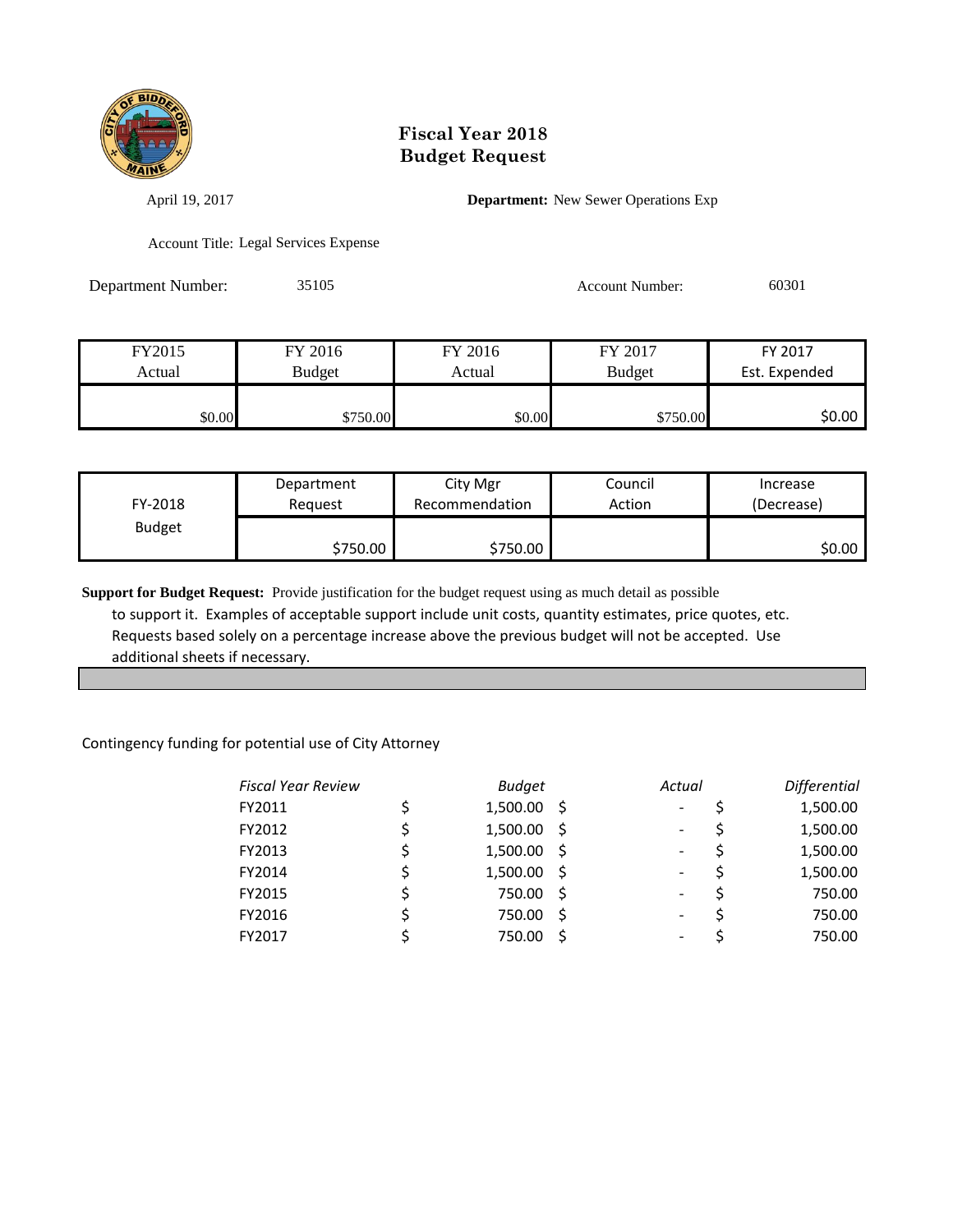

April 19, 2017 **Department:** New Sewer Operations Exp

Account Title: Legal Services Expense

Department Number: 35105 Account Number: 60301

| FY2015 | FY 2016       |        | FY 2017       | FY 2017       |
|--------|---------------|--------|---------------|---------------|
| Actual | <b>Budget</b> | Actual | <b>Budget</b> | Est. Expended |
|        |               |        |               |               |
| \$0.00 | \$750.00      | \$0.00 | \$750.00      | \$0.00        |

| Department<br>FY-2018<br>Reauest |            | City Mgr<br>Recommendation | Council<br>Action | Increase<br>(Decrease) |
|----------------------------------|------------|----------------------------|-------------------|------------------------|
| <b>Budget</b>                    | \$750.00 l | \$750.00                   |                   | \$0.00                 |

**Support for Budget Request:** Provide justification for the budget request using as much detail as possible to support it. Examples of acceptable support include unit costs, quantity estimates, price quotes, etc. Requests based solely on a percentage increase above the previous budget will not be accepted. Use additional sheets if necessary.

#### Contingency funding for potential use of City Attorney

| <b>Fiscal Year Review</b> |    | <b>Budget</b> |              | Actual | Differential |
|---------------------------|----|---------------|--------------|--------|--------------|
| FY2011                    | \$ | $1,500.00$ \$ |              | -      | 1,500.00     |
| FY2012                    | Ś  | 1,500.00      | - S          | -      | 1,500.00     |
| FY2013                    | \$ | 1,500.00      | - \$         | -      | 1,500.00     |
| FY2014                    | \$ | 1,500.00      | - S          | -      | 1,500.00     |
| FY2015                    |    | 750.00        | - S          |        | 750.00       |
| FY2016                    |    | 750.00        | <sub>S</sub> | ۰      | 750.00       |
| FY2017                    |    | 750.00        |              |        | 750.00       |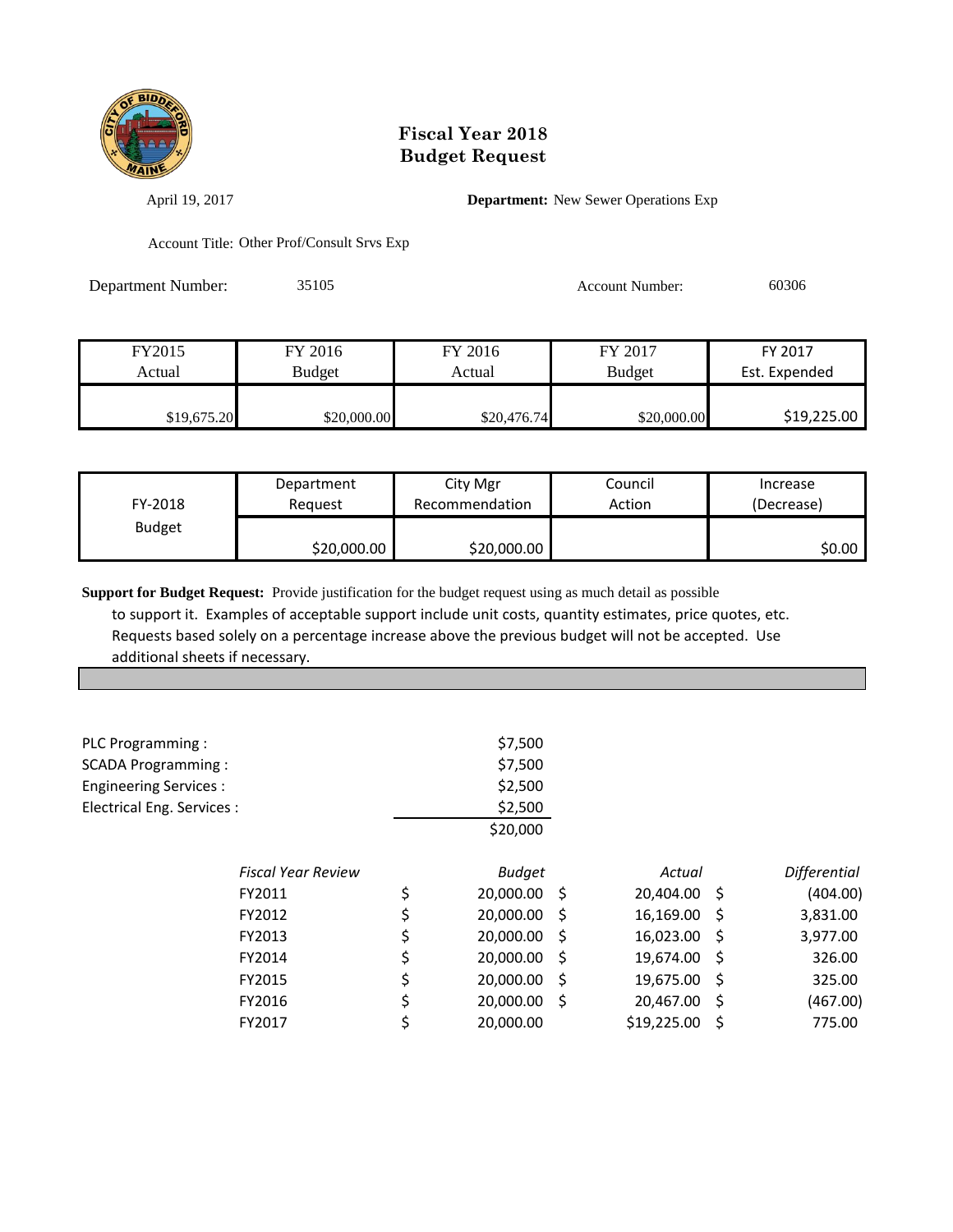

April 19, 2017 **Department:** New Sewer Operations Exp

Account Title: Other Prof/Consult Srvs Exp

Department Number: 35105 Account Number: 60306

| FY2015      | FY 2016       | FY 2016     | FY 2017       | FY 2017       |
|-------------|---------------|-------------|---------------|---------------|
| Actual      | <b>Budget</b> | Actual      | <b>Budget</b> | Est. Expended |
|             |               |             |               |               |
| \$19,675.20 | \$20,000.00   | \$20,476.74 | \$20,000.00   | \$19,225.00   |

| FY-2018       | Department<br>Reauest | Recommendation | City Mgr<br>Council<br>Action |        |
|---------------|-----------------------|----------------|-------------------------------|--------|
| <b>Budget</b> | \$20,000.00           | \$20,000.00    |                               | \$0.00 |

**Support for Budget Request:** Provide justification for the budget request using as much detail as possible to support it. Examples of acceptable support include unit costs, quantity estimates, price quotes, etc. Requests based solely on a percentage increase above the previous budget will not be accepted. Use additional sheets if necessary.

| PLC Programming:<br><b>SCADA Programming:</b><br><b>Engineering Services:</b><br><b>Electrical Eng. Services:</b> |                    | \$7,500<br>\$7,500<br>\$2,500<br>\$2,500 |      |                |     |              |
|-------------------------------------------------------------------------------------------------------------------|--------------------|------------------------------------------|------|----------------|-----|--------------|
|                                                                                                                   |                    | \$20,000                                 |      |                |     |              |
|                                                                                                                   | Fiscal Year Review | <b>Budget</b>                            |      | Actual         |     | Differential |
|                                                                                                                   | FY2011             | \$<br>20,000.00 \$                       |      | 20,404.00 \$   |     | (404.00)     |
|                                                                                                                   | FY2012             | \$<br>20,000.00                          | - S  | 16,169.00      | - S | 3,831.00     |
|                                                                                                                   | FY2013             | \$<br>20,000.00                          | - \$ | $16,023.00$ \$ |     | 3,977.00     |
|                                                                                                                   | FY2014             | \$<br>$20,000.00$ \$                     |      | 19,674.00 \$   |     | 326.00       |
|                                                                                                                   | FY2015             | \$<br>20,000.00                          | - \$ | 19,675.00      | - S | 325.00       |
|                                                                                                                   | FY2016             | \$<br>$20,000.00$ \$                     |      | 20,467.00      | - S | (467.00)     |
|                                                                                                                   | FY2017             | \$<br>20,000.00                          |      | \$19,225.00    | \$  | 775.00       |
|                                                                                                                   |                    |                                          |      |                |     |              |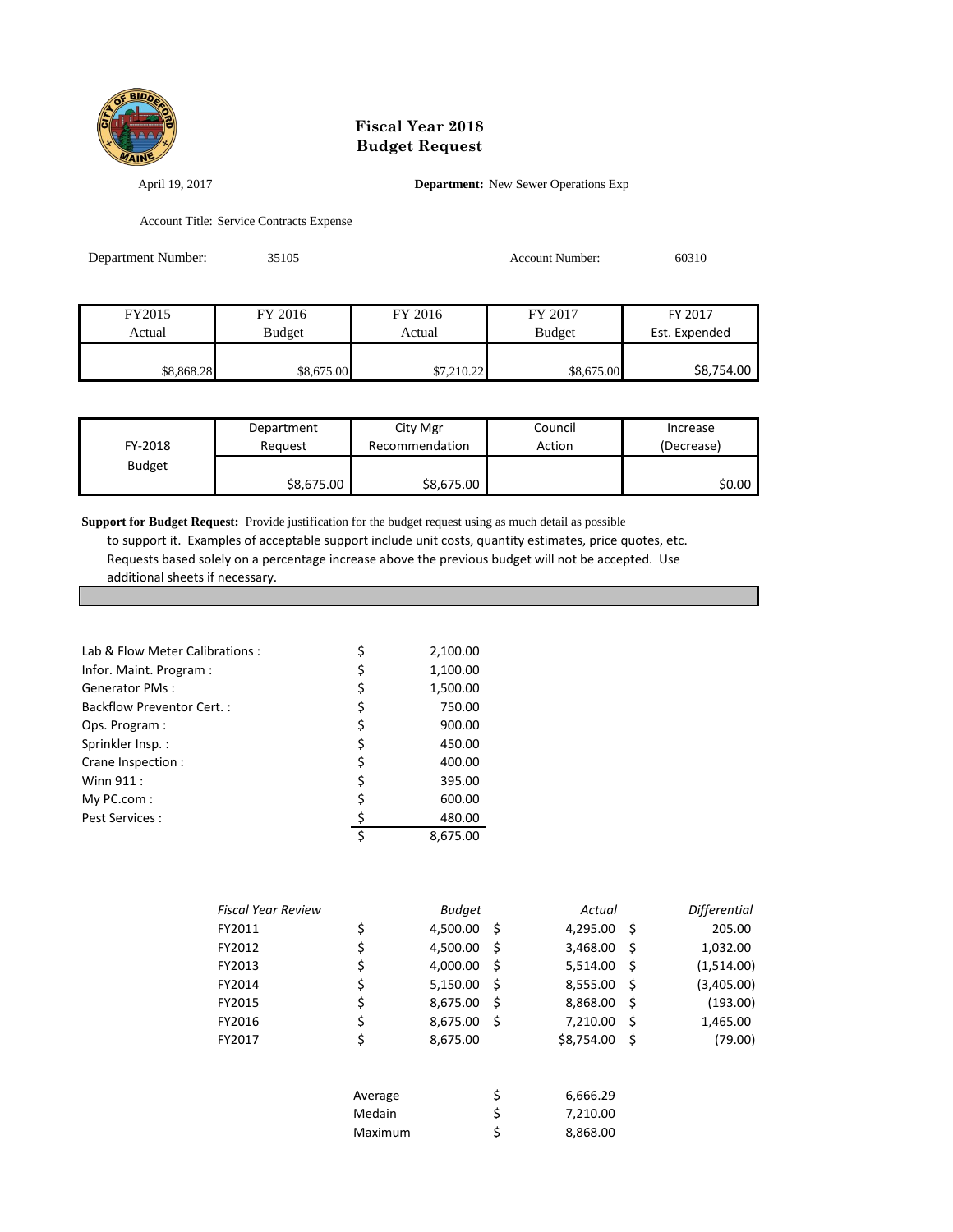

April 19, 2017 **Department:** New Sewer Operations Exp

Account Title: Service Contracts Expense

| Department Number: | 35105         |            | Account Number: | 60310         |  |
|--------------------|---------------|------------|-----------------|---------------|--|
|                    |               |            |                 |               |  |
| FY2015             | FY 2016       | FY 2016    | FY 2017         | FY 2017       |  |
| Actual             | <b>Budget</b> | Actual     | <b>Budget</b>   | Est. Expended |  |
| \$8,868.28         | \$8,675.00    | \$7,210.22 | \$8,675.00      | \$8,754.00    |  |

| FY-2018       | Department | City Mgr       | Council | Increase   |
|---------------|------------|----------------|---------|------------|
|               | Reauest    | Recommendation | Action  | (Decrease) |
| <b>Budget</b> | \$8,675.00 | \$8,675.00     |         | \$0.00     |

**Support for Budget Request:** Provide justification for the budget request using as much detail as possible

 to support it. Examples of acceptable support include unit costs, quantity estimates, price quotes, etc. Requests based solely on a percentage increase above the previous budget will not be accepted. Use additional sheets if necessary.

| Lab & Flow Meter Calibrations: | \$<br>2,100.00 |
|--------------------------------|----------------|
| Infor. Maint. Program:         | \$<br>1,100.00 |
| <b>Generator PMs:</b>          | \$<br>1,500.00 |
| Backflow Preventor Cert.:      | \$<br>750.00   |
| Ops. Program :                 | \$<br>900.00   |
| Sprinkler Insp.:               | \$<br>450.00   |
| Crane Inspection :             | \$<br>400.00   |
| Winn 911:                      | \$<br>395.00   |
| My PC.com:                     | \$<br>600.00   |
| Pest Services :                | 480.00         |
|                                | \$<br>8.675.00 |

| Fiscal Year Review |         | <b>Budget</b> |                     | Actual     |     | <b>Differential</b> |
|--------------------|---------|---------------|---------------------|------------|-----|---------------------|
| FY2011             | \$      | 4,500.00      | - \$                | 4,295.00   | -\$ | 205.00              |
| FY2012             | \$      | 4,500.00      | \$                  | 3,468.00   | \$  | 1,032.00            |
| FY2013             | \$      | 4,000.00      | \$                  | 5,514.00   | S   | (1,514.00)          |
| FY2014             | \$      | 5,150.00      | \$                  | 8,555.00   | S   | (3,405.00)          |
| FY2015             | \$      | 8,675.00      | $\ddot{\mathsf{S}}$ | 8,868.00   | S   | (193.00)            |
| FY2016             | \$      | 8,675.00      | - \$                | 7,210.00   | S   | 1,465.00            |
| FY2017             | \$      | 8,675.00      |                     | \$8,754.00 | \$  | (79.00)             |
|                    | Average |               | \$                  | 6,666.29   |     |                     |
|                    | Medain  |               | \$                  | 7,210.00   |     |                     |
|                    | Maximum |               | \$                  | 8,868.00   |     |                     |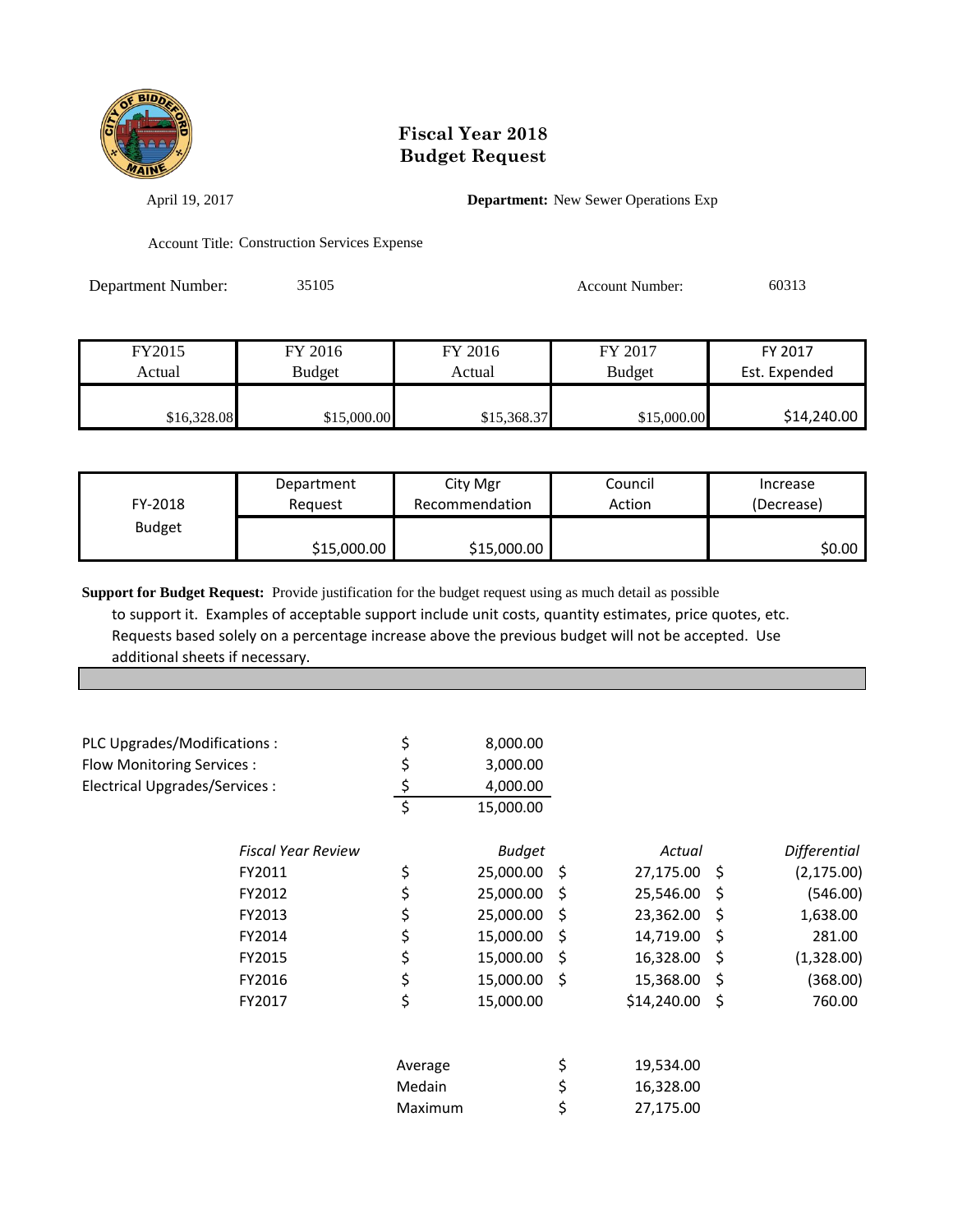

April 19, 2017 **Department:** New Sewer Operations Exp

Account Title: Construction Services Expense

Department Number: 35105 Account Number: 60313

| FY2015      | FY 2016       | FY 2016     | FY 2017       | FY 2017       |
|-------------|---------------|-------------|---------------|---------------|
| Actual      | <b>Budget</b> | Actual      | <b>Budget</b> | Est. Expended |
|             |               |             |               |               |
| \$16,328.08 | \$15,000.00   | \$15,368.37 | \$15,000.00   | \$14,240.00   |

| FY-2018       | Department  | City Mgr       | Council | Increase   |
|---------------|-------------|----------------|---------|------------|
|               | Reauest     | Recommendation | Action  | (Decrease) |
| <b>Budget</b> | \$15,000.00 | \$15,000.00    |         | \$0.00     |

**Support for Budget Request:** Provide justification for the budget request using as much detail as possible to support it. Examples of acceptable support include unit costs, quantity estimates, price quotes, etc. Requests based solely on a percentage increase above the previous budget will not be accepted. Use additional sheets if necessary.

| PLC Upgrades/Modifications:          | \$      | 8,000.00      |     |                 |      |                     |
|--------------------------------------|---------|---------------|-----|-----------------|------|---------------------|
| Flow Monitoring Services :           | \$      | 3,000.00      |     |                 |      |                     |
| <b>Electrical Upgrades/Services:</b> | \$      | 4,000.00      |     |                 |      |                     |
|                                      | \$      | 15,000.00     |     |                 |      |                     |
| <b>Fiscal Year Review</b>            |         | <b>Budget</b> |     | Actual          |      | <b>Differential</b> |
| FY2011                               | \$      | 25,000.00     | -S  | 27,175.00       | -\$  | (2, 175.00)         |
| FY2012                               | \$      | 25,000.00     | -S  | 25,546.00       | -S   | (546.00)            |
| FY2013                               | \$      | 25,000.00     | -S  | 23,362.00       | -S   | 1,638.00            |
| FY2014                               | \$      | 15,000.00     | \$  | 14,719.00       | -S   | 281.00              |
| FY2015                               | \$      | 15,000.00     | -\$ | 16,328.00       | -S   | (1,328.00)          |
| FY2016                               | \$      | 15,000.00     | -\$ | 15,368.00       | - \$ | (368.00)            |
| FY2017                               | \$      | 15,000.00     |     | $$14,240.00$ \$ |      | 760.00              |
|                                      | Average |               | \$  | 19,534.00       |      |                     |
|                                      | Medain  |               | \$  | 16,328.00       |      |                     |
|                                      | Maximum |               | \$  | 27,175.00       |      |                     |
|                                      |         |               |     |                 |      |                     |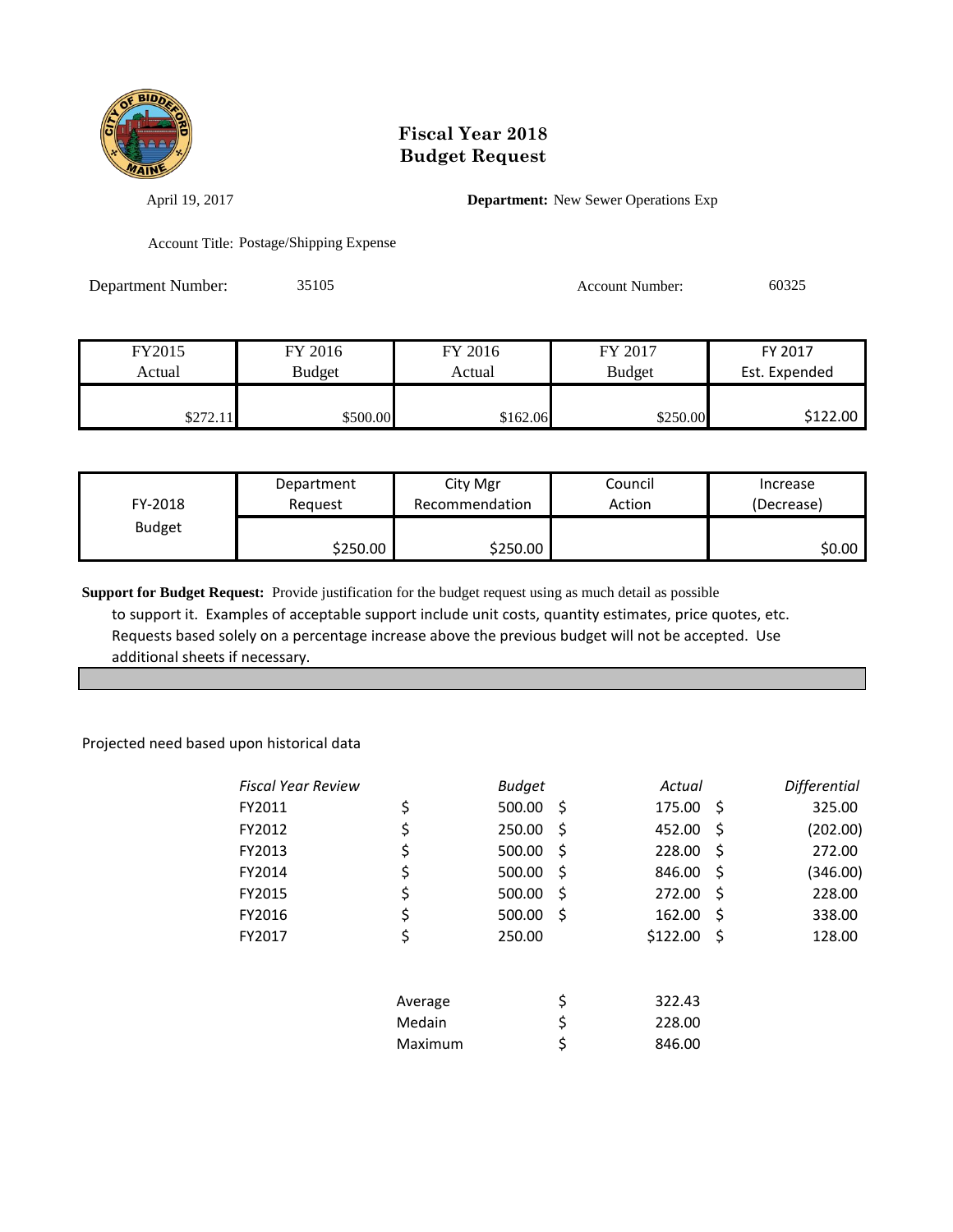

April 19, 2017 **Department:** New Sewer Operations Exp

Account Title: Postage/Shipping Expense

Department Number: 35105 Account Number: 60325

| FY2015   | FY 2016       | FY 2016  | FY 2017       | FY 2017       |
|----------|---------------|----------|---------------|---------------|
| Actual   | <b>Budget</b> | Actual   | <b>Budget</b> | Est. Expended |
|          |               |          |               |               |
| \$272.11 | \$500.00      | \$162.06 | \$250.00      | \$122.00      |

| FY-2018       | Department<br>Reauest | City Mgr<br>Council<br>Recommendation<br>Action |  | Increase<br>(Decrease) |  |
|---------------|-----------------------|-------------------------------------------------|--|------------------------|--|
| <b>Budget</b> | \$250.00              | \$250.00                                        |  | \$0.00                 |  |

**Support for Budget Request:** Provide justification for the budget request using as much detail as possible to support it. Examples of acceptable support include unit costs, quantity estimates, price quotes, etc. Requests based solely on a percentage increase above the previous budget will not be accepted. Use additional sheets if necessary.

#### Projected need based upon historical data

| Fiscal Year Review |         | <b>Budget</b> |                | Actual   |      | Differential |
|--------------------|---------|---------------|----------------|----------|------|--------------|
| FY2011             | \$      | 500.00        | - \$           | 175.00   | - \$ | 325.00       |
| FY2012             |         | 250.00        | -\$            | 452.00   | S    | (202.00)     |
| FY2013             | \$      | 500.00        | -\$            | 228.00   | S    | 272.00       |
| FY2014             | \$      | 500.00        | -\$            | 846.00   | S    | (346.00)     |
| FY2015             | \$      | 500.00        | $\ddot{\zeta}$ | 272.00   | S    | 228.00       |
| FY2016             | \$      | 500.00        | - \$           | 162.00   | \$   | 338.00       |
| FY2017             | \$      | 250.00        |                | \$122.00 | \$   | 128.00       |
|                    | Average |               | \$             | 322.43   |      |              |
|                    | Medain  |               | \$             | 228.00   |      |              |
|                    | Maximum |               | \$             | 846.00   |      |              |
|                    |         |               |                |          |      |              |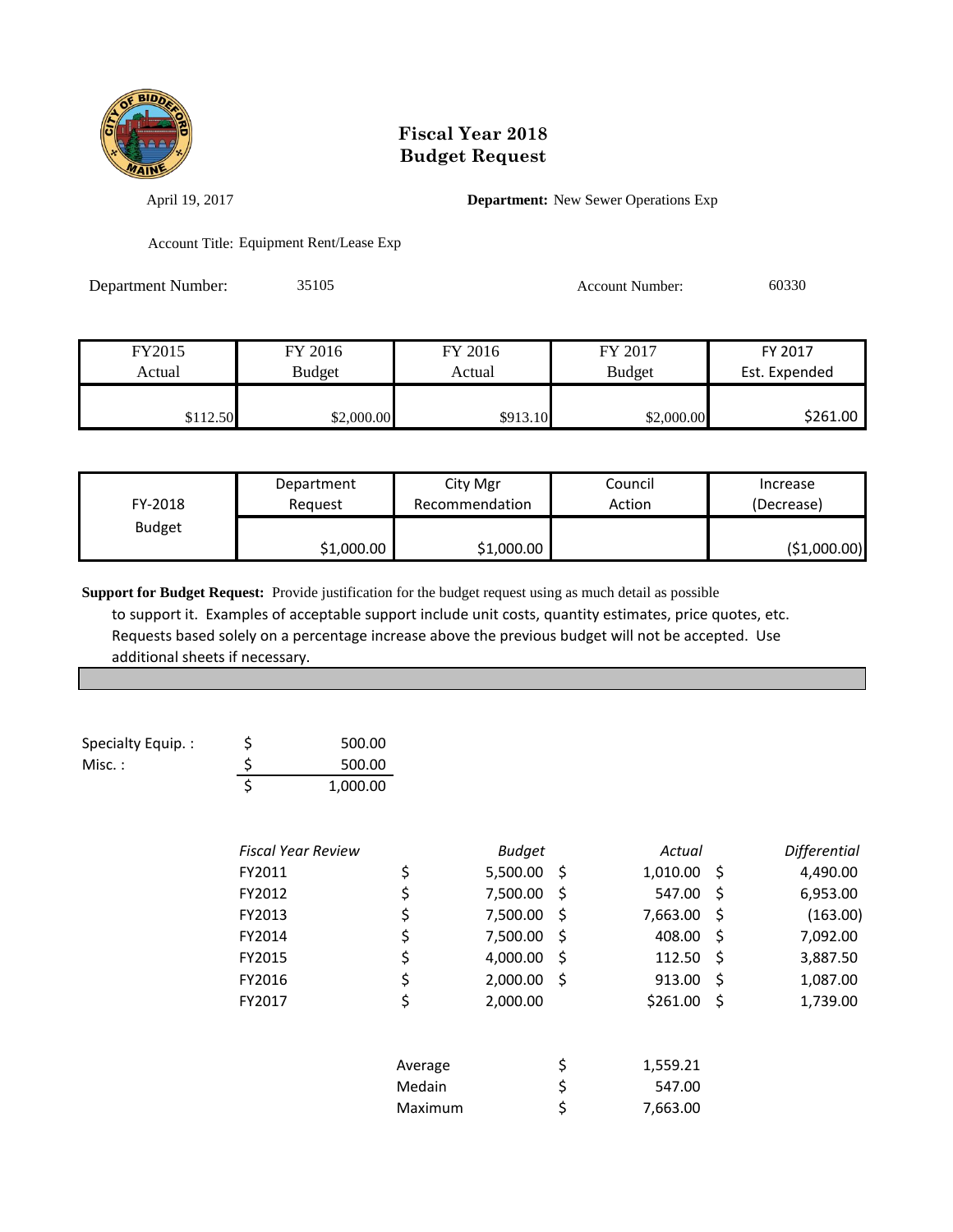

April 19, 2017 **Department:** New Sewer Operations Exp

Account Title: Equipment Rent/Lease Exp

Department Number: 35105 Account Number: 60330

| FY2015           | FY 2016    | FY 2016         | FY 2017       | FY 2017       |
|------------------|------------|-----------------|---------------|---------------|
| Actual           | Budget     | Actual          | <b>Budget</b> | Est. Expended |
|                  |            |                 |               |               |
| $^{\circ}112.50$ | \$2,000.00 | <b>\$913.10</b> | \$2,000.00    | \$261.00      |

| FY-2018       | Department<br>Recommendation<br>Reauest |            | Council<br>Action | Increase<br>(Decrease) |
|---------------|-----------------------------------------|------------|-------------------|------------------------|
| <b>Budget</b> | \$1,000.00                              | \$1,000.00 |                   | (\$1,000.00)           |

**Support for Budget Request:** Provide justification for the budget request using as much detail as possible to support it. Examples of acceptable support include unit costs, quantity estimates, price quotes, etc. Requests based solely on a percentage increase above the previous budget will not be accepted. Use additional sheets if necessary.

| Specialty Equip.: | 500.00   |
|-------------------|----------|
| $Misc.$ :         | 500.00   |
|                   | 1,000.00 |

| <b>Fiscal Year Review</b> |         | <b>Budget</b> |     | Actual   |    | <b>Differential</b> |
|---------------------------|---------|---------------|-----|----------|----|---------------------|
| FY2011                    | \$      | 5,500.00      | - S | 1,010.00 | -S | 4,490.00            |
| FY2012                    | \$      | 7,500.00      | -Ş  | 547.00   | Ŝ  | 6,953.00            |
| FY2013                    | \$      | 7,500.00      | -S  | 7,663.00 | S  | (163.00)            |
| FY2014                    | \$      | 7,500.00      | S   | 408.00   | -S | 7,092.00            |
| FY2015                    | \$      | 4,000.00      | \$  | 112.50   | \$ | 3,887.50            |
| FY2016                    | \$      | 2,000.00      | -S  | 913.00   | \$ | 1,087.00            |
| FY2017                    | \$      | 2,000.00      |     | \$261.00 | Ŝ  | 1,739.00            |
|                           |         |               |     |          |    |                     |
|                           | Average |               | \$  | 1,559.21 |    |                     |
|                           | Medain  |               | \$  | 547.00   |    |                     |
|                           | Maximum |               | \$  | 7,663.00 |    |                     |
|                           |         |               |     |          |    |                     |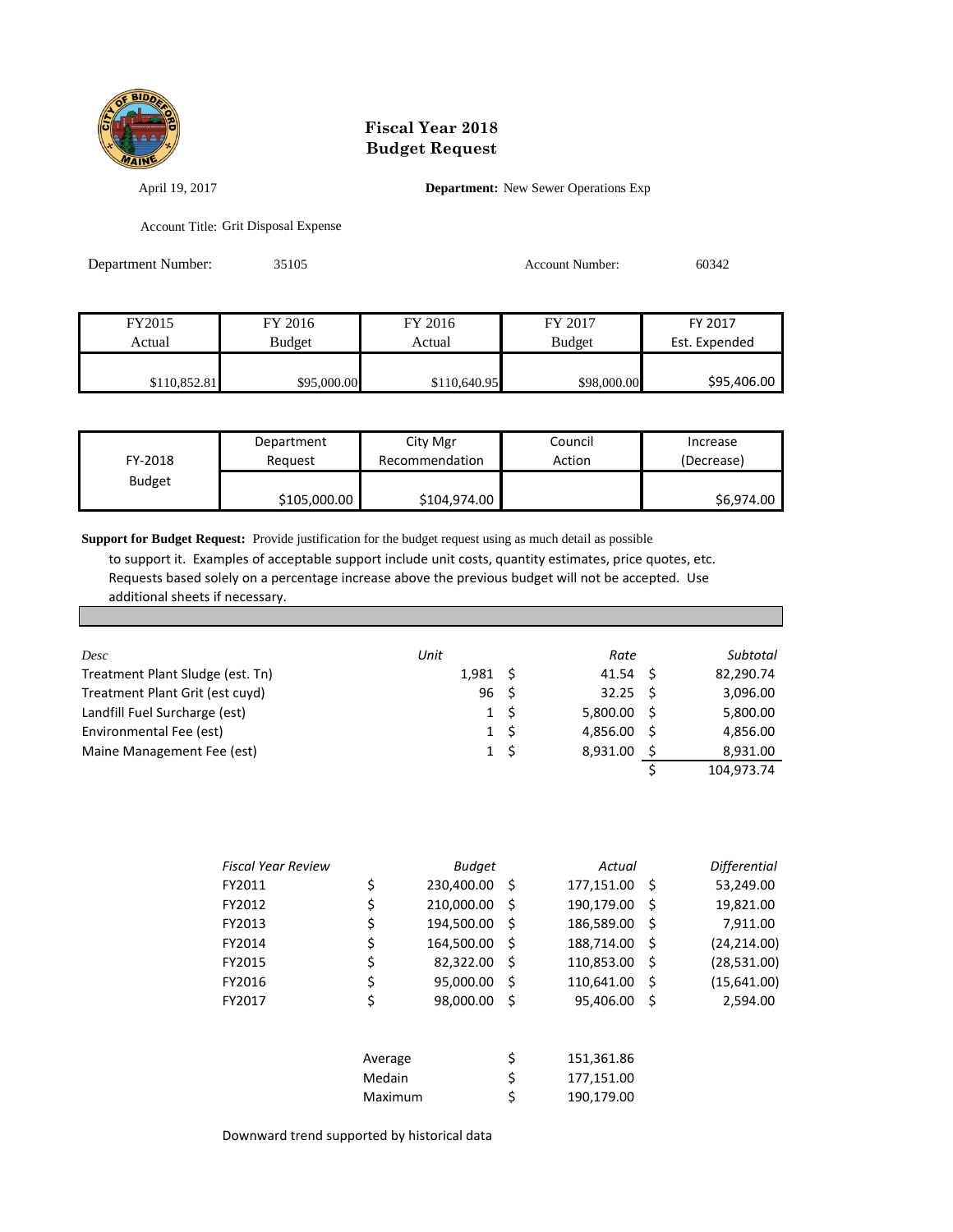

April 19, 2017 **Department:** New Sewer Operations Exp

Account Title: Grit Disposal Expense

| Department Number: | 35105         |              | Account Number: | 60342         |  |
|--------------------|---------------|--------------|-----------------|---------------|--|
|                    |               |              |                 |               |  |
| FY2015             | FY 2016       | FY 2016      | FY 2017         | FY 2017       |  |
| Actual             | <b>Budget</b> | Actual       | <b>Budget</b>   | Est. Expended |  |
| \$110,852.81       | \$95,000.00   | \$110,640.95 | \$98,000.00     | \$95,406.00   |  |

| Department<br>FY-2018<br>Reauest |              | City Mgr<br>Recommendation | Council<br>Action | Increase<br>(Decrease) |
|----------------------------------|--------------|----------------------------|-------------------|------------------------|
| <b>Budget</b>                    | \$105,000.00 | \$104,974.00               |                   | \$6,974.00             |

**Support for Budget Request:** Provide justification for the budget request using as much detail as possible

 to support it. Examples of acceptable support include unit costs, quantity estimates, price quotes, etc. Requests based solely on a percentage increase above the previous budget will not be accepted. Use additional sheets if necessary.

| Desc                             | Unit            |                | Rate               | Subtotal   |
|----------------------------------|-----------------|----------------|--------------------|------------|
| Treatment Plant Sludge (est. Tn) | $1,981 \quad $$ |                | 41.54 <sub>5</sub> | 82,290.74  |
| Treatment Plant Grit (est cuyd)  | 96 \$           |                | 32.25              | 3,096.00   |
| Landfill Fuel Surcharge (est)    |                 | 1 <sup>5</sup> | 5,800.00           | 5,800.00   |
| Environmental Fee (est)          |                 | 1 <sup>5</sup> | 4.856.00           | 4,856.00   |
| Maine Management Fee (est)       |                 | 1 <sup>5</sup> | 8,931.00           | 8,931.00   |
|                                  |                 |                |                    | 104.973.74 |

| <b>Fiscal Year Review</b> |         | <b>Budget</b> |      | Actual     |    | <b>Differential</b> |
|---------------------------|---------|---------------|------|------------|----|---------------------|
| FY2011                    | \$      | 230,400.00    | - \$ | 177,151.00 | -S | 53,249.00           |
| FY2012                    | \$      | 210,000.00    | S    | 190,179.00 | S  | 19,821.00           |
| FY2013                    | \$      | 194,500.00    | - S  | 186,589.00 | S  | 7,911.00            |
| FY2014                    | \$      | 164,500.00    | \$   | 188,714.00 | \$ | (24, 214.00)        |
| FY2015                    | \$      | 82,322.00     | \$   | 110,853.00 | S  | (28, 531.00)        |
| FY2016                    | \$      | 95,000.00     | S    | 110,641.00 | S  | (15,641.00)         |
| FY2017                    | \$      | 98,000.00     | \$   | 95,406.00  | S  | 2,594.00            |
|                           |         |               |      |            |    |                     |
|                           | Average |               | \$   | 151,361.86 |    |                     |
|                           | Medain  |               | \$   | 177,151.00 |    |                     |
|                           | Maximum |               | \$   | 190,179.00 |    |                     |
|                           |         |               |      |            |    |                     |

Downward trend supported by historical data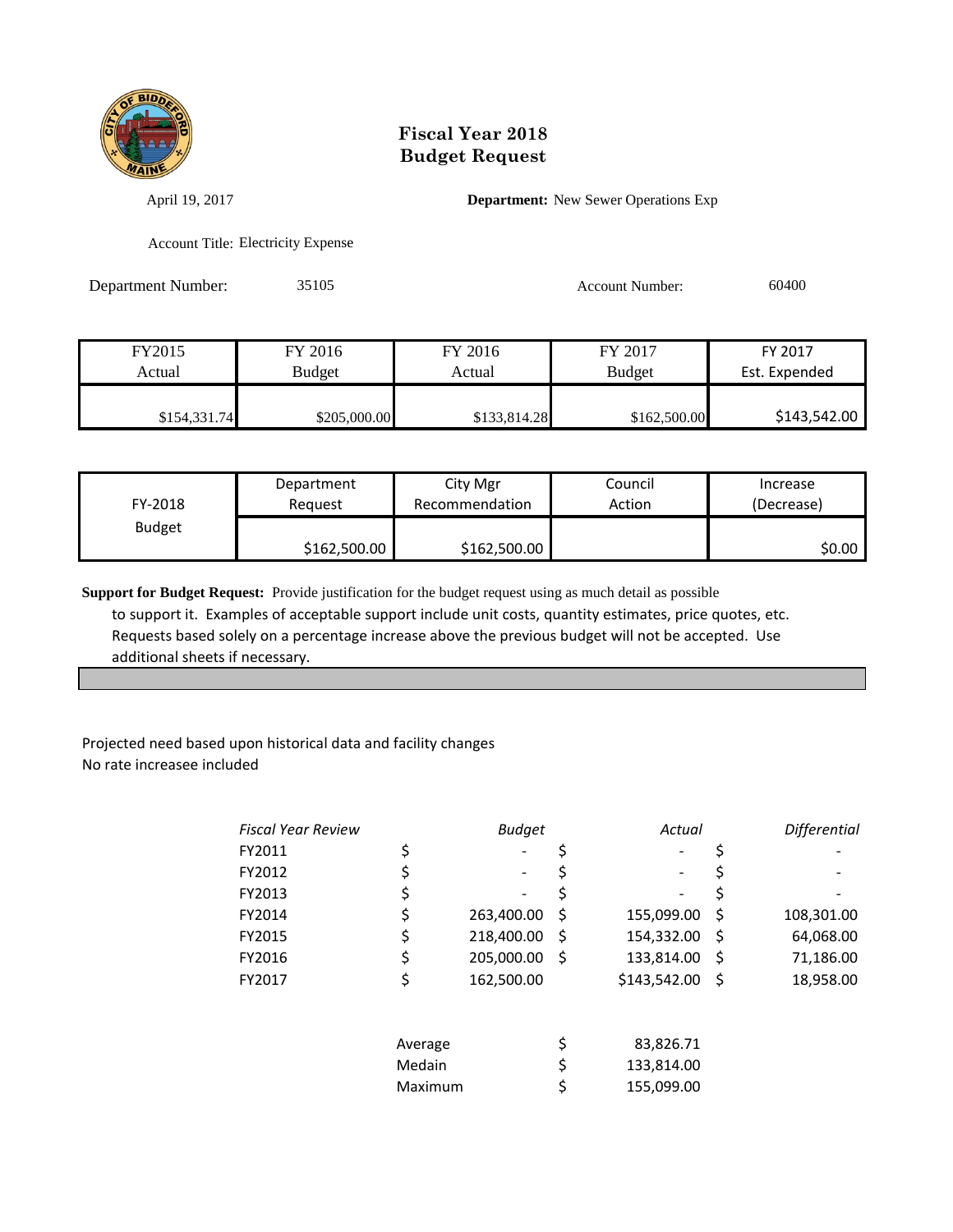

April 19, 2017 **Department:** New Sewer Operations Exp

Account Title: Electricity Expense

Department Number: 35105 Account Number: 60400

| FY2015       | FY 2016       | FY 2016      | FY 2017       | FY 2017       |
|--------------|---------------|--------------|---------------|---------------|
| Actual       | <b>Budget</b> | Actual       | <b>Budget</b> | Est. Expended |
| \$154,331.74 | \$205,000.00  | \$133,814.28 | \$162,500.00  | \$143,542.00  |

|               | City Mgr<br>Department<br>FY-2018<br>Recommendation<br>Reauest |              | Action | (Decrease) |
|---------------|----------------------------------------------------------------|--------------|--------|------------|
| <b>Budget</b> | \$162,500.00                                                   | \$162,500.00 |        | SO.OO I    |

**Support for Budget Request:** Provide justification for the budget request using as much detail as possible to support it. Examples of acceptable support include unit costs, quantity estimates, price quotes, etc. Requests based solely on a percentage increase above the previous budget will not be accepted. Use additional sheets if necessary.

#### Projected need based upon historical data and facility changes No rate increasee included

| <b>Fiscal Year Review</b> |         | <b>Budget</b> |    | Actual       |    | <b>Differential</b> |
|---------------------------|---------|---------------|----|--------------|----|---------------------|
| FY2011                    |         |               |    |              |    |                     |
| FY2012                    |         |               |    |              |    |                     |
| FY2013                    |         |               |    |              |    |                     |
| FY2014                    |         | 263,400.00    | S  | 155,099.00   | S  | 108,301.00          |
| FY2015                    | \$      | 218,400.00    | \$ | 154,332.00   | S  | 64,068.00           |
| FY2016                    |         | 205,000.00    | \$ | 133,814.00   | S. | 71,186.00           |
| FY2017                    | \$      | 162,500.00    |    | \$143,542.00 | -S | 18,958.00           |
|                           | Average |               | \$ | 83,826.71    |    |                     |
|                           | Medain  |               | \$ | 133,814.00   |    |                     |
|                           | Maximum |               | \$ | 155,099.00   |    |                     |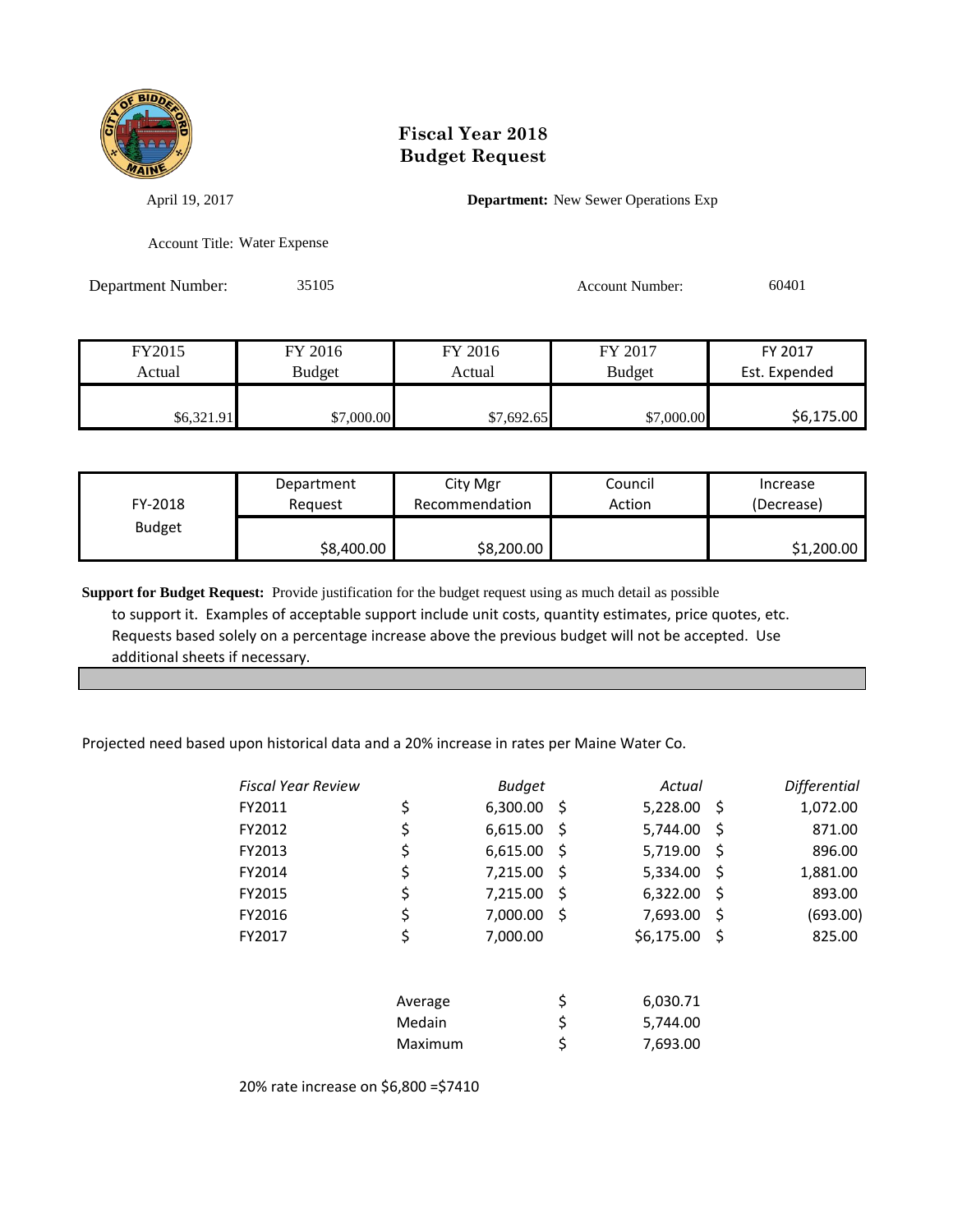

April 19, 2017 **Department:** New Sewer Operations Exp

Account Title: Water Expense

Department Number: 35105 Account Number: 60401

| FY2015     | FY 2016       | FY 2016    | FY 2017       | FY 2017       |
|------------|---------------|------------|---------------|---------------|
| Actual     | <b>Budget</b> | Actual     | <b>Budget</b> | Est. Expended |
|            |               |            |               |               |
| \$6,321.91 | \$7,000.00    | \$7,692.65 | \$7,000.00    | \$6,175.00    |

| FY-2018       | Department | City Mgr       | Council | Increase   |
|---------------|------------|----------------|---------|------------|
|               | Reauest    | Recommendation | Action  | (Decrease) |
| <b>Budget</b> | \$8,400.00 | \$8,200.00     |         | \$1,200.00 |

**Support for Budget Request:** Provide justification for the budget request using as much detail as possible to support it. Examples of acceptable support include unit costs, quantity estimates, price quotes, etc. Requests based solely on a percentage increase above the previous budget will not be accepted. Use additional sheets if necessary.

Projected need based upon historical data and a 20% increase in rates per Maine Water Co.

| <b>Fiscal Year Review</b> |         | <b>Budget</b> |     | Actual        |    | <b>Differential</b> |
|---------------------------|---------|---------------|-----|---------------|----|---------------------|
| FY2011                    | \$      | 6,300.00      | -\$ | $5,228.00$ \$ |    | 1,072.00            |
| FY2012                    | \$      | 6,615.00      | S   | 5,744.00      | .S | 871.00              |
| FY2013                    | \$      | 6,615.00      | S   | 5,719.00      | S  | 896.00              |
| FY2014                    | \$      | 7,215.00      | \$  | 5,334.00      | S  | 1,881.00            |
| FY2015                    | \$      | 7,215.00      | \$  | 6,322.00      | .S | 893.00              |
| FY2016                    | \$      | 7,000.00      | \$  | 7,693.00      | Ŝ  | (693.00)            |
| FY2017                    | \$      | 7,000.00      |     | \$6,175.00    | -S | 825.00              |
|                           |         |               |     |               |    |                     |
|                           | Average |               | \$  | 6,030.71      |    |                     |
|                           | Medain  |               |     | 5,744.00      |    |                     |

Maximum \$ 7,693.00

20% rate increase on \$6,800 =\$7410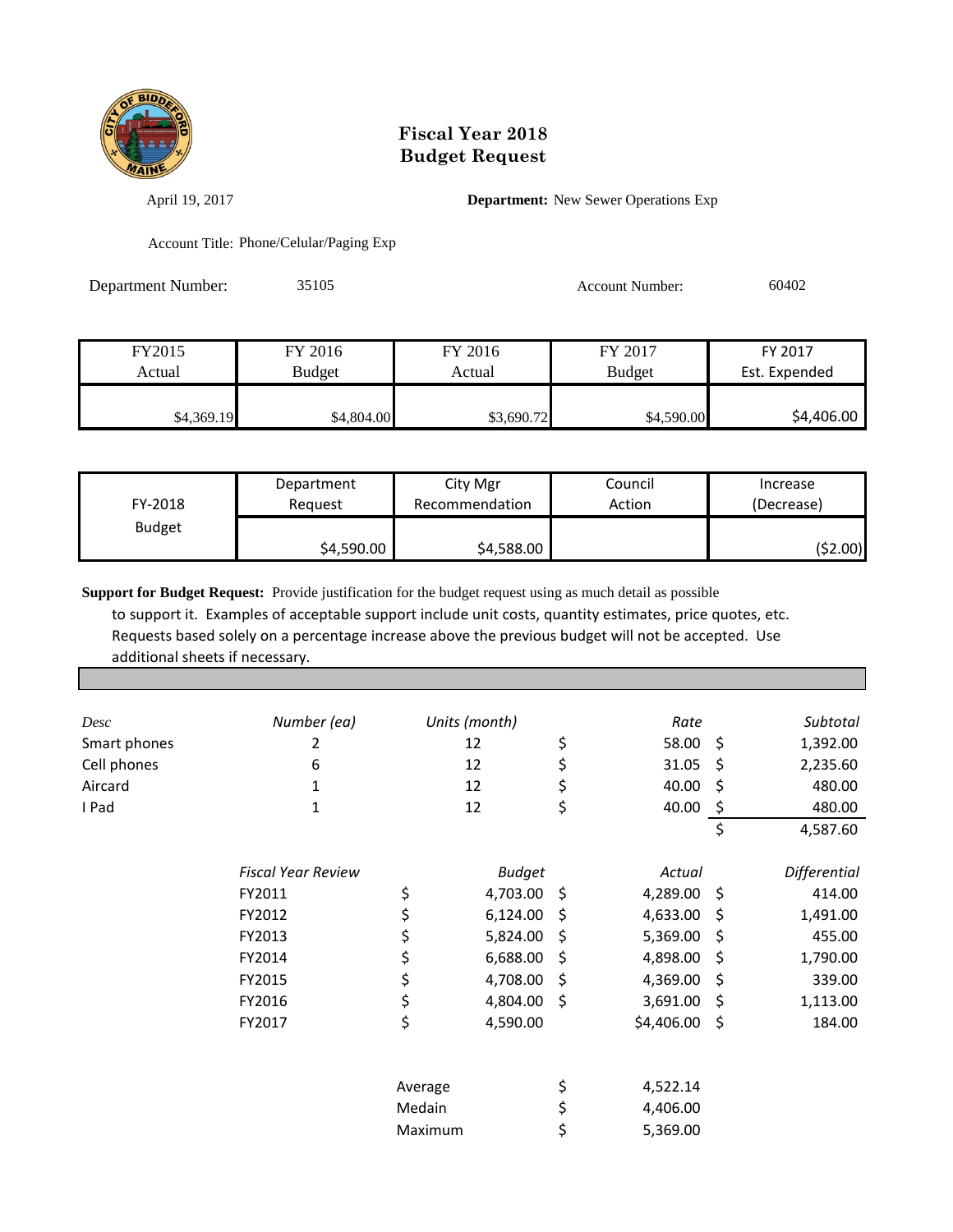

April 19, 2017 **Department:** New Sewer Operations Exp

Account Title: Phone/Celular/Paging Exp

Department Number: 35105 Account Number: 60402

| FY2015     | FY 2016       | FY 2016    | FY 2017       | FY 2017       |
|------------|---------------|------------|---------------|---------------|
| Actual     | <b>Budget</b> | Actual     | <b>Budget</b> | Est. Expended |
|            |               |            |               |               |
| \$4,369.19 | \$4,804.00    | \$3,690.72 | \$4,590.00    | \$4,406.00    |

| FY-2018       | Department | City Mgr       | Council | Increase   |
|---------------|------------|----------------|---------|------------|
|               | Reauest    | Recommendation | Action  | (Decrease) |
| <b>Budget</b> | \$4,590.00 | \$4,588.00     |         | (\$2.00)   |

**Support for Budget Request:** Provide justification for the budget request using as much detail as possible to support it. Examples of acceptable support include unit costs, quantity estimates, price quotes, etc. Requests based solely on a percentage increase above the previous budget will not be accepted. Use additional sheets if necessary.

| Desc         | Number (ea)               |         | Units (month) |         | Rate       |     | Subtotal     |
|--------------|---------------------------|---------|---------------|---------|------------|-----|--------------|
| Smart phones | 2                         |         | 12            | \$      | 58.00      | -\$ | 1,392.00     |
| Cell phones  | 6                         |         | 12            | \$      | 31.05      | \$  | 2,235.60     |
| Aircard      | 1                         |         | 12            | \$      | 40.00      | \$  | 480.00       |
| I Pad        | 1                         |         | 12            | \$      | 40.00      | \$  | 480.00       |
|              |                           |         |               |         |            | \$  | 4,587.60     |
|              | <b>Fiscal Year Review</b> |         | <b>Budget</b> |         | Actual     |     | Differential |
|              | FY2011                    | \$      | 4,703.00      | - \$    | 4,289.00   | -\$ | 414.00       |
|              | FY2012                    | \$      | 6,124.00      | -\$     | 4,633.00   | -\$ | 1,491.00     |
|              | FY2013                    | \$      | 5,824.00      | \$      | 5,369.00   | \$  | 455.00       |
|              | FY2014                    | \$      | 6,688.00      | \$      | 4,898.00   | \$  | 1,790.00     |
|              | FY2015                    | \$      | 4,708.00      | $\zeta$ | 4,369.00   | \$  | 339.00       |
|              | FY2016                    | \$      | 4,804.00      | $\zeta$ | 3,691.00   | \$  | 1,113.00     |
|              | FY2017                    | \$      | 4,590.00      |         | \$4,406.00 | -\$ | 184.00       |
|              |                           |         |               |         |            |     |              |
|              |                           | Average |               | \$      | 4,522.14   |     |              |
|              |                           | Medain  |               | \$      | 4,406.00   |     |              |
|              |                           | Maximum |               | \$      | 5,369.00   |     |              |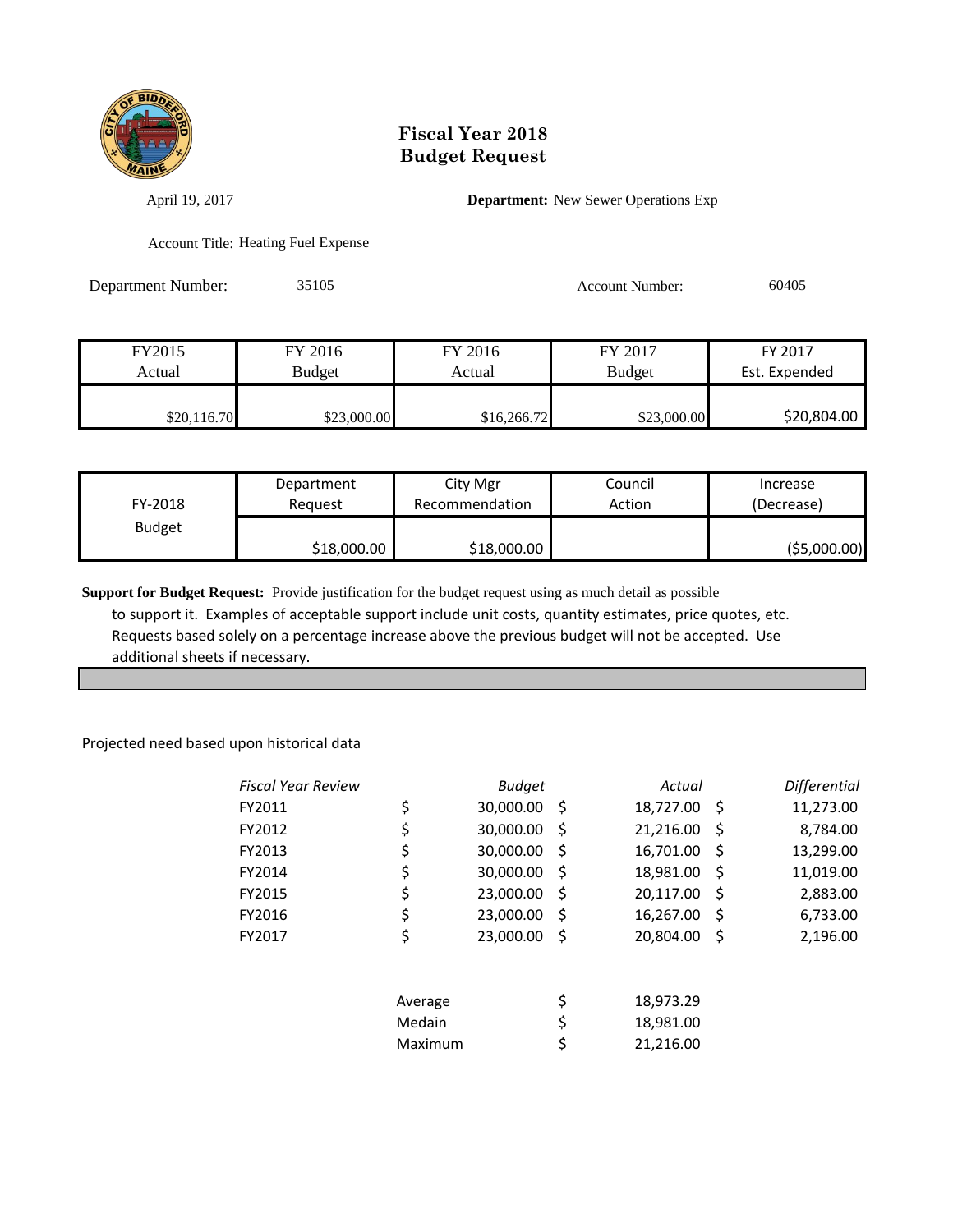

April 19, 2017 **Department:** New Sewer Operations Exp

Account Title: Heating Fuel Expense

Department Number: 35105 Account Number: 60405

| FY2015      | FY 2016       | FY 2016     | FY 2017       | FY 2017       |
|-------------|---------------|-------------|---------------|---------------|
| Actual      | <b>Budget</b> | Actual      | <b>Budget</b> | Est. Expended |
| \$20,116.70 | \$23,000.00   | \$16,266.72 | \$23,000.00   | \$20,804.00   |

| FY-2018       | Department  | City Mgr       | Council | Increase    |
|---------------|-------------|----------------|---------|-------------|
|               | Reauest     | Recommendation | Action  | (Decrease)  |
| <b>Budget</b> | \$18,000.00 |                |         | (55,000.00) |

**Support for Budget Request:** Provide justification for the budget request using as much detail as possible to support it. Examples of acceptable support include unit costs, quantity estimates, price quotes, etc. Requests based solely on a percentage increase above the previous budget will not be accepted. Use additional sheets if necessary.

#### Projected need based upon historical data

|         |                     |                            |           |                                  | <b>Differential</b> |
|---------|---------------------|----------------------------|-----------|----------------------------------|---------------------|
|         |                     |                            |           |                                  | 11,273.00           |
|         | 30,000.00           | \$                         | 21,216.00 | \$                               | 8,784.00            |
| \$      | 30,000.00           | \$                         | 16,701.00 | \$                               | 13,299.00           |
| \$      | 30,000.00           | \$                         | 18,981.00 | S                                | 11,019.00           |
| \$      | 23,000.00           | \$,                        | 20,117.00 | -S                               | 2,883.00            |
| \$      | 23,000.00           | \$                         | 16,267.00 | .S                               | 6,733.00            |
| \$      | 23,000.00           | \$                         | 20,804.00 | \$                               | 2,196.00            |
|         |                     |                            |           |                                  |                     |
|         |                     |                            |           |                                  |                     |
| Medain  |                     | \$                         | 18,981.00 |                                  |                     |
| Maximum |                     |                            | 21,216.00 |                                  |                     |
|         | \$<br>\$<br>Average | <b>Budget</b><br>30,000.00 | \$<br>\$  | Actual<br>18,727.00<br>18,973.29 | \$                  |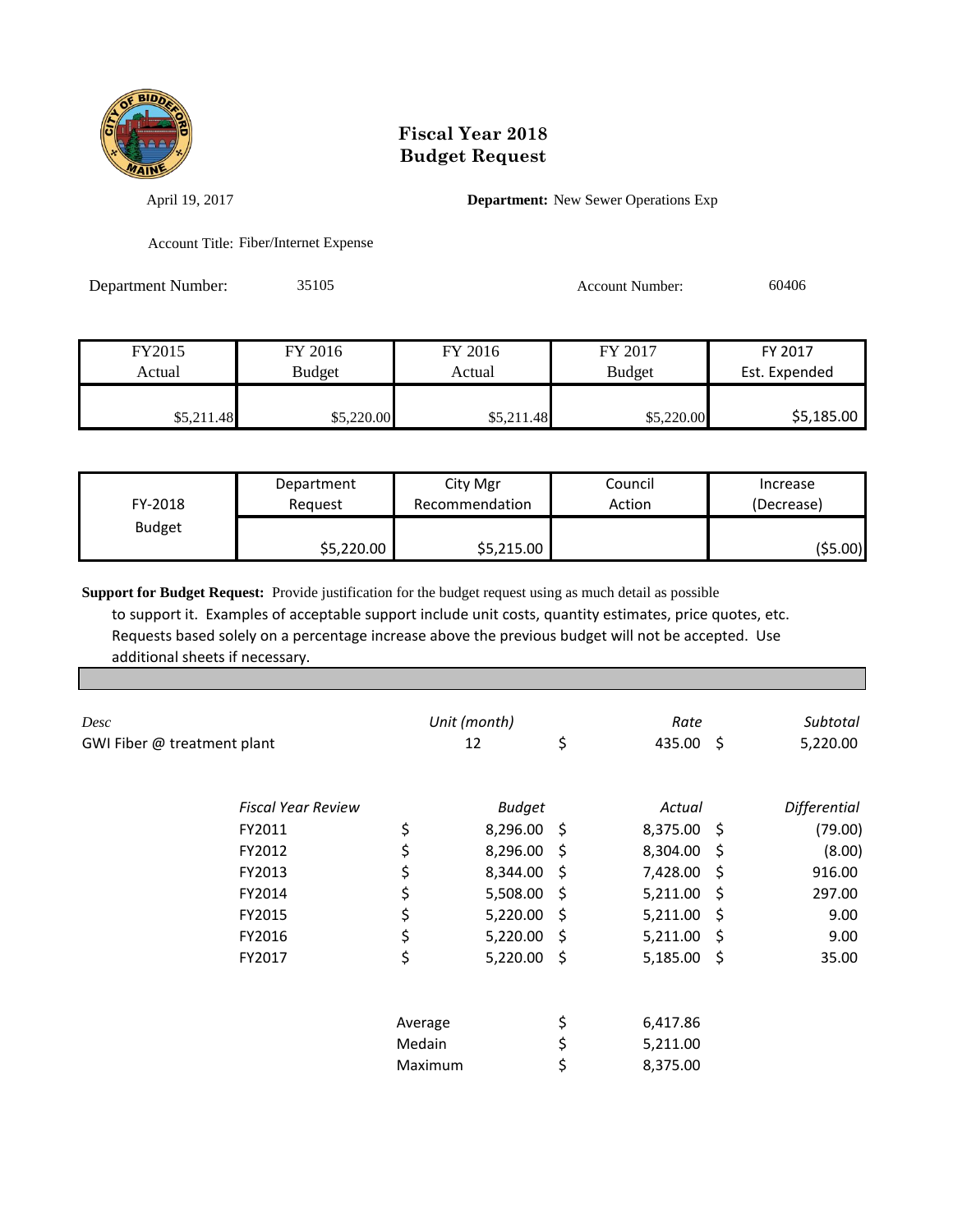

April 19, 2017 **Department:** New Sewer Operations Exp

Account Title: Fiber/Internet Expense

Department Number: 35105 Account Number: 60406

| FY2015     | FY 2016       | FY 2016    | FY 2017       | FY 2017       |
|------------|---------------|------------|---------------|---------------|
| Actual     | <b>Budget</b> | Actual     | <b>Budget</b> | Est. Expended |
|            |               |            |               |               |
| \$5,211.48 | \$5,220.00    | \$5,211.48 | \$5,220.00    | \$5,185.00    |

| FY-2018       | Department | City Mgr       | Council | Increase   |
|---------------|------------|----------------|---------|------------|
|               | Reauest    | Recommendation | Action  | (Decrease) |
| <b>Budget</b> | \$5,220.00 | \$5,215.00     |         | (\$5.00)   |

**Support for Budget Request:** Provide justification for the budget request using as much detail as possible to support it. Examples of acceptable support include unit costs, quantity estimates, price quotes, etc. Requests based solely on a percentage increase above the previous budget will not be accepted. Use additional sheets if necessary.

| Desc                        | Unit (month) |               | Rate |               | Subtotal |                     |
|-----------------------------|--------------|---------------|------|---------------|----------|---------------------|
| GWI Fiber @ treatment plant | 12           |               | \$   | 435.00 \$     |          | 5,220.00            |
| <b>Fiscal Year Review</b>   |              | <b>Budget</b> |      | Actual        |          | <b>Differential</b> |
| FY2011                      | \$           | $8,296.00$ \$ |      | $8,375.00$ \$ |          | (79.00)             |
| FY2012                      | \$           | 8,296.00      | - \$ | 8,304.00      | - \$     | (8.00)              |
| FY2013                      | \$           | 8,344.00      | - \$ | 7,428.00      | - S      | 916.00              |
| FY2014                      | \$           | 5,508.00      | -\$  | 5,211.00      | -\$      | 297.00              |
| FY2015                      | \$           | 5,220.00      | - \$ | 5,211.00      | - \$     | 9.00                |
| FY2016                      | \$           | 5,220.00      | - \$ | 5,211.00      | -\$      | 9.00                |
| FY2017                      | \$           | 5,220.00      | - \$ | 5,185.00      | -\$      | 35.00               |
|                             | Average      |               | \$   | 6,417.86      |          |                     |
|                             | Medain       |               | \$   | 5,211.00      |          |                     |
|                             | Maximum      |               | \$   | 8,375.00      |          |                     |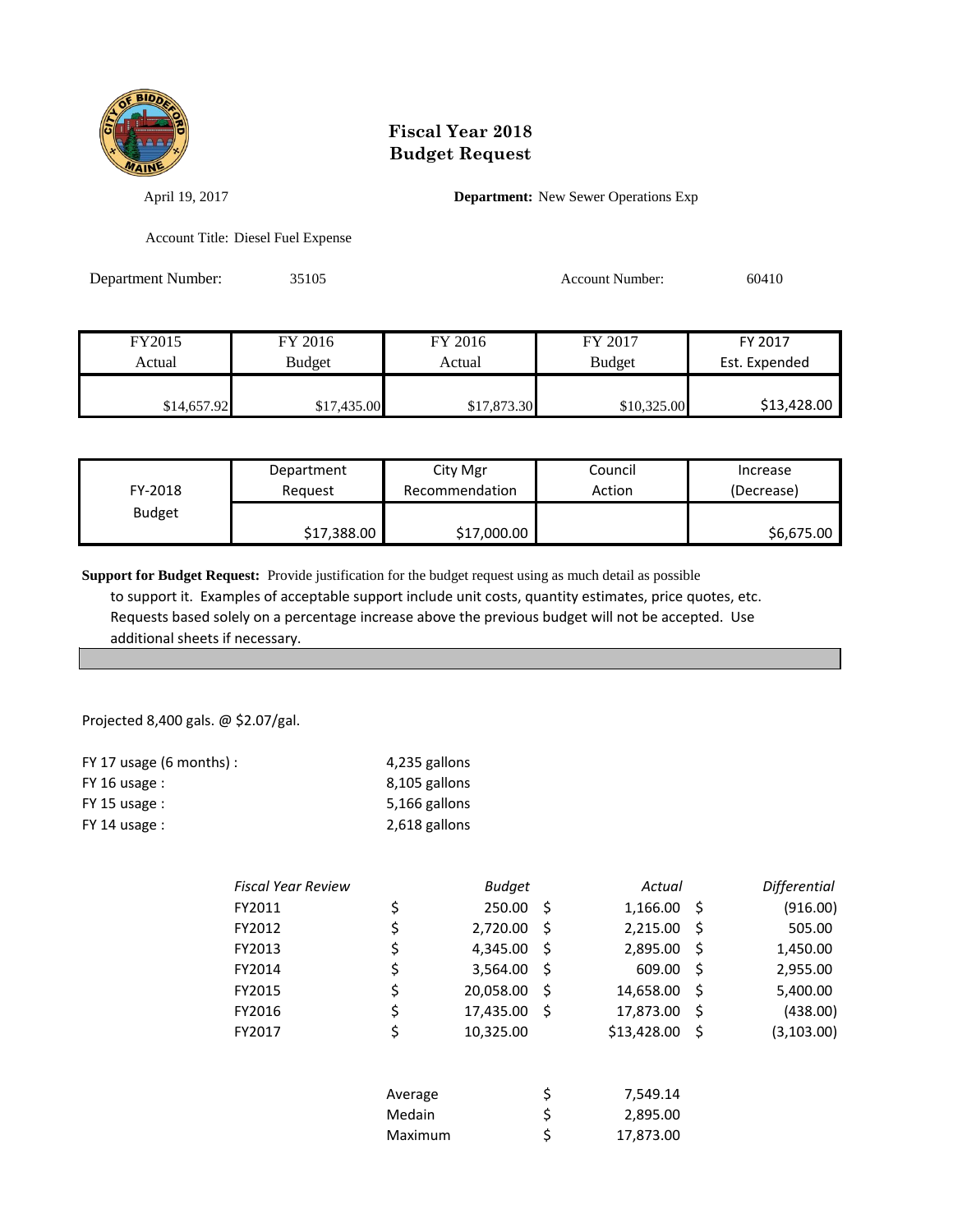

April 19, 2017 **Department:** New Sewer Operations Exp

Account Title: Diesel Fuel Expense

| Department Number: | 35105         |         | <b>Account Number:</b> | 60410         |
|--------------------|---------------|---------|------------------------|---------------|
|                    |               |         |                        |               |
|                    |               |         |                        |               |
| FY2015             | FY 2016       | FY 2016 | FY 2017                | FY 2017       |
| Actual             | <b>Budget</b> | Actual  | <b>Budget</b>          | Est. Expended |

| 14 657 92 | 435.00<br>бĽ | \$17,873.30 | 325.00 | \$13,428.00 |
|-----------|--------------|-------------|--------|-------------|
|           |              |             |        |             |

| FY-2018       | Department                 | City Mgr       | Council | Increase   |  |
|---------------|----------------------------|----------------|---------|------------|--|
|               | Reauest                    | Recommendation | Action  | (Decrease) |  |
| <b>Budget</b> | \$17,388.00<br>\$17,000.00 |                |         | \$6,675.00 |  |

**Support for Budget Request:** Provide justification for the budget request using as much detail as possible

 to support it. Examples of acceptable support include unit costs, quantity estimates, price quotes, etc. Requests based solely on a percentage increase above the previous budget will not be accepted. Use additional sheets if necessary.

Projected 8,400 gals. @ \$2.07/gal.

| FY 17 usage $(6 \text{ months})$ : | 4,235 gallons |
|------------------------------------|---------------|
| $FY$ 16 usage :                    | 8,105 gallons |
| $FY$ 15 usage :                    | 5,166 gallons |
| $FY$ 14 usage :                    | 2,618 gallons |

| <b>Fiscal Year Review</b> |         | <b>Budget</b> |     | Actual        |    | <b>Differential</b> |
|---------------------------|---------|---------------|-----|---------------|----|---------------------|
| FY2011                    | Ş       | 250.00        | Ŝ.  | $1,166.00$ \$ |    | (916.00)            |
| FY2012                    | \$      | 2,720.00      | \$  | 2,215.00      | S  | 505.00              |
| FY2013                    | \$      | 4,345.00      | S   | 2,895.00      | S  | 1,450.00            |
| FY2014                    | \$      | 3,564.00      | \$. | 609.00        | S  | 2,955.00            |
| FY2015                    | \$      | 20,058.00     | \$  | 14,658.00     | -S | 5,400.00            |
| FY2016                    | \$      | 17,435.00     | \$  | 17,873.00     | -S | (438.00)            |
| FY2017                    | \$      | 10,325.00     |     | \$13,428.00   | Ŝ  | (3, 103.00)         |
|                           |         |               |     |               |    |                     |
|                           | Average |               | \$  | 7,549.14      |    |                     |
|                           | Medain  |               | \$  | 2,895.00      |    |                     |
|                           | Maximum |               |     | 17.873.00     |    |                     |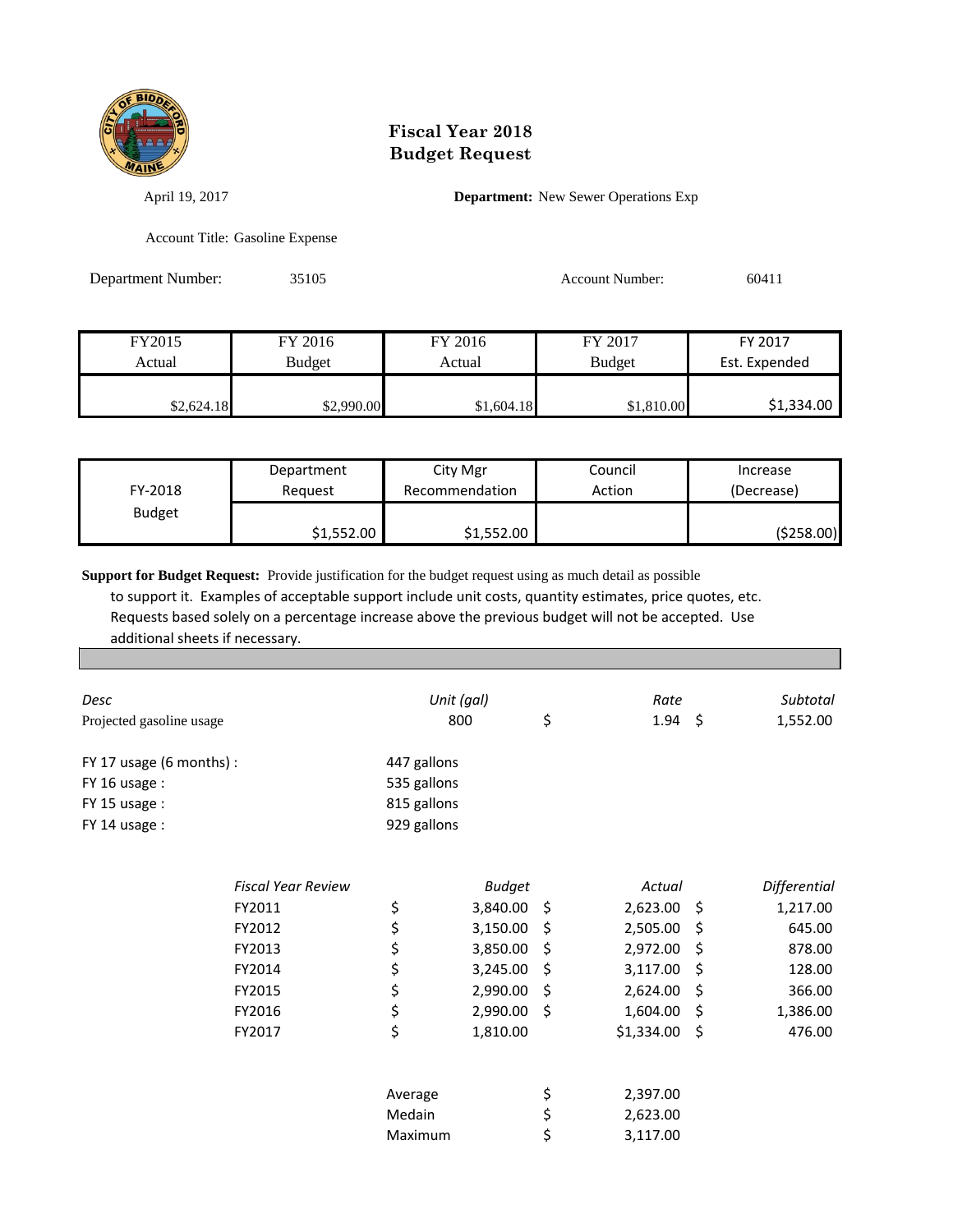

April 19, 2017 **Department:** New Sewer Operations Exp

٦

Account Title: Gasoline Expense

| Department Number: | 35105   |         | <b>Account Number:</b> | 60411   |  |  |
|--------------------|---------|---------|------------------------|---------|--|--|
|                    |         |         |                        |         |  |  |
| FY2015             | FY 2016 | FY 2016 | 12017<br>EV            | FY 2017 |  |  |

| 112012     | 1 1 2010   | 1' 1' 2010 | 11 ZVI /      | <b>FIZULI</b> |  |
|------------|------------|------------|---------------|---------------|--|
| Actual     | Budget     | Actual     | <b>Budget</b> | Est. Expended |  |
| \$2,624.18 | \$2,990.00 | \$1,604.18 | \$1,810.00    | \$1,334.00    |  |

| FY-2018       | Department | City Mgr       | Council | Increase   |
|---------------|------------|----------------|---------|------------|
|               | Reauest    | Recommendation | Action  | (Decrease) |
| <b>Budget</b> | \$1,552.00 | \$1,552.00     |         | (5258.00)  |

**Support for Budget Request:** Provide justification for the budget request using as much detail as possible

 to support it. Examples of acceptable support include unit costs, quantity estimates, price quotes, etc. Requests based solely on a percentage increase above the previous budget will not be accepted. Use additional sheets if necessary.

| Desc<br>Projected gasoline usage                                         |                                                                                                 |                                                          | Unit (gal)<br>800                                                                                 |                                        | Rate<br>\$<br>$1.94 \; \S$                                                                   |                                         | Subtotal<br>1,552.00                                                                   |  |
|--------------------------------------------------------------------------|-------------------------------------------------------------------------------------------------|----------------------------------------------------------|---------------------------------------------------------------------------------------------------|----------------------------------------|----------------------------------------------------------------------------------------------|-----------------------------------------|----------------------------------------------------------------------------------------|--|
| FY 17 usage (6 months) :<br>FY 16 usage:<br>FY 15 usage:<br>FY 14 usage: |                                                                                                 | 447 gallons<br>535 gallons<br>815 gallons<br>929 gallons |                                                                                                   |                                        |                                                                                              |                                         |                                                                                        |  |
|                                                                          | <b>Fiscal Year Review</b><br>FY2011<br>FY2012<br>FY2013<br>FY2014<br>FY2015<br>FY2016<br>FY2017 | \$<br>\$<br>\$<br>\$<br>\$<br>\$<br>\$                   | <b>Budget</b><br>3,840.00<br>3,150.00<br>3,850.00<br>3,245.00<br>2,990.00<br>2,990.00<br>1,810.00 | -\$<br>\$<br>\$<br>\$<br>$\zeta$<br>\$ | Actual<br>2,623.00<br>2,505.00<br>2,972.00<br>3,117.00<br>2,624.00<br>1,604.00<br>\$1,334.00 | -\$<br>\$<br>\$<br>\$<br>\$<br>\$<br>\$ | Differential<br>1,217.00<br>645.00<br>878.00<br>128.00<br>366.00<br>1,386.00<br>476.00 |  |
|                                                                          |                                                                                                 | Average<br>Medain<br>Maximum                             |                                                                                                   | \$<br>\$<br>\$                         | 2,397.00<br>2,623.00<br>3,117.00                                                             |                                         |                                                                                        |  |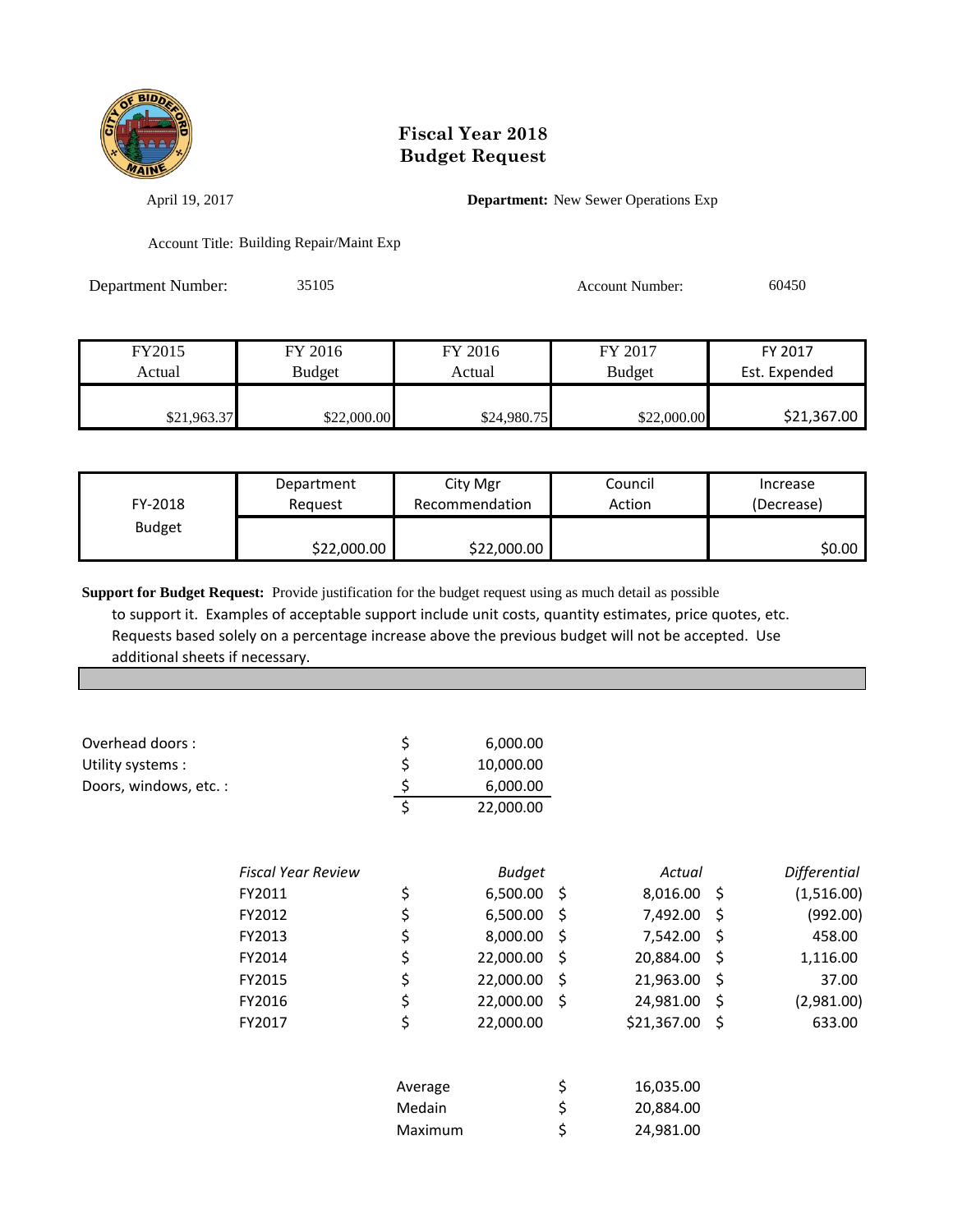

April 19, 2017 **Department:** New Sewer Operations Exp

Account Title: Building Repair/Maint Exp

Department Number: 35105 Account Number: 60450

| FY2015      | FY 2016     | FY 2016     | FY 2017       | FY 2017       |
|-------------|-------------|-------------|---------------|---------------|
| Actual      | Budget      | Actual      | <b>Budget</b> | Est. Expended |
|             |             |             |               |               |
| \$21,963.37 | \$22,000.00 | \$24,980.75 | \$22,000.00   | \$21,367.00   |

| FY-2018       | Department  | City Mgr       | Council | Increase   |  |
|---------------|-------------|----------------|---------|------------|--|
|               | Reauest     | Recommendation | Action  | (Decrease) |  |
| <b>Budget</b> | \$22,000.00 |                |         | \$0.00     |  |

**Support for Budget Request:** Provide justification for the budget request using as much detail as possible to support it. Examples of acceptable support include unit costs, quantity estimates, price quotes, etc. Requests based solely on a percentage increase above the previous budget will not be accepted. Use additional sheets if necessary.

| Overhead doors:       |                           | \$      | 6,000.00      |     |             |      |              |
|-----------------------|---------------------------|---------|---------------|-----|-------------|------|--------------|
| Utility systems :     |                           | \$      | 10,000.00     |     |             |      |              |
| Doors, windows, etc.: |                           | \$      | 6,000.00      |     |             |      |              |
|                       |                           | $\zeta$ | 22,000.00     |     |             |      |              |
|                       | <b>Fiscal Year Review</b> |         | <b>Budget</b> |     | Actual      |      | Differential |
|                       | FY2011                    | \$      | $6,500.00$ \$ |     | 8,016.00    | - \$ | (1,516.00)   |
|                       | FY2012                    | \$      | 6,500.00      | -\$ | 7,492.00    | -\$  | (992.00)     |
|                       | FY2013                    | \$      | 8,000.00      | \$  | 7,542.00    | \$   | 458.00       |
|                       | FY2014                    | \$      | 22,000.00     | \$  | 20,884.00   | \$   | 1,116.00     |
|                       | FY2015                    | \$      | 22,000.00     | \$  | 21,963.00   | \$   | 37.00        |
|                       | FY2016                    | \$      | 22,000.00     | -\$ | 24,981.00   | -\$  | (2,981.00)   |
|                       | FY2017                    | \$      | 22,000.00     |     | \$21,367.00 | -\$  | 633.00       |
|                       |                           | Average |               | \$  | 16,035.00   |      |              |
|                       |                           | Medain  |               | \$  | 20,884.00   |      |              |
|                       |                           | Maximum |               | \$  | 24,981.00   |      |              |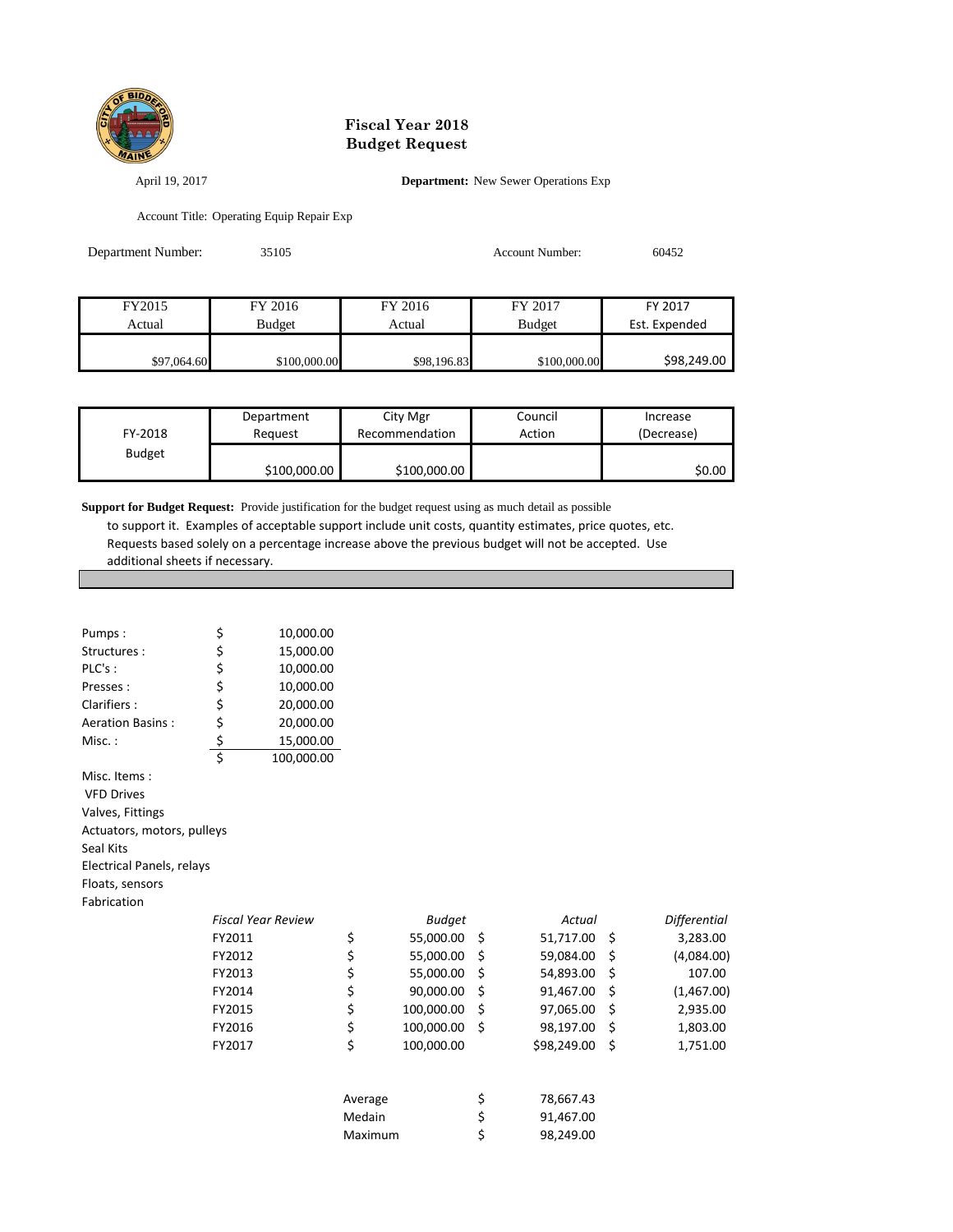

April 19, 2017 **Department:** New Sewer Operations Exp

Account Title: Operating Equip Repair Exp

| Department Number: | 35105         |             | Account Number: | 60452         |
|--------------------|---------------|-------------|-----------------|---------------|
|                    |               |             |                 |               |
| FY2015             | FY 2016       | FY 2016     | FY 2017         | FY 2017       |
| Actual             | <b>Budget</b> | Actual      | <b>Budget</b>   | Est. Expended |
| \$97,064.60        | \$100,000.00  | \$98,196.83 | \$100,000.00    | \$98,249.00   |

| FY-2018       | Department   | City Mgr       | Council | Increase   |
|---------------|--------------|----------------|---------|------------|
|               | Reauest      | Recommendation | Action  | (Decrease) |
| <b>Budget</b> | \$100,000.00 | \$100,000.00   |         | \$0.00     |

**Support for Budget Request:** Provide justification for the budget request using as much detail as possible to support it. Examples of acceptable support include unit costs, quantity estimates, price quotes, etc. Requests based solely on a percentage increase above the previous budget will not be accepted. Use additional sheets if necessary.

| Pumps:                     | \$                                  | 10,000.00                 |         |               |                 |                  |
|----------------------------|-------------------------------------|---------------------------|---------|---------------|-----------------|------------------|
| Structures:                | \$                                  | 15,000.00                 |         |               |                 |                  |
| PLC's:                     | \$                                  | 10,000.00                 |         |               |                 |                  |
| Presses:                   | \$                                  | 10,000.00                 |         |               |                 |                  |
| Clarifiers:                | \$                                  | 20,000.00                 |         |               |                 |                  |
| <b>Aeration Basins:</b>    | \$                                  | 20,000.00                 |         |               |                 |                  |
| Misc.:                     | \$                                  | 15,000.00                 |         |               |                 |                  |
|                            | $\overline{\boldsymbol{\varsigma}}$ | 100,000.00                |         |               |                 |                  |
| Misc. Items:               |                                     |                           |         |               |                 |                  |
| <b>VFD Drives</b>          |                                     |                           |         |               |                 |                  |
| Valves, Fittings           |                                     |                           |         |               |                 |                  |
| Actuators, motors, pulleys |                                     |                           |         |               |                 |                  |
| Seal Kits                  |                                     |                           |         |               |                 |                  |
| Electrical Panels, relays  |                                     |                           |         |               |                 |                  |
| Floats, sensors            |                                     |                           |         |               |                 |                  |
| Fabrication                |                                     |                           |         |               |                 |                  |
|                            |                                     | <b>Fiscal Year Review</b> |         | <b>Budget</b> | Actual          | Differential     |
|                            | FY2011                              |                           | \$      | 55,000.00     | \$<br>51,717.00 | \$<br>3,283.00   |
|                            | FY2012                              |                           | \$      | 55,000.00     | \$<br>59,084.00 | \$<br>(4,084.00) |
|                            | FY2013                              |                           | \$      | 55,000.00     | \$<br>54,893.00 | \$<br>107.00     |
|                            | FY2014                              |                           | \$      | 90,000.00     | \$<br>91,467.00 | \$<br>(1,467.00) |
|                            | FY2015                              |                           | \$      | 100,000.00    | \$<br>97,065.00 | \$<br>2,935.00   |
|                            | FY2016                              |                           | \$      | 100,000.00    | \$<br>98,197.00 | \$<br>1,803.00   |
|                            | FY2017                              |                           | \$      | 100,000.00    | \$98,249.00     | \$<br>1,751.00   |
|                            |                                     |                           |         |               |                 |                  |
|                            |                                     |                           | Average |               | \$<br>78,667.43 |                  |
|                            |                                     |                           | Medain  |               | \$<br>91,467.00 |                  |
|                            |                                     |                           | Maximum |               | \$<br>98,249.00 |                  |
|                            |                                     |                           |         |               |                 |                  |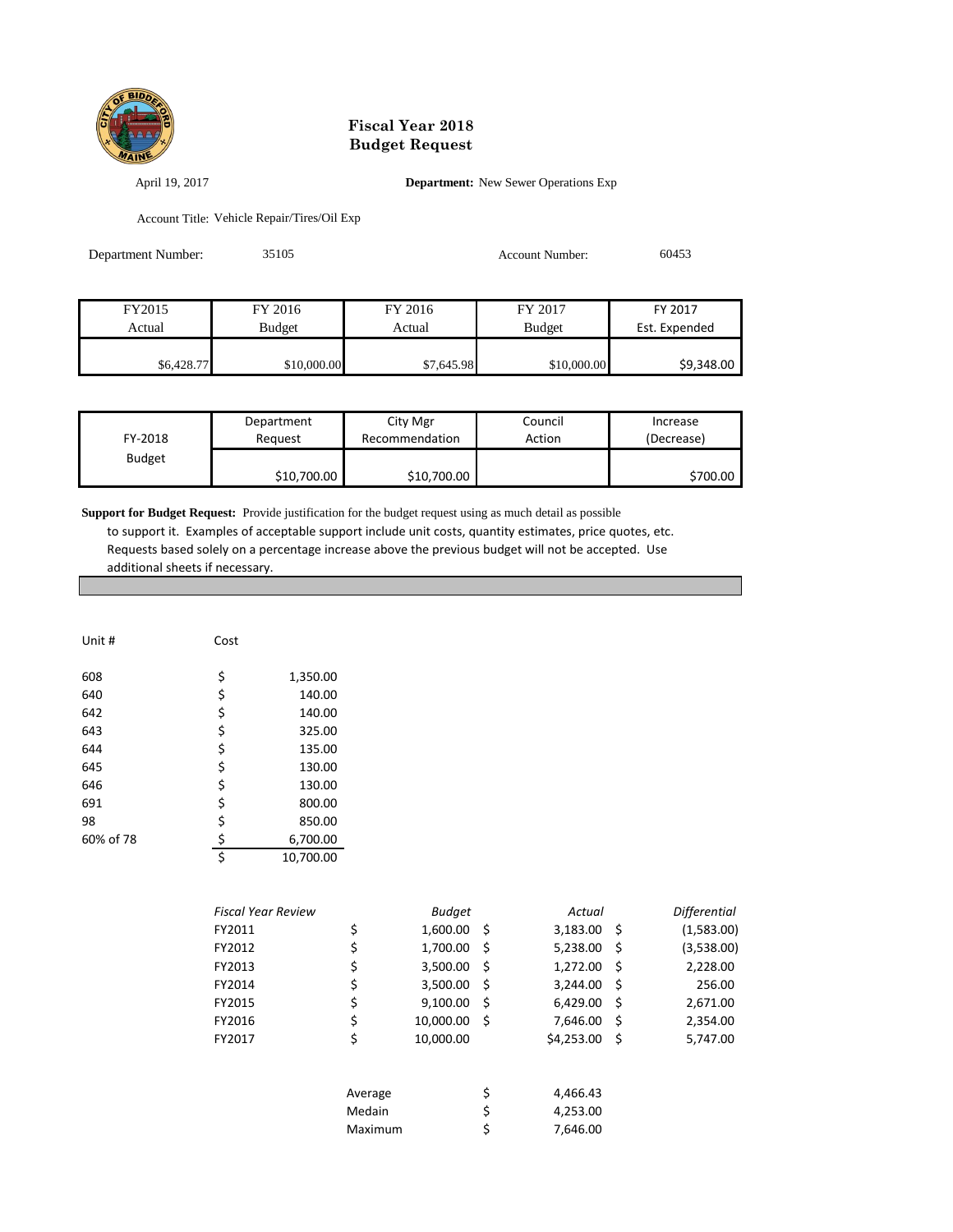

April 19, 2017 **Department:** New Sewer Operations Exp

Account Title: Vehicle Repair/Tires/Oil Exp

| Department Number: | 35105         |            | <b>Account Number:</b> | 60453         |  |
|--------------------|---------------|------------|------------------------|---------------|--|
|                    |               |            |                        |               |  |
| FY2015             | FY 2016       | FY 2016    | FY 2017                | FY 2017       |  |
| Actual             | <b>Budget</b> | Actual     | <b>Budget</b>          | Est. Expended |  |
| \$6,428.77         | \$10,000.00   | \$7,645.98 | \$10,000.00            | \$9,348.00    |  |

| FY-2018       | Department  | City Mgr       | Council | Increase   |
|---------------|-------------|----------------|---------|------------|
|               | Reauest     | Recommendation | Action  | (Decrease) |
| <b>Budget</b> | \$10,700.00 | \$10,700.00    |         | \$700.00   |

**Support for Budget Request:** Provide justification for the budget request using as much detail as possible to support it. Examples of acceptable support include unit costs, quantity estimates, price quotes, etc.

 Requests based solely on a percentage increase above the previous budget will not be accepted. Use additional sheets if necessary.

| Unit #    | Cost |           |
|-----------|------|-----------|
| 608       | \$   | 1,350.00  |
| 640       | \$   | 140.00    |
| 642       | \$   | 140.00    |
| 643       | \$   | 325.00    |
| 644       | \$   | 135.00    |
| 645       | \$   | 130.00    |
| 646       | \$   | 130.00    |
| 691       | \$   | 800.00    |
| 98        | \$   | 850.00    |
| 60% of 78 | \$   | 6,700.00  |
|           | \$   | 10,700.00 |

| Fiscal Year Review |         | <b>Budget</b> |      | Actual        |    | <b>Differential</b> |
|--------------------|---------|---------------|------|---------------|----|---------------------|
| FY2011             | \$      | 1,600.00      | - \$ | $3,183.00$ \$ |    | (1,583.00)          |
| FY2012             | \$      | 1.700.00      | \$   | 5,238.00      | Ŝ  | (3,538.00)          |
| FY2013             | \$      | 3,500.00      | \$   | 1,272.00      | .S | 2,228.00            |
| FY2014             | \$      | 3,500.00      | \$   | 3,244.00      | \$ | 256.00              |
| FY2015             | \$      | 9,100.00      | \$   | 6,429.00      | S. | 2,671.00            |
| FY2016             | \$      | 10,000.00     | Ŝ.   | 7,646.00      | -S | 2,354.00            |
| FY2017             | \$      | 10,000.00     |      | \$4,253.00    | \$ | 5,747.00            |
|                    |         |               |      |               |    |                     |
|                    | Average |               | \$   | 4,466.43      |    |                     |
|                    | Medain  |               | \$   | 4,253.00      |    |                     |
|                    | Maximum |               | \$   | 7,646.00      |    |                     |
|                    |         |               |      |               |    |                     |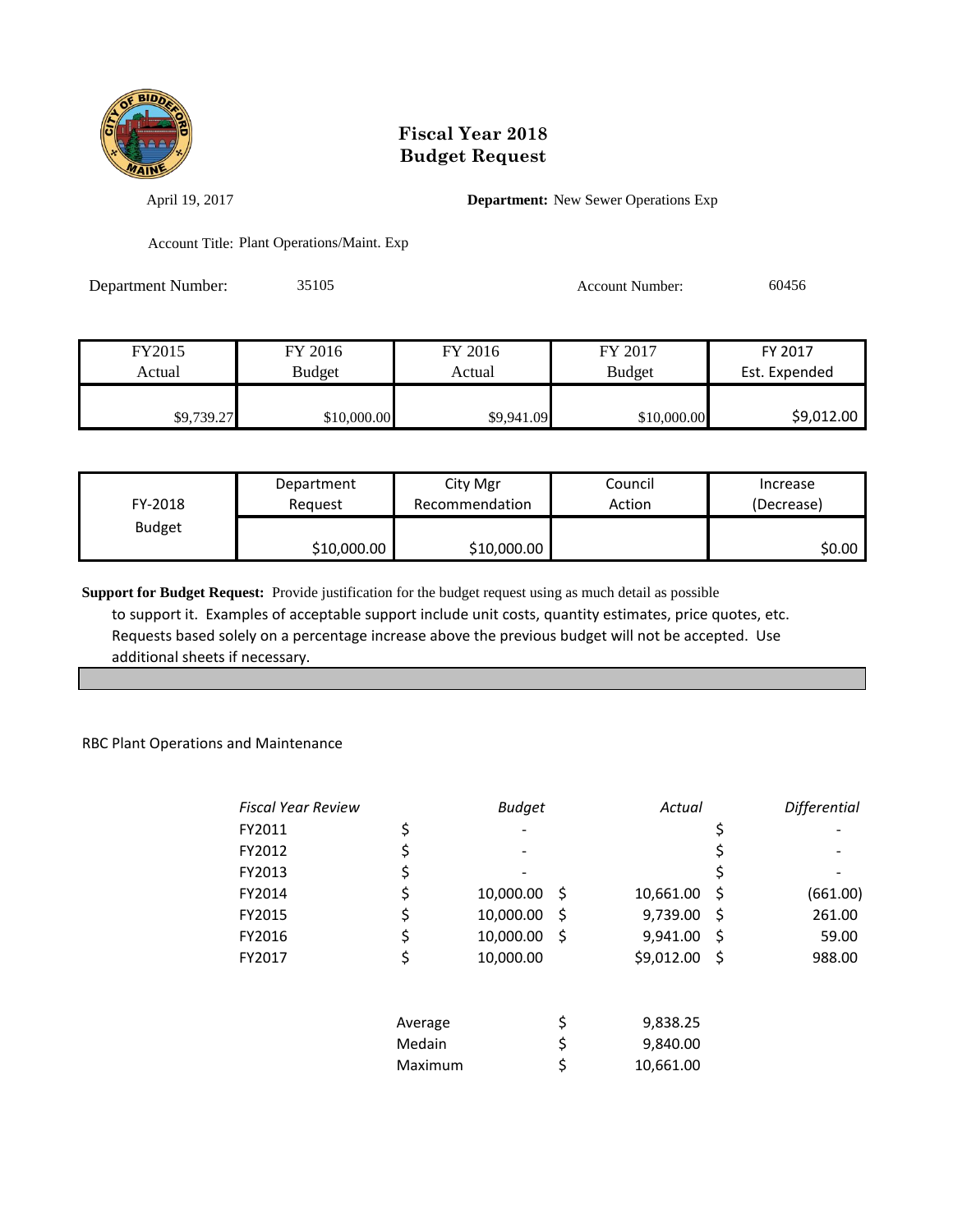

April 19, 2017 **Department:** New Sewer Operations Exp

Account Title: Plant Operations/Maint. Exp

Department Number: 35105 Account Number: 60456

| FY2015     | FY 2016       | FY 2016    | FY 2017       | FY 2017       |
|------------|---------------|------------|---------------|---------------|
| Actual     | <b>Budget</b> | Actual     | <b>Budget</b> | Est. Expended |
|            |               |            |               |               |
| \$9,739.27 | \$10,000.00   | \$9,941.09 | \$10,000.00   | \$9,012.00    |

| FY-2018       | Department  | City Mgr       | Council | Increase   |
|---------------|-------------|----------------|---------|------------|
|               | Reguest     | Recommendation | Action  | (Decrease) |
| <b>Budget</b> | \$10,000.00 | \$10,000.00    |         | SO.OO      |

**Support for Budget Request:** Provide justification for the budget request using as much detail as possible to support it. Examples of acceptable support include unit costs, quantity estimates, price quotes, etc. Requests based solely on a percentage increase above the previous budget will not be accepted. Use additional sheets if necessary.

#### RBC Plant Operations and Maintenance

| Fiscal Year Review |         | <b>Budget</b> |     | Actual     |    | Differential |
|--------------------|---------|---------------|-----|------------|----|--------------|
| FY2011             | \$      |               |     |            |    |              |
| FY2012             |         |               |     |            |    |              |
| FY2013             |         |               |     |            |    |              |
| FY2014             |         | 10,000.00     | -S  | 10,661.00  | S  | (661.00)     |
| FY2015             | \$      | 10,000.00     | \$, | 9,739.00   | S  | 261.00       |
| FY2016             | \$      | 10,000.00     | -\$ | 9,941.00   | -S | 59.00        |
| FY2017             | \$      | 10,000.00     |     | \$9,012.00 | -S | 988.00       |
|                    | Average |               | \$  | 9,838.25   |    |              |
|                    | Medain  |               | \$  | 9,840.00   |    |              |
|                    | Maximum |               | \$  | 10,661.00  |    |              |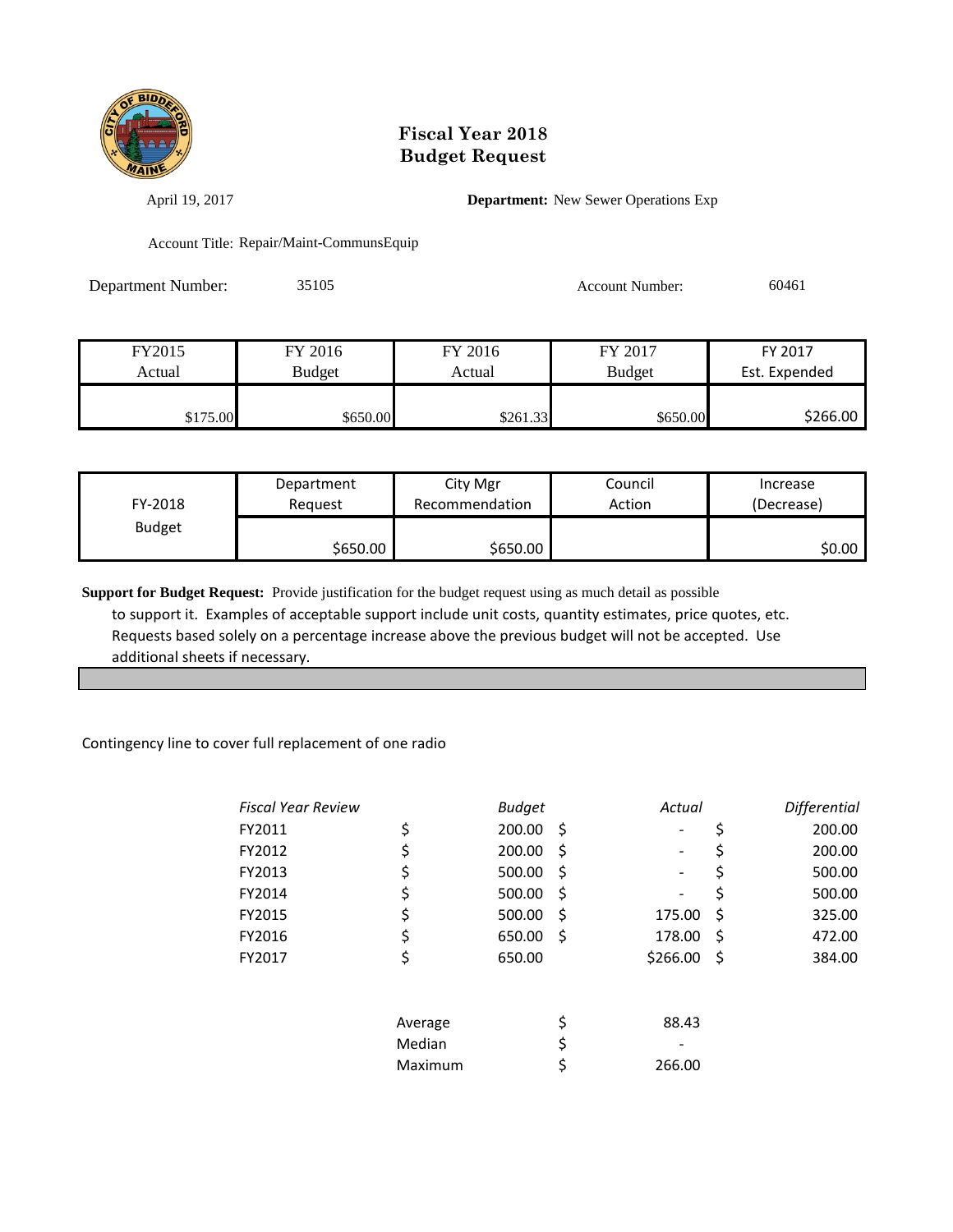

April 19, 2017 **Department:** New Sewer Operations Exp

Account Title: Repair/Maint-CommunsEquip

Department Number: 35105 Account Number: 60461

| FY2015   | FY 2016       | FY 2016  | FY 2017       | FY 2017       |
|----------|---------------|----------|---------------|---------------|
| Actual   | <b>Budget</b> | Actual   | <b>Budget</b> | Est. Expended |
|          |               |          |               |               |
| \$175.00 | \$650.00      | \$261.33 | \$650.00      | \$266.00      |

| FY-2018       | Department | City Mgr       | Council | Increase   |
|---------------|------------|----------------|---------|------------|
|               | Reguest    | Recommendation | Action  | (Decrease) |
| <b>Budget</b> | \$650.00   | \$650.00       |         | \$0.00     |

**Support for Budget Request:** Provide justification for the budget request using as much detail as possible to support it. Examples of acceptable support include unit costs, quantity estimates, price quotes, etc. Requests based solely on a percentage increase above the previous budget will not be accepted. Use additional sheets if necessary.

#### Contingency line to cover full replacement of one radio

| Fiscal Year Review |         | <b>Budget</b> |     | Actual   |    | <b>Differential</b> |
|--------------------|---------|---------------|-----|----------|----|---------------------|
| FY2011             | \$      | 200.00        | \$, |          |    | 200.00              |
| FY2012             |         | 200.00        | \$  |          |    | 200.00              |
| FY2013             |         | 500.00        | \$, |          |    | 500.00              |
| FY2014             |         | 500.00        | \$  |          |    | 500.00              |
| FY2015             |         | 500.00        | \$  | 175.00   | S  | 325.00              |
| FY2016             | \$      | 650.00        | \$  | 178.00   | \$ | 472.00              |
| FY2017             | \$      | 650.00        |     | \$266.00 | \$ | 384.00              |
|                    | Average |               | \$  | 88.43    |    |                     |
|                    | Median  |               | \$  |          |    |                     |
|                    | Maximum |               | \$  | 266.00   |    |                     |
|                    |         |               |     |          |    |                     |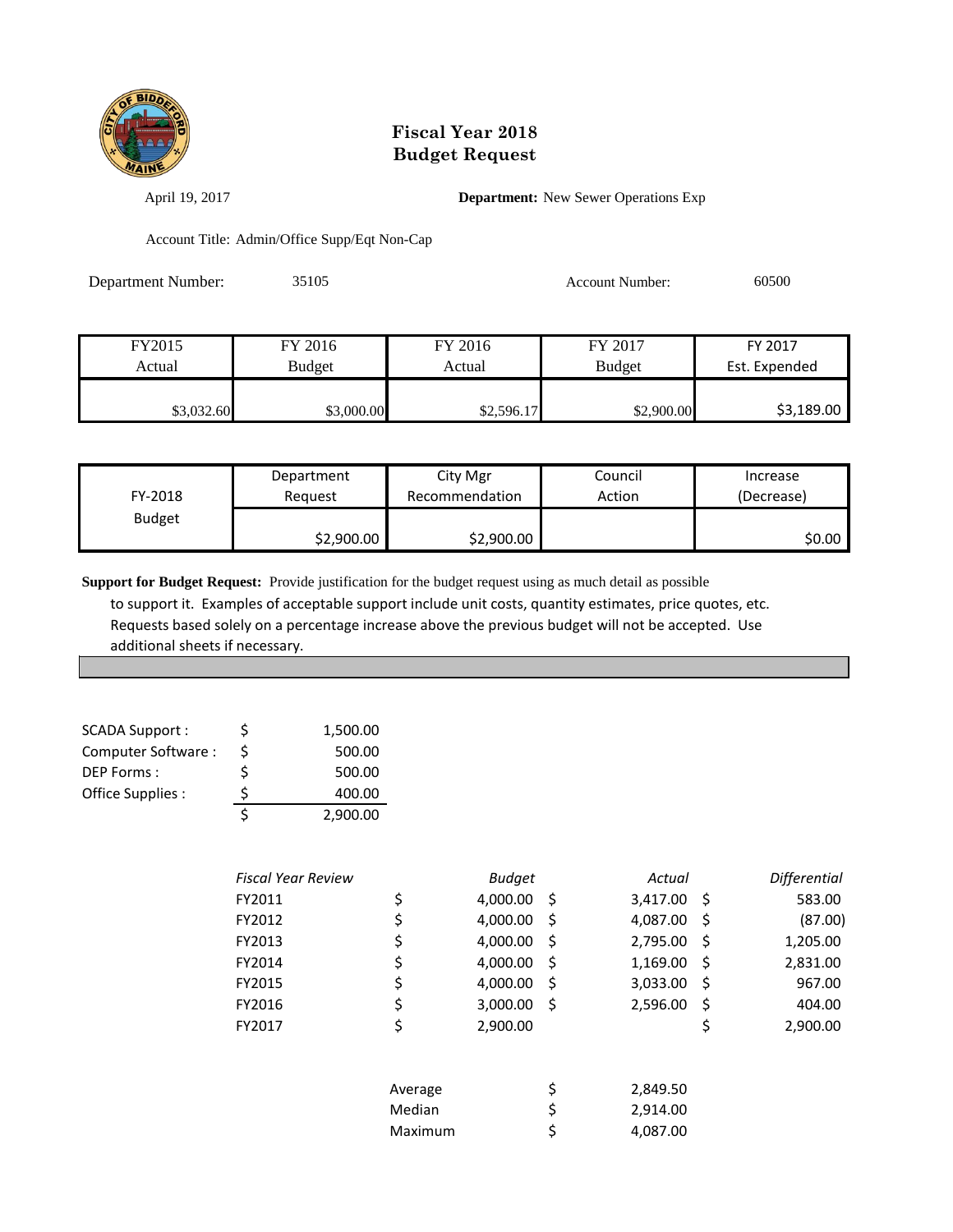

April 19, 2017 **Department:** New Sewer Operations Exp

Account Title: Admin/Office Supp/Eqt Non-Cap

| Department Number: | 35105         |            | <b>Account Number:</b> | 60500         |
|--------------------|---------------|------------|------------------------|---------------|
|                    |               |            |                        |               |
| FY2015             | FY 2016       | FY 2016    | FY 2017                | FY 2017       |
| Actual             | <b>Budget</b> | Actual     | <b>Budget</b>          | Est. Expended |
| \$3,032.60         | \$3,000.00    | \$2,596.17 | \$2,900.00             | \$3,189.00    |

| FY-2018       | Department | City Mgr       | Council | Increase   |
|---------------|------------|----------------|---------|------------|
|               | Reguest    | Recommendation | Action  | (Decrease) |
| <b>Budget</b> | \$2,900.00 | \$2,900.00     |         | \$0.00     |

**Support for Budget Request:** Provide justification for the budget request using as much detail as possible to support it. Examples of acceptable support include unit costs, quantity estimates, price quotes, etc. Requests based solely on a percentage increase above the previous budget will not be accepted. Use additional sheets if necessary.

| <b>SCADA Support:</b> |   | 1,500.00 |
|-----------------------|---|----------|
| Computer Software:    | Ś | 500.00   |
| DEP Forms:            |   | 500.00   |
| Office Supplies :     |   | 400.00   |
|                       |   | 2,900.00 |

| Fiscal Year Review |         | <b>Budget</b> |    | Actual   |     | <b>Differential</b> |
|--------------------|---------|---------------|----|----------|-----|---------------------|
| FY2011             | \$      | 4,000.00      | \$ | 3,417.00 | .\$ | 583.00              |
| FY2012             | \$      | 4,000.00      | Ŝ. | 4,087.00 | S   | (87.00)             |
| FY2013             | \$      | 4,000.00      | S  | 2,795.00 | S   | 1,205.00            |
| FY2014             | \$      | 4,000.00      | S  | 1,169.00 | \$  | 2,831.00            |
| FY2015             | \$      | 4,000.00      | \$ | 3,033.00 | S   | 967.00              |
| FY2016             | \$      | 3,000.00      | \$ | 2,596.00 | S   | 404.00              |
| FY2017             | \$      | 2,900.00      |    |          | \$  | 2,900.00            |
|                    |         |               |    |          |     |                     |
|                    | Average |               | \$ | 2,849.50 |     |                     |
|                    | Median  |               | \$ | 2,914.00 |     |                     |
|                    | Maximum |               | \$ | 4,087.00 |     |                     |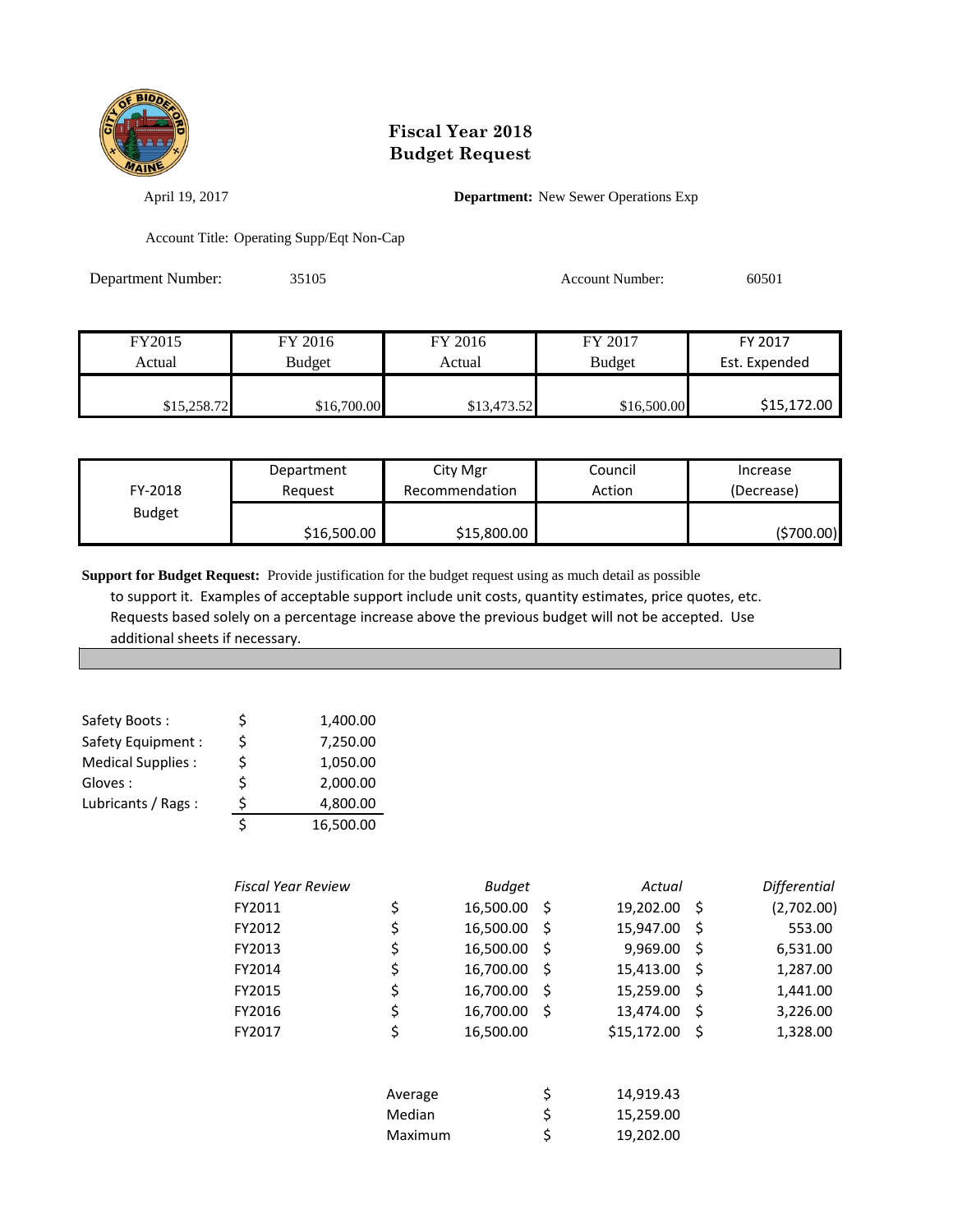

April 19, 2017 **Department:** New Sewer Operations Exp

Account Title: Operating Supp/Eqt Non-Cap

| Department Number: | 35105         |             | <b>Account Number:</b> | 60501         |
|--------------------|---------------|-------------|------------------------|---------------|
|                    |               |             |                        |               |
| FY2015             | FY 2016       | FY 2016     | FY 2017                | FY 2017       |
| Actual             | <b>Budget</b> | Actual      | <b>Budget</b>          | Est. Expended |
| \$15,258.72        | \$16,700.00   | \$13,473.52 | \$16,500.00            | \$15,172.00   |

| FY-2018       | Department  | City Mgr       | Council | Increase   |
|---------------|-------------|----------------|---------|------------|
|               | Reauest     | Recommendation | Action  | (Decrease) |
| <b>Budget</b> | \$16,500.00 | \$15,800.00    |         | (5700.00)  |

**Support for Budget Request:** Provide justification for the budget request using as much detail as possible

 to support it. Examples of acceptable support include unit costs, quantity estimates, price quotes, etc. Requests based solely on a percentage increase above the previous budget will not be accepted. Use additional sheets if necessary.

| Safety Boots:            | \$ | 1,400.00  |
|--------------------------|----|-----------|
| Safety Equipment:        | Ś  | 7,250.00  |
| <b>Medical Supplies:</b> | Ś  | 1,050.00  |
| Gloves:                  | Ś  | 2,000.00  |
| Lubricants / Rags:       | Ś  | 4,800.00  |
|                          |    | 16,500.00 |

| Fiscal Year Review |         | <b>Budget</b> |     | Actual      |      | <b>Differential</b> |
|--------------------|---------|---------------|-----|-------------|------|---------------------|
| FY2011             | \$      | 16,500.00     | -\$ | 19,202.00   | - \$ | (2,702.00)          |
| FY2012             | \$      | 16,500.00     | \$  | 15,947.00   | S    | 553.00              |
| FY2013             | \$      | 16,500.00     | S   | 9,969.00    | S    | 6,531.00            |
| FY2014             | \$      | 16,700.00     | Ŝ.  | 15,413.00   | - S  | 1,287.00            |
| FY2015             | \$      | 16,700.00     | Ŝ.  | 15,259.00   | -S   | 1,441.00            |
| FY2016             | \$      | 16,700.00     | .\$ | 13,474.00   | -S   | 3,226.00            |
| FY2017             | \$      | 16,500.00     |     | \$15,172.00 | Ŝ    | 1,328.00            |
|                    | Average |               | \$  | 14,919.43   |      |                     |
|                    | Median  |               | \$  | 15,259.00   |      |                     |
|                    | Maximum |               | \$  | 19,202.00   |      |                     |
|                    |         |               |     |             |      |                     |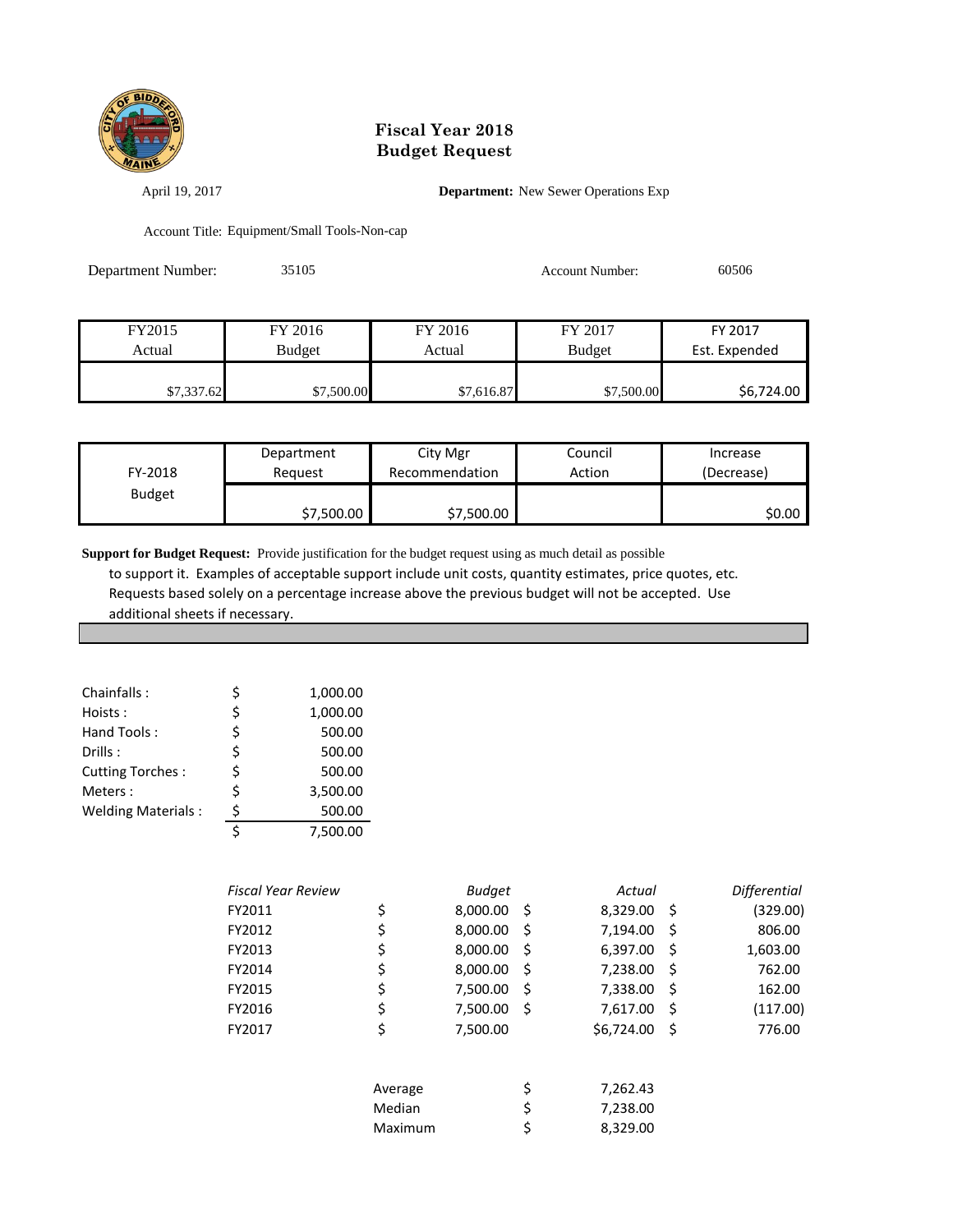

April 19, 2017 **Department:** New Sewer Operations Exp

Account Title: Equipment/Small Tools-Non-cap

| Department Number: | 35105         |            | <b>Account Number:</b> | 60506         |
|--------------------|---------------|------------|------------------------|---------------|
|                    |               |            |                        |               |
| FY2015             | FY 2016       | FY 2016    | FY 2017                | FY 2017       |
| Actual             | <b>Budget</b> | Actual     | <b>Budget</b>          | Est. Expended |
|                    |               |            |                        |               |
| \$7,337.62         | \$7,500.00    | \$7,616.87 | \$7,500.00             | \$6,724.00    |

| FY-2018       | Department | City Mgr       | Council | Increase   |
|---------------|------------|----------------|---------|------------|
|               | Reauest    | Recommendation | Action  | (Decrease) |
| <b>Budget</b> | \$7,500.00 | \$7,500.00     |         | \$0.00     |

**Support for Budget Request:** Provide justification for the budget request using as much detail as possible

 to support it. Examples of acceptable support include unit costs, quantity estimates, price quotes, etc. Requests based solely on a percentage increase above the previous budget will not be accepted. Use additional sheets if necessary.

| Chainfalls:               | \$ | 1,000.00 |
|---------------------------|----|----------|
| Hoists:                   | \$ | 1,000.00 |
| Hand Tools:               | \$ | 500.00   |
| Drills:                   | \$ | 500.00   |
| <b>Cutting Torches:</b>   | \$ | 500.00   |
| Meters:                   | \$ | 3,500.00 |
| <b>Welding Materials:</b> | Ś  | 500.00   |
|                           | ς  | 7.500.00 |

| Fiscal Year Review |         | <b>Budget</b> |     | Actual     |     | <b>Differential</b> |
|--------------------|---------|---------------|-----|------------|-----|---------------------|
| FY2011             | \$      | 8,000.00      | -\$ | 8,329.00   | -\$ | (329.00)            |
| FY2012             | \$      | 8,000.00      | \$  | 7,194.00   | S   | 806.00              |
| FY2013             | \$      | 8,000.00      | \$  | 6,397.00   | .\$ | 1,603.00            |
| FY2014             | \$      | 8,000.00      | \$  | 7,238.00   | -S  | 762.00              |
| FY2015             | \$      | 7,500.00      | \$  | 7,338.00   | -S  | 162.00              |
| FY2016             | \$      | 7,500.00      | \$  | 7,617.00   | -S  | (117.00)            |
| FY2017             | \$      | 7,500.00      |     | \$6,724.00 | .\$ | 776.00              |
|                    | Average |               | \$  | 7,262.43   |     |                     |
|                    | Median  |               | \$  | 7,238.00   |     |                     |
|                    | Maximum |               | \$  | 8,329.00   |     |                     |
|                    |         |               |     |            |     |                     |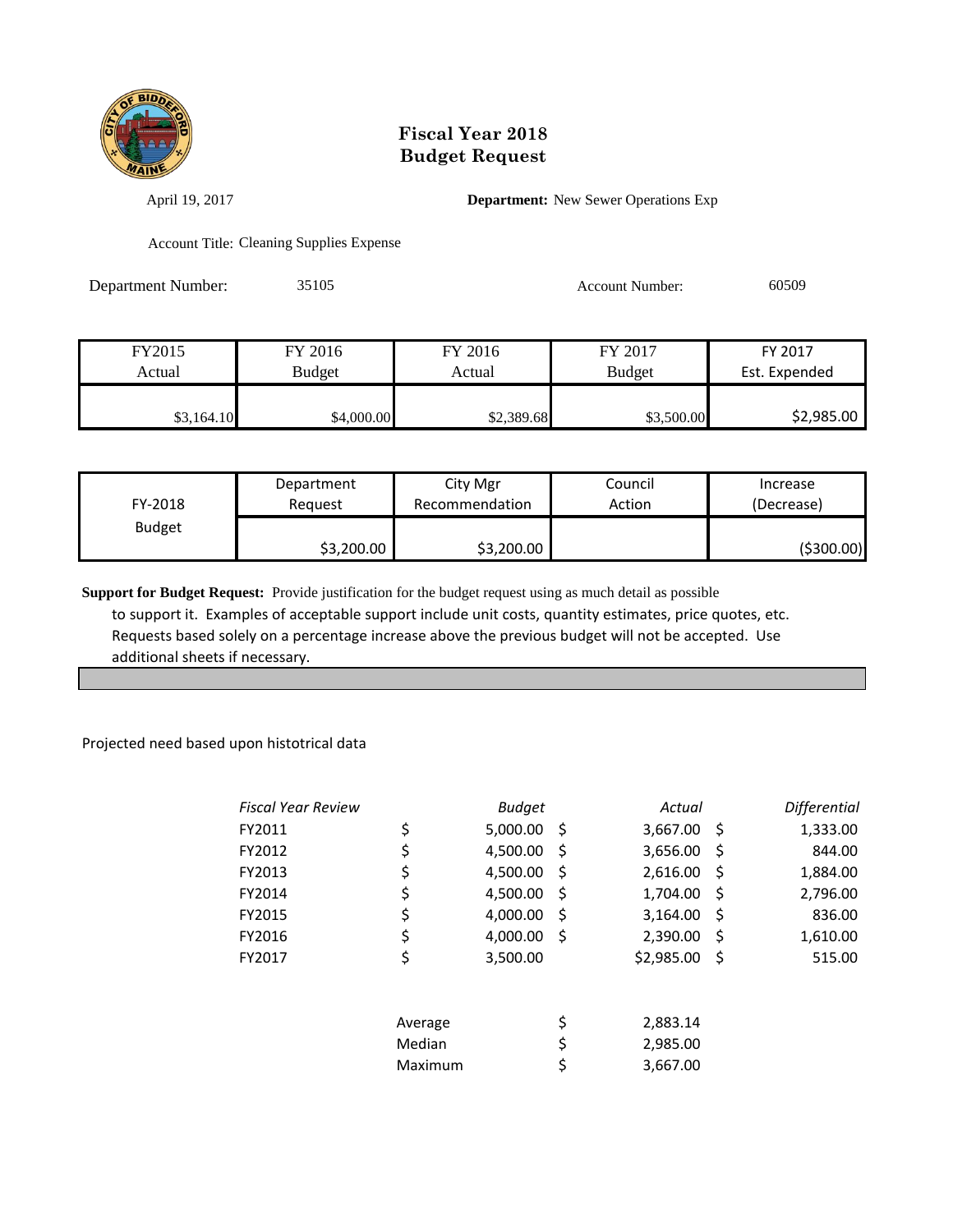

April 19, 2017 **Department:** New Sewer Operations Exp

Account Title: Cleaning Supplies Expense

Department Number: 35105 Account Number: 60509

| FY2015     | FY 2016       | FY 2016    | FY 2017       | FY 2017       |
|------------|---------------|------------|---------------|---------------|
| Actual     | <b>Budget</b> | Actual     | <b>Budget</b> | Est. Expended |
|            |               |            |               |               |
| \$3,164.10 | \$4,000.00    | \$2,389.68 | \$3,500.00    | \$2,985.00    |

| FY-2018       | Department | City Mgr       | Council | Increase   |
|---------------|------------|----------------|---------|------------|
|               | Reguest    | Recommendation | Action  | (Decrease) |
| <b>Budget</b> | \$3,200.00 | \$3,200.00     |         | (\$300.00) |

**Support for Budget Request:** Provide justification for the budget request using as much detail as possible to support it. Examples of acceptable support include unit costs, quantity estimates, price quotes, etc. Requests based solely on a percentage increase above the previous budget will not be accepted. Use additional sheets if necessary.

Projected need based upon histotrical data

| Fiscal Year Review |         | <b>Budget</b> |     | Actual     |     | <b>Differential</b> |
|--------------------|---------|---------------|-----|------------|-----|---------------------|
| FY2011             | \$      | 5,000.00      | -\$ | 3,667.00   | -\$ | 1,333.00            |
| FY2012             | \$      | 4,500.00      | \$  | 3,656.00   | \$, | 844.00              |
| FY2013             | \$      | 4,500.00      | \$  | 2,616.00   | \$. | 1,884.00            |
| FY2014             |         | 4,500.00      | S   | 1,704.00   | \$. | 2,796.00            |
| FY2015             | \$      | 4,000.00      | \$, | 3,164.00   | \$, | 836.00              |
| FY2016             | \$      | 4,000.00      | \$  | 2,390.00   | S.  | 1,610.00            |
| FY2017             | \$      | 3,500.00      |     | \$2,985.00 | \$  | 515.00              |
|                    | Average |               | \$  | 2,883.14   |     |                     |
|                    | Median  |               | \$  | 2,985.00   |     |                     |
|                    | Maximum |               | \$  | 3,667.00   |     |                     |
|                    |         |               |     |            |     |                     |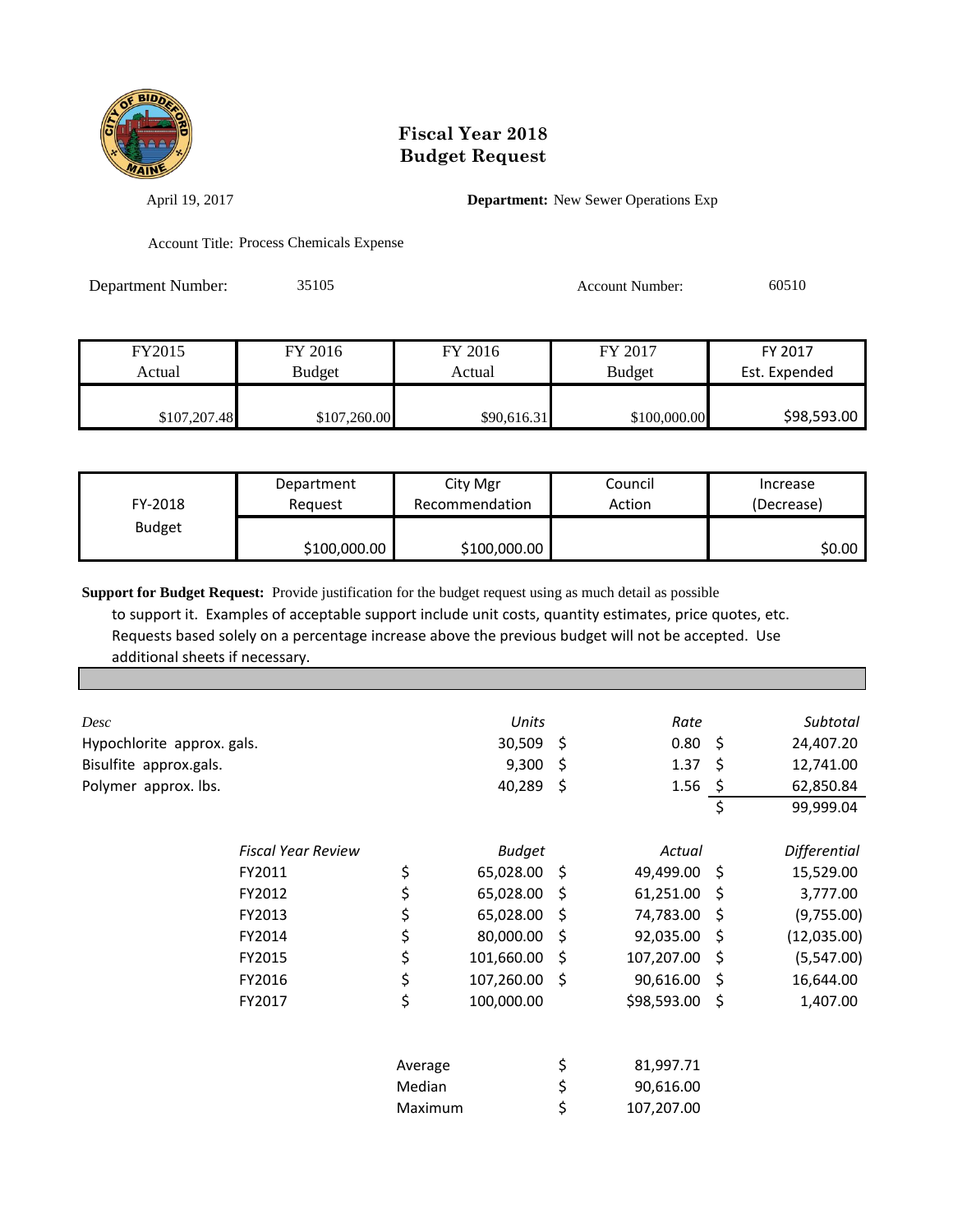

April 19, 2017 **Department:** New Sewer Operations Exp

Account Title: Process Chemicals Expense

Department Number: 35105 Account Number: 60510

| FY2015       | FY 2016       | FY 2016     | FY 2017       | FY 2017       |
|--------------|---------------|-------------|---------------|---------------|
| Actual       | <b>Budget</b> | Actual      | <b>Budget</b> | Est. Expended |
|              |               |             |               |               |
| \$107,207.48 | \$107,260.00  | \$90,616.31 | \$100,000.00  | \$98,593.00   |

| FY-2018       | Department   | City Mgr       | Council | Increase   |
|---------------|--------------|----------------|---------|------------|
|               | Reauest      | Recommendation | Action  | (Decrease) |
| <b>Budget</b> | \$100,000.00 | \$100,000.00   |         | \$0.00     |

**Support for Budget Request:** Provide justification for the budget request using as much detail as possible to support it. Examples of acceptable support include unit costs, quantity estimates, price quotes, etc. Requests based solely on a percentage increase above the previous budget will not be accepted. Use additional sheets if necessary.

| Desc                       |                           |         | Units         |     | Rate        |     | Subtotal            |
|----------------------------|---------------------------|---------|---------------|-----|-------------|-----|---------------------|
| Hypochlorite approx. gals. |                           |         | 30,509        | -\$ | 0.80        | \$  | 24,407.20           |
| Bisulfite approx.gals.     |                           |         | 9,300         | \$  | 1.37        | \$. | 12,741.00           |
| Polymer approx. lbs.       |                           |         | 40,289        | \$  | 1.56        | -\$ | 62,850.84           |
|                            |                           |         |               |     |             | \$  | 99,999.04           |
|                            | <b>Fiscal Year Review</b> |         | <b>Budget</b> |     | Actual      |     | <b>Differential</b> |
|                            | FY2011                    | \$      | 65,028.00     | -S  | 49,499.00   | -\$ | 15,529.00           |
|                            | FY2012                    | \$      | 65,028.00     | \$  | 61,251.00   | -\$ | 3,777.00            |
|                            | FY2013                    | \$      | 65,028.00     | \$  | 74,783.00   | S.  | (9,755.00)          |
|                            | FY2014                    | \$      | 80,000.00     | \$  | 92,035.00   | \$  | (12,035.00)         |
|                            | FY2015                    | \$      | 101,660.00    | \$  | 107,207.00  | \$, | (5,547.00)          |
|                            | FY2016                    | \$      | 107,260.00    | \$  | 90,616.00   | \$  | 16,644.00           |
|                            | FY2017                    | \$      | 100,000.00    |     | \$98,593.00 | \$  | 1,407.00            |
|                            |                           | Average |               | \$  | 81,997.71   |     |                     |
|                            |                           | Median  |               | \$  | 90,616.00   |     |                     |
|                            |                           | Maximum |               | \$  | 107,207.00  |     |                     |
|                            |                           |         |               |     |             |     |                     |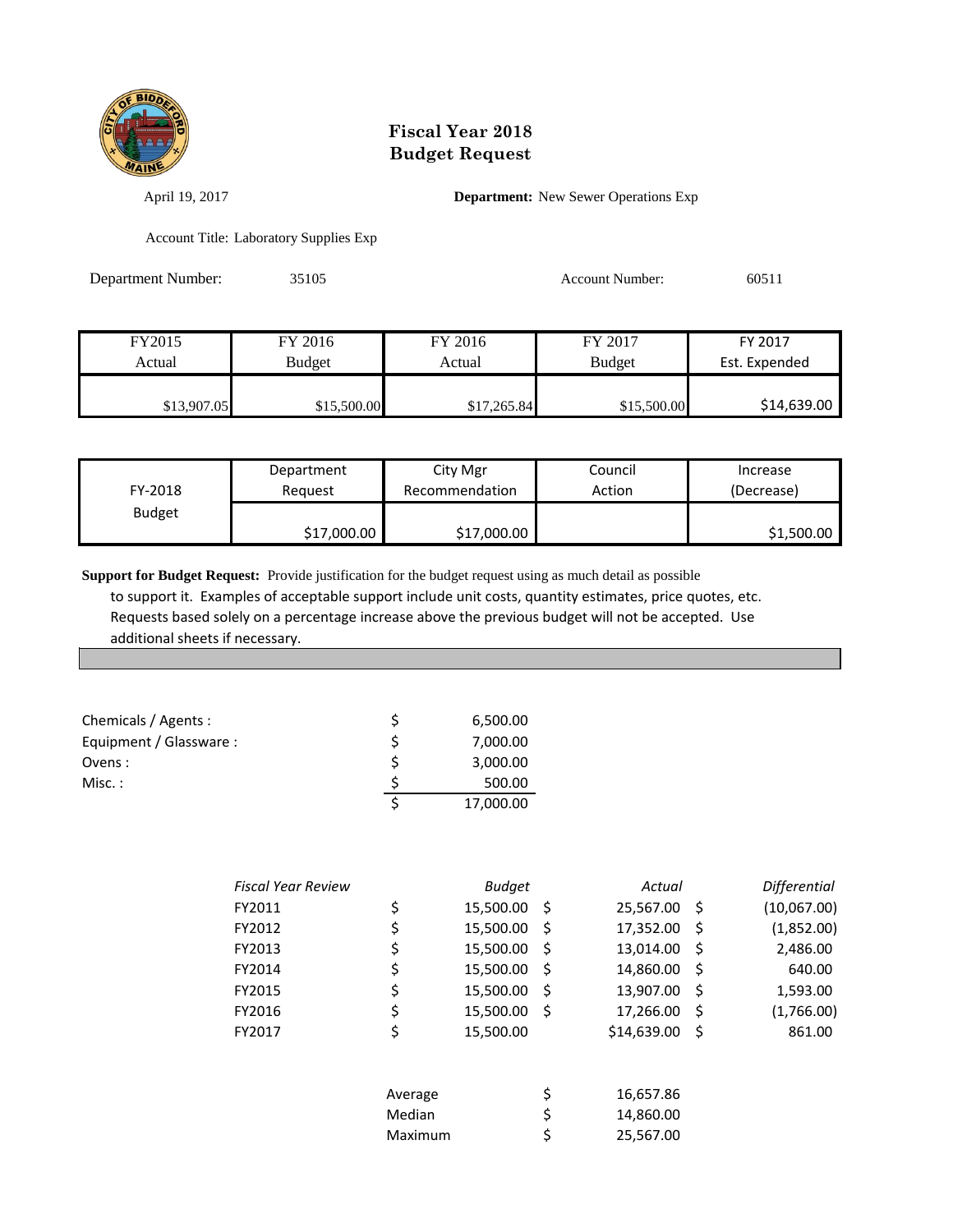

April 19, 2017 **Department:** New Sewer Operations Exp

Account Title: Laboratory Supplies Exp

| Department Number: | 35105         | <b>Account Number:</b> |               | 60511         |
|--------------------|---------------|------------------------|---------------|---------------|
|                    |               |                        |               |               |
|                    |               |                        |               |               |
| FY2015             | FY 2016       | FY 2016                | FY 2017       | FY 2017       |
| Actual             | <b>Budget</b> | Actual                 | <b>Budget</b> | Est. Expended |
|                    |               |                        |               |               |

\$13,907.05 \$15,500.00 \$17,265.84 \$15,500.00 \$14,639.00

| FY-2018       | Department  |             | Council | Increase   |
|---------------|-------------|-------------|---------|------------|
|               | Reauest     |             | Action  | (Decrease) |
| <b>Budget</b> | \$17,000.00 | \$17,000.00 |         | \$1,500.00 |

**Support for Budget Request:** Provide justification for the budget request using as much detail as possible

 to support it. Examples of acceptable support include unit costs, quantity estimates, price quotes, etc. Requests based solely on a percentage increase above the previous budget will not be accepted. Use additional sheets if necessary.

| Chemicals / Agents :    | 6,500.00  |
|-------------------------|-----------|
| Equipment / Glassware : | 7,000.00  |
| Ovens:                  | 3,000.00  |
| Misc. :                 | 500.00    |
|                         | 17,000.00 |

| <b>Fiscal Year Review</b> |         | <b>Budget</b> |     | Actual      |     | <b>Differential</b> |
|---------------------------|---------|---------------|-----|-------------|-----|---------------------|
| FY2011                    | \$      | 15,500.00     | - S | 25,567.00   | -\$ | (10,067.00)         |
| FY2012                    | \$      | 15,500.00     | S   | 17,352.00   | S   | (1,852.00)          |
| FY2013                    | \$      | 15,500.00     | S   | 13,014.00   | \$  | 2,486.00            |
| FY2014                    | \$      | 15,500.00     | S   | 14,860.00   | \$  | 640.00              |
| FY2015                    | \$      | 15,500.00     | S   | 13,907.00   | \$  | 1,593.00            |
| FY2016                    | \$      | 15,500.00     | S   | 17,266.00   | S   | (1,766.00)          |
| FY2017                    | \$      | 15,500.00     |     | \$14,639.00 | \$  | 861.00              |
|                           |         |               |     |             |     |                     |
|                           | Average |               | \$  | 16,657.86   |     |                     |
|                           | Median  |               | \$  | 14,860.00   |     |                     |
|                           | Maximum |               | \$  | 25,567.00   |     |                     |